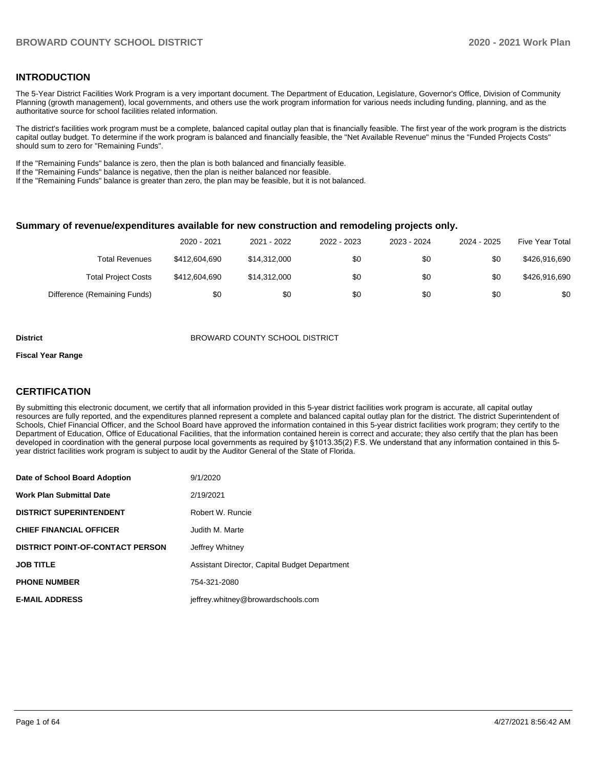## **INTRODUCTION**

The 5-Year District Facilities Work Program is a very important document. The Department of Education, Legislature, Governor's Office, Division of Community Planning (growth management), local governments, and others use the work program information for various needs including funding, planning, and as the authoritative source for school facilities related information.

The district's facilities work program must be a complete, balanced capital outlay plan that is financially feasible. The first year of the work program is the districts capital outlay budget. To determine if the work program is balanced and financially feasible, the "Net Available Revenue" minus the "Funded Projects Costs" should sum to zero for "Remaining Funds".

If the "Remaining Funds" balance is zero, then the plan is both balanced and financially feasible.

If the "Remaining Funds" balance is negative, then the plan is neither balanced nor feasible.

If the "Remaining Funds" balance is greater than zero, the plan may be feasible, but it is not balanced.

#### **Summary of revenue/expenditures available for new construction and remodeling projects only.**

|                              | 2020 - 2021   | 2021 - 2022  | 2022 - 2023 | 2023 - 2024 | 2024 - 2025 | <b>Five Year Total</b> |
|------------------------------|---------------|--------------|-------------|-------------|-------------|------------------------|
| Total Revenues               | \$412,604,690 | \$14,312,000 | \$0         | \$0         | \$0         | \$426,916,690          |
| <b>Total Project Costs</b>   | \$412,604,690 | \$14,312,000 | \$0         | \$0         | \$0         | \$426,916,690          |
| Difference (Remaining Funds) | \$0           | \$0          | \$0         | \$0         | \$0         | \$0                    |

#### **District** BROWARD COUNTY SCHOOL DISTRICT

#### **Fiscal Year Range**

## **CERTIFICATION**

By submitting this electronic document, we certify that all information provided in this 5-year district facilities work program is accurate, all capital outlay resources are fully reported, and the expenditures planned represent a complete and balanced capital outlay plan for the district. The district Superintendent of Schools, Chief Financial Officer, and the School Board have approved the information contained in this 5-year district facilities work program; they certify to the Department of Education, Office of Educational Facilities, that the information contained herein is correct and accurate; they also certify that the plan has been developed in coordination with the general purpose local governments as required by §1013.35(2) F.S. We understand that any information contained in this 5 year district facilities work program is subject to audit by the Auditor General of the State of Florida.

| Date of School Board Adoption           | 9/1/2020                                      |
|-----------------------------------------|-----------------------------------------------|
| <b>Work Plan Submittal Date</b>         | 2/19/2021                                     |
| <b>DISTRICT SUPERINTENDENT</b>          | Robert W. Runcie                              |
| <b>CHIEF FINANCIAL OFFICER</b>          | Judith M. Marte                               |
| <b>DISTRICT POINT-OF-CONTACT PERSON</b> | Jeffrey Whitney                               |
| <b>JOB TITLE</b>                        | Assistant Director, Capital Budget Department |
| <b>PHONE NUMBER</b>                     | 754-321-2080                                  |
| <b>E-MAIL ADDRESS</b>                   | jeffrey.whitney@browardschools.com            |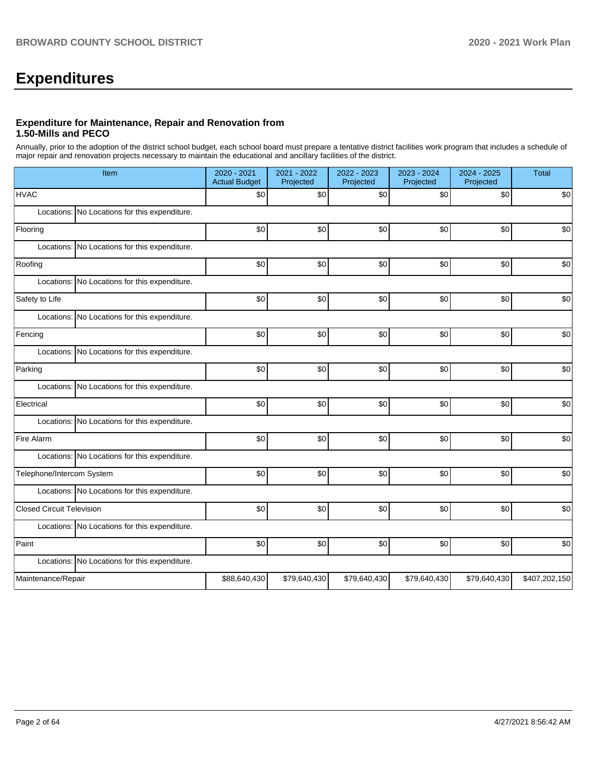# **Expenditures**

## **Expenditure for Maintenance, Repair and Renovation from 1.50-Mills and PECO**

Annually, prior to the adoption of the district school budget, each school board must prepare a tentative district facilities work program that includes a schedule of major repair and renovation projects necessary to maintain the educational and ancillary facilities of the district.

| Item                                          | 2020 - 2021<br><b>Actual Budget</b> | 2021 - 2022<br>Projected | 2022 - 2023<br>Projected | 2023 - 2024<br>Projected | 2024 - 2025<br>Projected | <b>Total</b>  |
|-----------------------------------------------|-------------------------------------|--------------------------|--------------------------|--------------------------|--------------------------|---------------|
| <b>HVAC</b>                                   | \$0                                 | \$0                      | \$0                      | \$0                      | \$0                      | \$0           |
| Locations: No Locations for this expenditure. |                                     |                          |                          |                          |                          |               |
| Flooring                                      | \$0                                 | \$0                      | \$0                      | \$0                      | \$0                      | \$0           |
| Locations: No Locations for this expenditure. |                                     |                          |                          |                          |                          |               |
| Roofing                                       | \$0                                 | \$0                      | \$0                      | \$0                      | \$0                      | \$0           |
| Locations: No Locations for this expenditure. |                                     |                          |                          |                          |                          |               |
| Safety to Life                                | \$0                                 | \$0                      | \$0                      | \$0                      | \$0                      | \$0           |
| Locations: No Locations for this expenditure. |                                     |                          |                          |                          |                          |               |
| Fencing                                       | \$0                                 | \$0                      | \$0                      | \$0                      | \$0                      | \$0           |
| Locations: No Locations for this expenditure. |                                     |                          |                          |                          |                          |               |
| Parking                                       | \$0                                 | \$0                      | \$0                      | \$0                      | \$0                      | \$0           |
| Locations: No Locations for this expenditure. |                                     |                          |                          |                          |                          |               |
| Electrical                                    | \$0                                 | \$0                      | \$0                      | \$0                      | \$0                      | \$0           |
| Locations: No Locations for this expenditure. |                                     |                          |                          |                          |                          |               |
| Fire Alarm                                    | \$0                                 | \$0                      | \$0                      | \$0                      | \$0                      | \$0           |
| Locations: No Locations for this expenditure. |                                     |                          |                          |                          |                          |               |
| Telephone/Intercom System                     | \$0                                 | \$0                      | \$0                      | \$0 <sub>1</sub>         | \$0                      | \$0           |
| Locations: No Locations for this expenditure. |                                     |                          |                          |                          |                          |               |
| <b>Closed Circuit Television</b>              | \$0                                 | \$0                      | \$0                      | \$0                      | \$0                      | \$0           |
| Locations: No Locations for this expenditure. |                                     |                          |                          |                          |                          |               |
| Paint                                         | \$0                                 | \$0                      | \$0                      | \$0                      | \$0                      | \$0           |
| Locations: No Locations for this expenditure. |                                     |                          |                          |                          |                          |               |
| Maintenance/Repair                            | \$88,640,430                        | \$79,640,430             | \$79,640,430             | \$79,640,430             | \$79,640,430             | \$407,202,150 |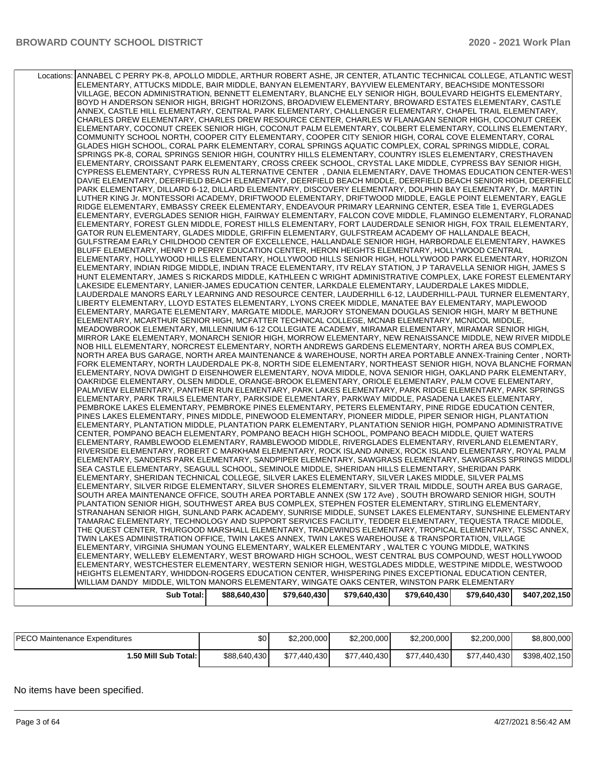| Locations: ANNABEL C PERRY PK-8, APOLLO MIDDLE, ARTHUR ROBERT ASHE, JR CENTER, ATLANTIC TECHNICAL COLLEGE, ATLANTIC WEST |              |              |              |              |              |               |
|--------------------------------------------------------------------------------------------------------------------------|--------------|--------------|--------------|--------------|--------------|---------------|
| ELEMENTARY, ATTUCKS MIDDLE, BAIR MIDDLE, BANYAN ELEMENTARY, BAYVIEW ELEMENTARY, BEACHSIDE MONTESSORI                     |              |              |              |              |              |               |
| VILLAGE, BECON ADMINISTRATION, BENNETT ELEMENTARY, BLANCHE ELY SENIOR HIGH, BOULEVARD HEIGHTS ELEMENTARY,                |              |              |              |              |              |               |
| BOYD H ANDERSON SENIOR HIGH, BRIGHT HORIZONS, BROADVIEW ELEMENTARY, BROWARD ESTATES ELEMENTARY, CASTLE                   |              |              |              |              |              |               |
| ANNEX, CASTLE HILL ELEMENTARY, CENTRAL PARK ELEMENTARY, CHALLENGER ELEMENTARY, CHAPEL TRAIL ELEMENTARY,                  |              |              |              |              |              |               |
| CHARLES DREW ELEMENTARY, CHARLES DREW RESOURCE CENTER, CHARLES W FLANAGAN SENIOR HIGH, COCONUT CREEK                     |              |              |              |              |              |               |
| ELEMENTARY, COCONUT CREEK SENIOR HIGH, COCONUT PALM ELEMENTARY, COLBERT ELEMENTARY, COLLINS ELEMENTARY,                  |              |              |              |              |              |               |
| COMMUNITY SCHOOL NORTH, COOPER CITY ELEMENTARY, COOPER CITY SENIOR HIGH, CORAL COVE ELEMENTARY, CORAL                    |              |              |              |              |              |               |
| GLADES HIGH SCHOOL, CORAL PARK ELEMENTARY, CORAL SPRINGS AQUATIC COMPLEX, CORAL SPRINGS MIDDLE, CORAL                    |              |              |              |              |              |               |
| SPRINGS PK-8, CORAL SPRINGS SENIOR HIGH, COUNTRY HILLS ELEMENTARY, COUNTRY ISLES ELEMENTARY, CRESTHAVEN                  |              |              |              |              |              |               |
| ELEMENTARY, CROISSANT PARK ELEMENTARY, CROSS CREEK SCHOOL, CRYSTAL LAKE MIDDLE, CYPRESS BAY SENIOR HIGH,                 |              |              |              |              |              |               |
| CYPRESS ELEMENTARY, CYPRESS RUN ALTERNATIVE CENTER , DANIA ELEMENTARY, DAVE THOMAS EDUCATION CENTER-WEST                 |              |              |              |              |              |               |
|                                                                                                                          |              |              |              |              |              |               |
| DAVIE ELEMENTARY, DEERFIELD BEACH ELEMENTARY, DEERFIELD BEACH MIDDLE, DEERFIELD BEACH SENIOR HIGH, DEERFIELD             |              |              |              |              |              |               |
| PARK ELEMENTARY, DILLARD 6-12, DILLARD ELEMENTARY, DISCOVERY ELEMENTARY, DOLPHIN BAY ELEMENTARY, Dr. MARTIN              |              |              |              |              |              |               |
| LUTHER KING Jr. MONTESSORI ACADEMY, DRIFTWOOD ELEMENTARY, DRIFTWOOD MIDDLE, EAGLE POINT ELEMENTARY, EAGLE                |              |              |              |              |              |               |
| RIDGE ELEMENTARY, EMBASSY CREEK ELEMENTARY, ENDEAVOUR PRIMARY LEARNING CENTER, ESEA Title 1, EVERGLADES                  |              |              |              |              |              |               |
| ELEMENTARY, EVERGLADES SENIOR HIGH, FAIRWAY ELEMENTARY, FALCON COVE MIDDLE, FLAMINGO ELEMENTARY, FLORANAD                |              |              |              |              |              |               |
| ELEMENTARY, FOREST GLEN MIDDLE, FOREST HILLS ELEMENTARY, FORT LAUDERDALE SENIOR HIGH, FOX TRAIL ELEMENTARY,              |              |              |              |              |              |               |
| GATOR RUN ELEMENTARY, GLADES MIDDLE, GRIFFIN ELEMENTARY, GULFSTREAM ACADEMY OF HALLANDALE BEACH,                         |              |              |              |              |              |               |
| GULFSTREAM EARLY CHILDHOOD CENTER OF EXCELLENCE, HALLANDALE SENIOR HIGH, HARBORDALE ELEMENTARY, HAWKES                   |              |              |              |              |              |               |
| BLUFF ELEMENTARY, HENRY D PERRY EDUCATION CENTER, HERON HEIGHTS ELEMENTARY, HOLLYWOOD CENTRAL                            |              |              |              |              |              |               |
| ELEMENTARY, HOLLYWOOD HILLS ELEMENTARY, HOLLYWOOD HILLS SENIOR HIGH, HOLLYWOOD PARK ELEMENTARY, HORIZON                  |              |              |              |              |              |               |
| ELEMENTARY, INDIAN RIDGE MIDDLE, INDIAN TRACE ELEMENTARY, ITV RELAY STATION, J P TARAVELLA SENIOR HIGH, JAMES S          |              |              |              |              |              |               |
| HUNT ELEMENTARY, JAMES S RICKARDS MIDDLE, KATHLEEN C WRIGHT ADMINISTRATIVE COMPLEX, LAKE FOREST ELEMENTARY               |              |              |              |              |              |               |
| LAKESIDE ELEMENTARY, LANIER-JAMES EDUCATION CENTER, LARKDALE ELEMENTARY, LAUDERDALE LAKES MIDDLE,                        |              |              |              |              |              |               |
| LAUDERDALE MANORS EARLY LEARNING AND RESOURCE CENTER, LAUDERHILL 6-12, LAUDERHILL-PAUL TURNER ELEMENTARY,                |              |              |              |              |              |               |
| LIBERTY ELEMENTARY, LLOYD ESTATES ELEMENTARY, LYONS CREEK MIDDLE, MANATEE BAY ELEMENTARY, MAPLEWOOD                      |              |              |              |              |              |               |
| ELEMENTARY, MARGATE ELEMENTARY, MARGATE MIDDLE, MARJORY STONEMAN DOUGLAS SENIOR HIGH, MARY M BETHUNE                     |              |              |              |              |              |               |
| ELEMENTARY, MCARTHUR SENIOR HIGH, MCFATTER TECHNICAL COLLEGE, MCNAB ELEMENTARY, MCNICOL MIDDLE,                          |              |              |              |              |              |               |
| MEADOWBROOK ELEMENTARY, MILLENNIUM 6-12 COLLEGIATE ACADEMY, MIRAMAR ELEMENTARY, MIRAMAR SENIOR HIGH,                     |              |              |              |              |              |               |
| MIRROR LAKE ELEMENTARY, MONARCH SENIOR HIGH, MORROW ELEMENTARY, NEW RENAISSANCE MIDDLE, NEW RIVER MIDDLE                 |              |              |              |              |              |               |
| NOB HILL ELEMENTARY, NORCREST ELEMENTARY, NORTH ANDREWS GARDENS ELEMENTARY, NORTH AREA BUS COMPLEX,                      |              |              |              |              |              |               |
| NORTH AREA BUS GARAGE, NORTH AREA MAINTENANCE & WAREHOUSE, NORTH AREA PORTABLE ANNEX-Training Center, NORTH              |              |              |              |              |              |               |
| FORK ELEMENTARY, NORTH LAUDERDALE PK-8, NORTH SIDE ELEMENTARY, NORTHEAST SENIOR HIGH, NOVA BLANCHE FORMAN                |              |              |              |              |              |               |
| ELEMENTARY, NOVA DWIGHT D EISENHOWER ELEMENTARY, NOVA MIDDLE, NOVA SENIOR HIGH, OAKLAND PARK ELEMENTARY,                 |              |              |              |              |              |               |
| OAKRIDGE ELEMENTARY, OLSEN MIDDLE, ORANGE-BROOK ELEMENTARY, ORIOLE ELEMENTARY, PALM COVE ELEMENTARY,                     |              |              |              |              |              |               |
| PALMVIEW ELEMENTARY, PANTHER RUN ELEMENTARY, PARK LAKES ELEMENTARY, PARK RIDGE ELEMENTARY, PARK SPRINGS                  |              |              |              |              |              |               |
| ELEMENTARY, PARK TRAILS ELEMENTARY, PARKSIDE ELEMENTARY, PARKWAY MIDDLE, PASADENA LAKES ELEMENTARY,                      |              |              |              |              |              |               |
| PEMBROKE LAKES ELEMENTARY, PEMBROKE PINES ELEMENTARY, PETERS ELEMENTARY, PINE RIDGE EDUCATION CENTER,                    |              |              |              |              |              |               |
|                                                                                                                          |              |              |              |              |              |               |
| PINES LAKES ELEMENTARY, PINES MIDDLE, PINEWOOD ELEMENTARY, PIONEER MIDDLE, PIPER SENIOR HIGH, PLANTATION                 |              |              |              |              |              |               |
| ELEMENTARY, PLANTATION MIDDLE, PLANTATION PARK ELEMENTARY, PLANTATION SENIOR HIGH, POMPANO ADMINISTRATIVE                |              |              |              |              |              |               |
| CENTER, POMPANO BEACH ELEMENTARY, POMPANO BEACH HIGH SCHOOL, POMPANO BEACH MIDDLE, QUIET WATERS                          |              |              |              |              |              |               |
| ELEMENTARY, RAMBLEWOOD ELEMENTARY, RAMBLEWOOD MIDDLE, RIVERGLADES ELEMENTARY, RIVERLAND ELEMENTARY,                      |              |              |              |              |              |               |
| RIVERSIDE ELEMENTARY, ROBERT C MARKHAM ELEMENTARY, ROCK ISLAND ANNEX, ROCK ISLAND ELEMENTARY, ROYAL PALM                 |              |              |              |              |              |               |
| ELEMENTARY, SANDERS PARK ELEMENTARY, SANDPIPER ELEMENTARY, SAWGRASS ELEMENTARY, SAWGRASS SPRINGS MIDDLI                  |              |              |              |              |              |               |
| SEA CASTLE ELEMENTARY, SEAGULL SCHOOL, SEMINOLE MIDDLE, SHERIDAN HILLS ELEMENTARY, SHERIDAN PARK                         |              |              |              |              |              |               |
| ELEMENTARY, SHERIDAN TECHNICAL COLLEGE, SILVER LAKES ELEMENTARY, SILVER LAKES MIDDLE, SILVER PALMS                       |              |              |              |              |              |               |
| ELEMENTARY, SILVER RIDGE ELEMENTARY, SILVER SHORES ELEMENTARY, SILVER TRAIL MIDDLE, SOUTH AREA BUS GARAGE,               |              |              |              |              |              |               |
| SOUTH AREA MAINTENANCE OFFICE, SOUTH AREA PORTABLE ANNEX (SW 172 Ave), SOUTH BROWARD SENIOR HIGH, SOUTH                  |              |              |              |              |              |               |
| PLANTATION SENIOR HIGH, SOUTHWEST AREA BUS COMPLEX, STEPHEN FOSTER ELEMENTARY, STIRLING ELEMENTARY,                      |              |              |              |              |              |               |
| STRANAHAN SENIOR HIGH, SUNLAND PARK ACADEMY, SUNRISE MIDDLE, SUNSET LAKES ELEMENTARY, SUNSHINE ELEMENTARY                |              |              |              |              |              |               |
| TAMARAC ELEMENTARY, TECHNOLOGY AND SUPPORT SERVICES FACILITY, TEDDER ELEMENTARY, TEQUESTA TRACE MIDDLE,                  |              |              |              |              |              |               |
| THE QUEST CENTER, THURGOOD MARSHALL ELEMENTARY, TRADEWINDS ELEMENTARY, TROPICAL ELEMENTARY, TSSC ANNEX,                  |              |              |              |              |              |               |
| TWIN LAKES ADMINISTRATION OFFICE, TWIN LAKES ANNEX, TWIN LAKES WAREHOUSE & TRANSPORTATION, VILLAGE                       |              |              |              |              |              |               |
| ELEMENTARY, VIRGINIA SHUMAN YOUNG ELEMENTARY, WALKER ELEMENTARY , WALTER C YOUNG MIDDLE, WATKINS                         |              |              |              |              |              |               |
| ELEMENTARY, WELLEBY ELEMENTARY, WEST BROWARD HIGH SCHOOL, WEST CENTRAL BUS COMPOUND, WEST HOLLYWOOD                      |              |              |              |              |              |               |
| ELEMENTARY, WESTCHESTER ELEMENTARY, WESTERN SENIOR HIGH, WESTGLADES MIDDLE, WESTPINE MIDDLE, WESTWOOD                    |              |              |              |              |              |               |
| HEIGHTS ELEMENTARY, WHIDDON-ROGERS EDUCATION CENTER, WHISPERING PINES EXCEPTIONAL EDUCATION CENTER,                      |              |              |              |              |              |               |
| WILLIAM DANDY MIDDLE, WILTON MANORS ELEMENTARY, WINGATE OAKS CENTER, WINSTON PARK ELEMENTARY                             |              |              |              |              |              |               |
|                                                                                                                          |              |              |              |              |              |               |
| Sub Total:                                                                                                               | \$88,640,430 | \$79,640,430 | \$79,640,430 | \$79,640,430 | \$79,640,430 | \$407,202,150 |
|                                                                                                                          |              |              |              |              |              |               |

| <b>PECO Maintenance Expenditures</b> | \$0 <sub>1</sub> | \$2,200,000  | \$2,200,000  | \$2,200,000  | \$2,200,000  | \$8,800,000   |
|--------------------------------------|------------------|--------------|--------------|--------------|--------------|---------------|
| 1.50 Mill Sub Total: I               | \$88,640,430     | \$77.440.430 | \$77,440,430 | \$77.440.430 | \$77.440.430 | \$398,402,150 |

No items have been specified.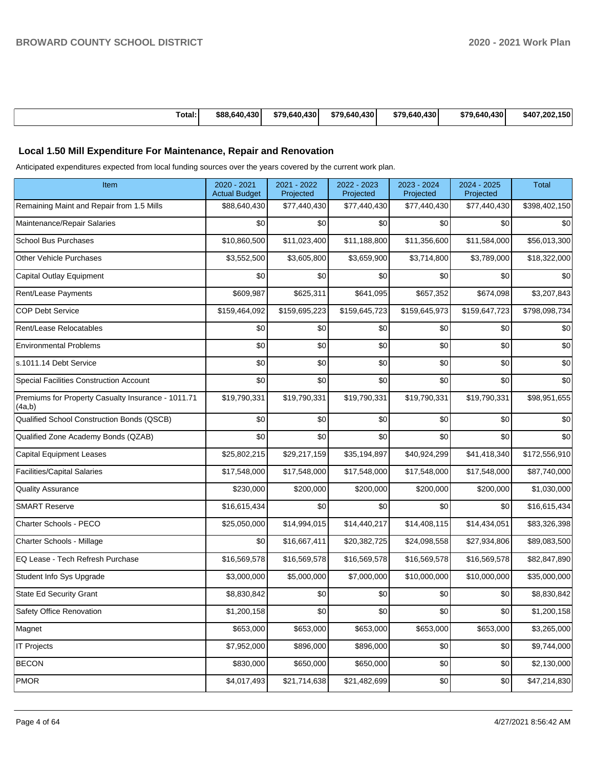|--|

# **Local 1.50 Mill Expenditure For Maintenance, Repair and Renovation**

Anticipated expenditures expected from local funding sources over the years covered by the current work plan.

| Item                                                         | 2020 - 2021<br><b>Actual Budget</b> | 2021 - 2022<br>Projected | 2022 - 2023<br>Projected | 2023 - 2024<br>Projected | 2024 - 2025<br>Projected | <b>Total</b>  |
|--------------------------------------------------------------|-------------------------------------|--------------------------|--------------------------|--------------------------|--------------------------|---------------|
| Remaining Maint and Repair from 1.5 Mills                    | \$88,640,430                        | \$77,440,430             | \$77,440,430             | \$77,440,430             | \$77,440,430             | \$398,402,150 |
| Maintenance/Repair Salaries                                  | \$0                                 | \$0                      | \$0                      | \$0                      | \$0                      | \$0           |
| <b>School Bus Purchases</b>                                  | \$10,860,500                        | \$11,023,400             | \$11,188,800             | \$11,356,600             | \$11,584,000             | \$56,013,300  |
| <b>Other Vehicle Purchases</b>                               | \$3,552,500                         | \$3,605,800              | \$3,659,900              | \$3,714,800              | \$3,789,000              | \$18,322,000  |
| Capital Outlay Equipment                                     | \$0                                 | \$0                      | \$0                      | \$0                      | \$0                      | \$0           |
| Rent/Lease Payments                                          | \$609,987                           | \$625,311                | \$641,095                | \$657,352                | \$674,098                | \$3,207,843   |
| <b>COP Debt Service</b>                                      | \$159,464,092                       | \$159,695,223            | \$159,645,723            | \$159,645,973            | \$159,647,723            | \$798,098,734 |
| Rent/Lease Relocatables                                      | \$0                                 | \$0                      | \$0                      | \$0                      | \$0                      | \$0           |
| <b>Environmental Problems</b>                                | \$0                                 | \$0                      | \$0                      | \$0                      | \$0                      | \$0           |
| s.1011.14 Debt Service                                       | \$0                                 | \$0                      | \$0                      | \$0                      | \$0                      | \$0           |
| Special Facilities Construction Account                      | \$0                                 | \$0                      | \$0                      | \$0                      | \$0                      | \$0           |
| Premiums for Property Casualty Insurance - 1011.71<br>(4a,b) | \$19,790,331                        | \$19,790,331             | \$19,790,331             | \$19,790,331             | \$19,790,331             | \$98,951,655  |
| Qualified School Construction Bonds (QSCB)                   | \$0                                 | \$0                      | \$0                      | \$0                      | \$0                      | \$0           |
| Qualified Zone Academy Bonds (QZAB)                          | \$0                                 | \$0                      | \$0                      | \$0                      | \$0                      | \$0           |
| <b>Capital Equipment Leases</b>                              | \$25,802,215                        | \$29,217,159             | \$35,194,897             | \$40,924,299             | \$41,418,340             | \$172,556,910 |
| <b>Facilities/Capital Salaries</b>                           | \$17,548,000                        | \$17,548,000             | \$17,548,000             | \$17,548,000             | \$17,548,000             | \$87,740,000  |
| <b>Quality Assurance</b>                                     | \$230,000                           | \$200,000                | \$200,000                | \$200,000                | \$200,000                | \$1,030,000   |
| <b>SMART Reserve</b>                                         | \$16,615,434                        | \$0                      | \$0                      | \$0                      | \$0                      | \$16,615,434  |
| Charter Schools - PECO                                       | \$25,050,000                        | \$14,994,015             | \$14,440,217             | \$14,408,115             | \$14,434,051             | \$83,326,398  |
| Charter Schools - Millage                                    | \$0                                 | \$16,667,411             | \$20,382,725             | \$24,098,558             | \$27,934,806             | \$89,083,500  |
| EQ Lease - Tech Refresh Purchase                             | \$16,569,578                        | \$16,569,578             | \$16,569,578             | \$16,569,578             | \$16,569,578             | \$82,847,890  |
| Student Info Sys Upgrade                                     | \$3,000,000                         | \$5,000,000              | \$7,000,000              | \$10,000,000             | \$10,000,000             | \$35,000,000  |
| State Ed Security Grant                                      | \$8,830,842                         | \$0                      | \$0                      | \$0                      | \$0                      | \$8,830,842   |
| Safety Office Renovation                                     | \$1,200,158                         | $\$0$                    | \$0                      | \$0                      | \$0                      | \$1,200,158   |
| Magnet                                                       | \$653,000                           | \$653,000                | \$653,000                | \$653,000                | \$653,000                | \$3,265,000   |
| IT Projects                                                  | \$7,952,000                         | \$896,000                | \$896,000                | \$0                      | \$0                      | \$9,744,000   |
| <b>BECON</b>                                                 | \$830,000                           | \$650,000                | \$650,000                | \$0                      | \$0                      | \$2,130,000   |
| PMOR                                                         | \$4,017,493                         | \$21,714,638             | \$21,482,699             | \$0                      | \$0                      | \$47,214,830  |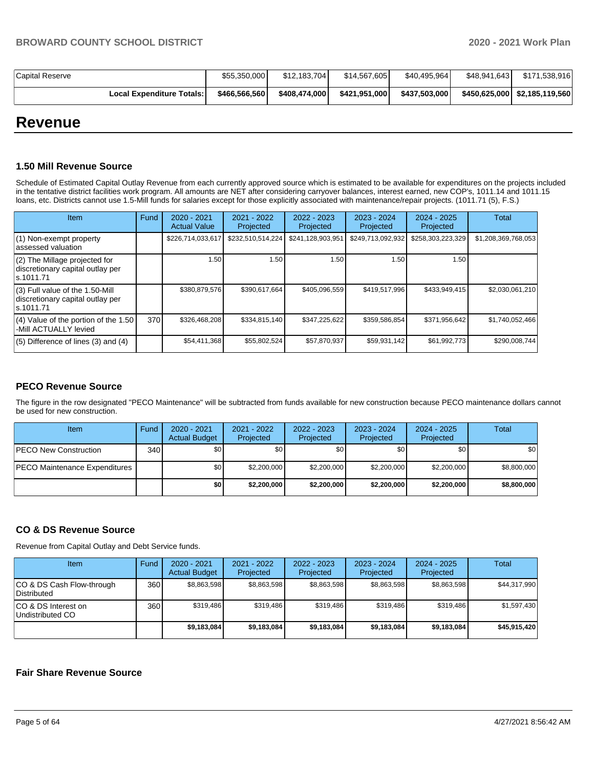| <b>Capital Reserve</b>             | \$55,350,000  | \$12.183.704  | \$14.567.605    | \$40,495,964  | \$48,941,643 | \$171,538,916                 |
|------------------------------------|---------------|---------------|-----------------|---------------|--------------|-------------------------------|
| <b>Local Expenditure Totals: I</b> | \$466.566.560 | \$408.474.000 | \$421.951.000 l | \$437.503.000 |              | \$450,625,000 \$2,185,119,560 |

# **Revenue**

#### **1.50 Mill Revenue Source**

Schedule of Estimated Capital Outlay Revenue from each currently approved source which is estimated to be available for expenditures on the projects included in the tentative district facilities work program. All amounts are NET after considering carryover balances, interest earned, new COP's, 1011.14 and 1011.15 loans, etc. Districts cannot use 1.5-Mill funds for salaries except for those explicitly associated with maintenance/repair projects. (1011.71 (5), F.S.)

| <b>Item</b>                                                                         | Fund | $2020 - 2021$<br><b>Actual Value</b> | $2021 - 2022$<br>Projected | 2022 - 2023<br>Projected | $2023 - 2024$<br>Projected | $2024 - 2025$<br>Projected | Total               |
|-------------------------------------------------------------------------------------|------|--------------------------------------|----------------------------|--------------------------|----------------------------|----------------------------|---------------------|
| (1) Non-exempt property<br>lassessed valuation                                      |      | \$226,714,033,617                    | \$232,510,514,224          | \$241,128,903,951        | \$249,713,092,932          | \$258,303,223,329          | \$1,208,369,768,053 |
| $(2)$ The Millage projected for<br>discretionary capital outlay per<br>ls.1011.71   |      | 1.50                                 | 1.50                       | 1.50                     | 1.50                       | 1.50                       |                     |
| $(3)$ Full value of the 1.50-Mill<br>discretionary capital outlay per<br>ls.1011.71 |      | \$380,879,576                        | \$390,617,664              | \$405,096,559            | \$419,517,996              | \$433,949,415              | \$2,030,061,210     |
| (4) Value of the portion of the 1.50<br>-Mill ACTUALLY levied                       | 370  | \$326,468,208                        | \$334,815,140              | \$347,225,622            | \$359,586,854              | \$371.956.642              | \$1,740,052,466     |
| $(5)$ Difference of lines $(3)$ and $(4)$                                           |      | \$54,411,368                         | \$55,802,524               | \$57,870,937             | \$59,931,142               | \$61,992,773               | \$290,008,744       |

## **PECO Revenue Source**

The figure in the row designated "PECO Maintenance" will be subtracted from funds available for new construction because PECO maintenance dollars cannot be used for new construction.

| <b>Item</b>                          | Fund         | $2020 - 2021$<br><b>Actual Budget</b> | 2021 - 2022<br>Projected | 2022 - 2023<br>Projected | 2023 - 2024<br>Projected | 2024 - 2025<br>Projected | Total            |
|--------------------------------------|--------------|---------------------------------------|--------------------------|--------------------------|--------------------------|--------------------------|------------------|
| <b>IPECO New Construction</b>        | 340 <b>I</b> | \$0                                   | \$0                      | \$0                      | \$0                      | \$0                      | \$0 <sub>1</sub> |
| <b>PECO Maintenance Expenditures</b> |              | \$0                                   | \$2,200,000              | \$2,200,000              | \$2,200,000              | \$2,200,000              | \$8,800,000      |
|                                      |              | \$0                                   | \$2,200,000              | \$2,200,000              | \$2,200,000              | \$2,200,000              | \$8,800,000      |

## **CO & DS Revenue Source**

Revenue from Capital Outlay and Debt Service funds.

| Item                                      | Fund | $2020 - 2021$<br><b>Actual Budget</b> | 2021 - 2022<br>Projected | $2022 - 2023$<br>Projected | $2023 - 2024$<br>Projected | $2024 - 2025$<br>Projected | Total        |
|-------------------------------------------|------|---------------------------------------|--------------------------|----------------------------|----------------------------|----------------------------|--------------|
| ICO & DS Cash Flow-through<br>Distributed | 360  | \$8.863.598                           | \$8,863,598              | \$8.863.598                | \$8.863.598                | \$8,863,598                | \$44,317,990 |
| ICO & DS Interest on<br>Undistributed CO  | 360  | \$319.486                             | \$319.486                | \$319.486                  | \$319.486                  | \$319.486                  | \$1,597,430  |
|                                           |      | \$9.183.084                           | \$9.183.084              | \$9.183.084                | \$9.183.084                | \$9.183.084                | \$45.915.420 |

## **Fair Share Revenue Source**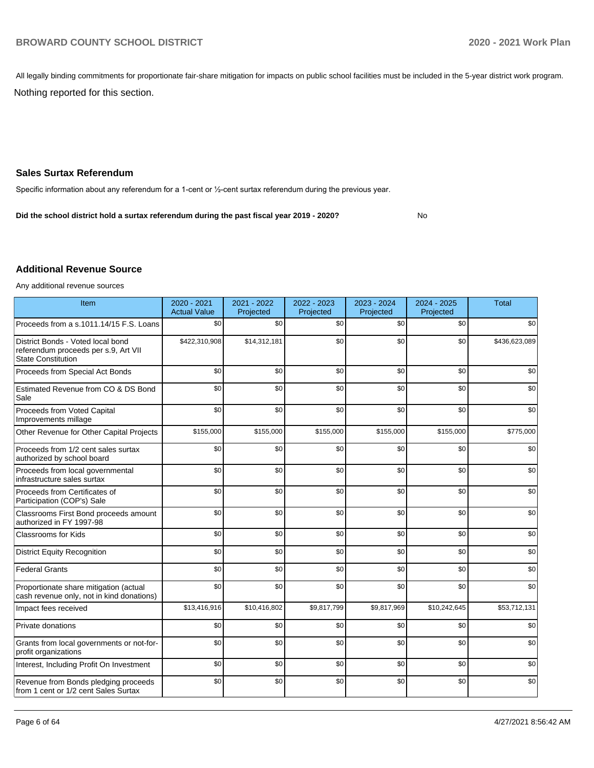All legally binding commitments for proportionate fair-share mitigation for impacts on public school facilities must be included in the 5-year district work program.

Nothing reported for this section.

## **Sales Surtax Referendum**

Specific information about any referendum for a 1-cent or ½-cent surtax referendum during the previous year.

No **Did the school district hold a surtax referendum during the past fiscal year 2019 - 2020?**

## **Additional Revenue Source**

Any additional revenue sources

| Item                                                                                                   | $2020 - 2021$<br><b>Actual Value</b> | 2021 - 2022<br>Projected | 2022 - 2023<br>Projected | $2023 - 2024$<br>Projected | 2024 - 2025<br>Projected | <b>Total</b>  |
|--------------------------------------------------------------------------------------------------------|--------------------------------------|--------------------------|--------------------------|----------------------------|--------------------------|---------------|
| Proceeds from a s.1011.14/15 F.S. Loans                                                                | \$0                                  | \$0                      | \$0                      | \$0                        | \$0                      | \$0           |
| District Bonds - Voted local bond<br>referendum proceeds per s.9, Art VII<br><b>State Constitution</b> | \$422,310,908                        | \$14,312,181             | \$0                      | \$0                        | \$0                      | \$436,623,089 |
| Proceeds from Special Act Bonds                                                                        | \$0                                  | \$0                      | \$0                      | \$0                        | \$0                      | \$0           |
| Estimated Revenue from CO & DS Bond<br>Sale                                                            | \$0                                  | \$0                      | \$0                      | \$0                        | \$0                      | \$0           |
| Proceeds from Voted Capital<br>Improvements millage                                                    | \$0                                  | \$0                      | \$0                      | \$0                        | \$0                      | \$0           |
| Other Revenue for Other Capital Projects                                                               | \$155,000                            | \$155,000                | \$155,000                | \$155,000                  | \$155,000                | \$775,000     |
| Proceeds from 1/2 cent sales surtax<br>authorized by school board                                      | \$0                                  | \$0                      | \$0                      | \$0                        | \$0                      | \$0           |
| Proceeds from local governmental<br>infrastructure sales surtax                                        | \$0                                  | \$0                      | \$0                      | \$0                        | \$0                      | \$0           |
| Proceeds from Certificates of<br>Participation (COP's) Sale                                            | \$0                                  | \$0                      | \$0                      | \$0                        | \$0                      | \$0           |
| Classrooms First Bond proceeds amount<br>authorized in FY 1997-98                                      | \$0                                  | \$0                      | \$0                      | \$0                        | \$0                      | \$0           |
| <b>Classrooms for Kids</b>                                                                             | \$0                                  | \$0                      | \$0                      | \$0                        | \$0                      | \$0           |
| <b>District Equity Recognition</b>                                                                     | \$0                                  | \$0                      | \$0                      | \$0                        | \$0                      | \$0           |
| <b>Federal Grants</b>                                                                                  | \$0                                  | \$0                      | \$0                      | \$0                        | \$0                      | \$0           |
| Proportionate share mitigation (actual<br>cash revenue only, not in kind donations)                    | \$0                                  | \$0                      | \$0                      | \$0                        | \$0                      | \$0           |
| Impact fees received                                                                                   | \$13,416,916                         | \$10,416,802             | \$9,817,799              | \$9,817,969                | \$10,242,645             | \$53,712,131  |
| Private donations                                                                                      | \$0                                  | \$0                      | \$0                      | \$0                        | \$0                      | \$0           |
| Grants from local governments or not-for-<br>profit organizations                                      | \$0                                  | \$0                      | \$0                      | \$0                        | \$0                      | \$0           |
| Interest, Including Profit On Investment                                                               | \$0                                  | \$0                      | \$0                      | \$0                        | \$0                      | \$0           |
| Revenue from Bonds pledging proceeds<br>from 1 cent or 1/2 cent Sales Surtax                           | \$0                                  | \$0                      | \$0                      | \$0                        | \$0                      | \$0           |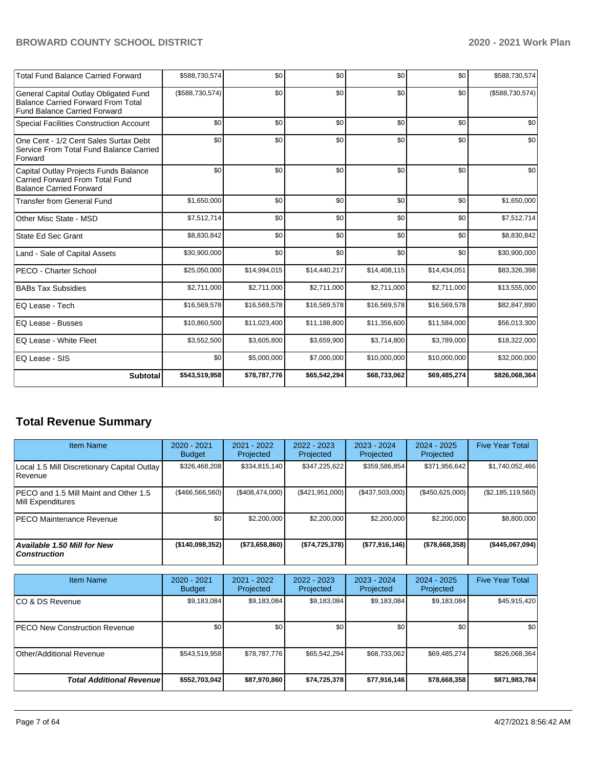| <b>Total Fund Balance Carried Forward</b>                                                                                 | \$588,730,574   | \$0          | \$0          | \$0          | \$0          | \$588,730,574   |
|---------------------------------------------------------------------------------------------------------------------------|-----------------|--------------|--------------|--------------|--------------|-----------------|
| General Capital Outlay Obligated Fund<br><b>Balance Carried Forward From Total</b><br><b>Fund Balance Carried Forward</b> | (\$588,730,574) | \$0          | \$0          | \$0          | \$0          | (\$588,730,574) |
| Special Facilities Construction Account                                                                                   | \$0             | \$0          | \$0          | \$0          | \$0          | \$0             |
| One Cent - 1/2 Cent Sales Surtax Debt<br>Service From Total Fund Balance Carried<br>Forward                               | \$0             | \$0          | \$0          | \$0          | \$0          | \$0             |
| Capital Outlay Projects Funds Balance<br>Carried Forward From Total Fund<br><b>Balance Carried Forward</b>                | \$0             | \$0          | \$0          | \$0          | \$0          | \$0             |
| <b>Transfer from General Fund</b>                                                                                         | \$1,650,000     | \$0          | \$0          | \$0          | \$0          | \$1,650,000     |
| Other Misc State - MSD                                                                                                    | \$7,512,714     | \$0          | \$0          | \$0          | \$0          | \$7,512,714     |
| State Ed Sec Grant                                                                                                        | \$8,830,842     | \$0          | \$0          | \$0          | \$0          | \$8,830,842     |
| Land - Sale of Capital Assets                                                                                             | \$30,900,000    | \$0          | \$0          | \$0          | \$0          | \$30,900,000    |
| PECO - Charter School                                                                                                     | \$25,050,000    | \$14,994,015 | \$14,440,217 | \$14,408,115 | \$14,434,051 | \$83,326,398    |
| <b>BABs Tax Subsidies</b>                                                                                                 | \$2,711,000     | \$2,711,000  | \$2,711,000  | \$2,711,000  | \$2,711,000  | \$13,555,000    |
| EQ Lease - Tech                                                                                                           | \$16,569,578    | \$16,569,578 | \$16,569,578 | \$16,569,578 | \$16,569,578 | \$82,847,890    |
| EQ Lease - Busses                                                                                                         | \$10,860,500    | \$11,023,400 | \$11,188,800 | \$11,356,600 | \$11,584,000 | \$56,013,300    |
| EQ Lease - White Fleet                                                                                                    | \$3,552,500     | \$3,605,800  | \$3,659,900  | \$3,714,800  | \$3,789,000  | \$18,322,000    |
| EQ Lease - SIS                                                                                                            | \$0             | \$5,000,000  | \$7,000,000  | \$10,000,000 | \$10,000,000 | \$32,000,000    |
| Subtotal                                                                                                                  | \$543,519,958   | \$78,787,776 | \$65,542,294 | \$68,733,062 | \$69,485,274 | \$826,068,364   |

# **Total Revenue Summary**

| Item Name                                                   | $2020 - 2021$<br><b>Budget</b> | 2021 - 2022<br>Projected | 2022 - 2023<br>Projected | $2023 - 2024$<br>Projected | $2024 - 2025$<br>Projected | <b>Five Year Total</b> |
|-------------------------------------------------------------|--------------------------------|--------------------------|--------------------------|----------------------------|----------------------------|------------------------|
| Local 1.5 Mill Discretionary Capital Outlay<br>Revenue      | \$326,468,208                  | \$334,815,140            | \$347,225,622            | \$359,586,854              | \$371,956,642              | \$1,740,052,466        |
| IPECO and 1.5 Mill Maint and Other 1.5<br>Mill Expenditures | (\$466,566,560)                | (S408.474.000)           | (\$421,951,000)          | (\$437,503,000)            | (\$450,625,000)            | (\$2,185,119,560)      |
| <b>IPECO Maintenance Revenue</b>                            | \$0                            | \$2,200,000              | \$2,200,000              | \$2,200,000                | \$2,200,000                | \$8,800,000            |
| Available 1.50 Mill for New<br>  Construction               | ( \$140,098,352)               | (\$73,658,860)           | (\$74,725,378)           | (\$77,916,146)             | ( \$78,668,358]            | (\$445,067,094)        |

| <b>Item Name</b>                      | 2020 - 2021<br><b>Budget</b> | 2021 - 2022<br>Projected | 2022 - 2023<br>Projected | 2023 - 2024<br>Projected | 2024 - 2025<br>Projected | <b>Five Year Total</b> |
|---------------------------------------|------------------------------|--------------------------|--------------------------|--------------------------|--------------------------|------------------------|
| ICO & DS Revenue                      | \$9,183,084                  | \$9,183,084              | \$9,183,084              | \$9,183,084              | \$9,183,084              | \$45,915,420           |
| <b>IPECO New Construction Revenue</b> | \$0                          | \$0                      | \$0                      | \$0                      | \$0                      | \$0                    |
| Other/Additional Revenue              | \$543,519,958                | \$78,787,776             | \$65,542,294             | \$68,733,062             | \$69,485,274             | \$826,068,364          |
| <b>Total Additional Revenuel</b>      | \$552,703,042                | \$87,970,860             | \$74,725,378             | \$77,916,146             | \$78,668,358             | \$871,983,784          |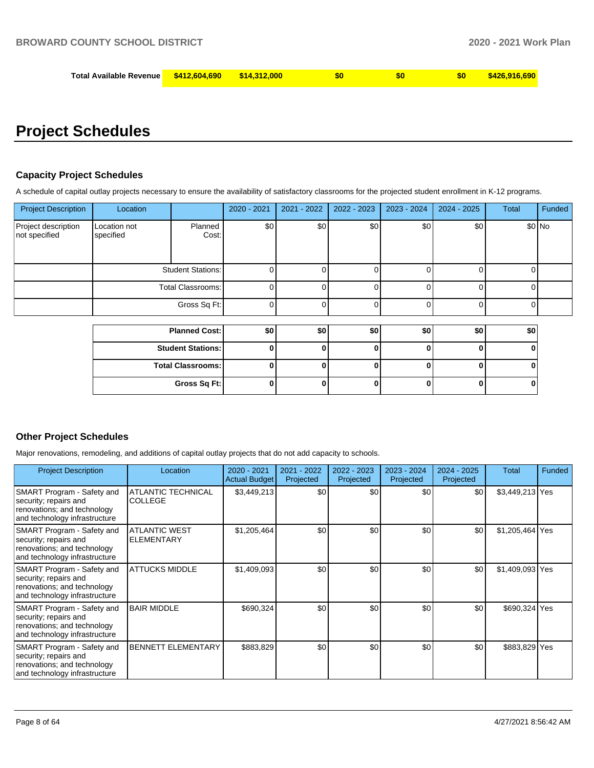| Total Available Revenue L | \$412.604.690 | <u>ж1л</u> |  |  |
|---------------------------|---------------|------------|--|--|
|                           |               |            |  |  |

# **Project Schedules**

## **Capacity Project Schedules**

A schedule of capital outlay projects necessary to ensure the availability of satisfactory classrooms for the projected student enrollment in K-12 programs.

| <b>Project Description</b>           | Location                  |                          | 2020 - 2021 | $2021 - 2022$ | 2022 - 2023 | 2023 - 2024 | 2024 - 2025 | Total | Funded |
|--------------------------------------|---------------------------|--------------------------|-------------|---------------|-------------|-------------|-------------|-------|--------|
| Project description<br>not specified | Location not<br>specified | Planned<br>Cost:         | \$0         | \$0           | \$0         | \$0         | \$0         |       | \$0 No |
|                                      |                           | <b>Student Stations:</b> | 0           |               | ∩           |             | 0           | 0     |        |
|                                      |                           | Total Classrooms:        | 0           |               | $\Omega$    |             | 0           | U     |        |
|                                      |                           | Gross Sq Ft:             | 0           |               | 0           |             | 0           | 0     |        |
|                                      |                           |                          |             |               |             |             |             |       |        |
|                                      |                           | <b>Planned Cost:</b>     | \$0         | \$0           | \$0         | \$0         | \$0         | \$0   |        |
|                                      |                           | <b>Student Stations:</b> | 0           |               | 0           |             | 0           | ŋ     |        |
|                                      |                           | <b>Total Classrooms:</b> | 0           |               | O           |             | $\bf{0}$    | 0     |        |

**Gross Sq Ft: 0 0 0 0 0 0**

## **Other Project Schedules**

Major renovations, remodeling, and additions of capital outlay projects that do not add capacity to schools.

| <b>Project Description</b>                                                                                          | Location                                    | $2020 - 2021$<br><b>Actual Budget</b> | 2021 - 2022<br>Projected | $2022 - 2023$<br>Projected | 2023 - 2024<br>Projected | $2024 - 2025$<br>Projected | Total           | <b>Funded</b> |
|---------------------------------------------------------------------------------------------------------------------|---------------------------------------------|---------------------------------------|--------------------------|----------------------------|--------------------------|----------------------------|-----------------|---------------|
| SMART Program - Safety and<br>security; repairs and<br>renovations; and technology<br>and technology infrastructure | <b>ATLANTIC TECHNICAL</b><br><b>COLLEGE</b> | \$3,449,213                           | \$0                      | \$0                        | \$0                      | \$0                        | \$3,449,213 Yes |               |
| SMART Program - Safety and<br>security; repairs and<br>renovations; and technology<br>and technology infrastructure | <b>ATLANTIC WEST</b><br><b>ELEMENTARY</b>   | \$1,205,464                           | \$0                      | \$0                        | \$0                      | \$0                        | \$1,205,464 Yes |               |
| SMART Program - Safety and<br>security; repairs and<br>renovations; and technology<br>and technology infrastructure | <b>ATTUCKS MIDDLE</b>                       | \$1,409,093                           | \$0                      | \$0                        | \$0                      | \$0                        | \$1,409,093 Yes |               |
| SMART Program - Safety and<br>security; repairs and<br>renovations; and technology<br>and technology infrastructure | <b>BAIR MIDDLE</b>                          | \$690,324                             | \$0                      | \$0                        | \$0                      | \$0                        | \$690,324 Yes   |               |
| SMART Program - Safety and<br>security; repairs and<br>renovations; and technology<br>and technology infrastructure | <b>BENNETT ELEMENTARY</b>                   | \$883,829                             | \$0                      | \$0                        | \$0                      | \$0                        | \$883,829 Yes   |               |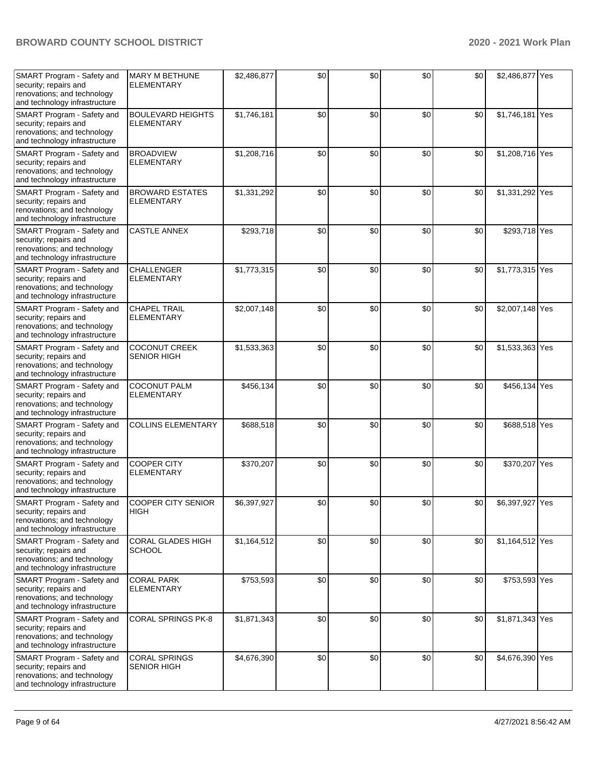| SMART Program - Safety and<br>security; repairs and<br>renovations; and technology<br>and technology infrastructure | <b>MARY M BETHUNE</b><br><b>ELEMENTARY</b>    | \$2,486,877 | \$0 | \$0 | \$0 | \$0 | \$2,486,877 Yes |  |
|---------------------------------------------------------------------------------------------------------------------|-----------------------------------------------|-------------|-----|-----|-----|-----|-----------------|--|
| SMART Program - Safety and<br>security; repairs and<br>renovations; and technology<br>and technology infrastructure | <b>BOULEVARD HEIGHTS</b><br><b>ELEMENTARY</b> | \$1,746,181 | \$0 | \$0 | \$0 | \$0 | \$1,746,181 Yes |  |
| SMART Program - Safety and<br>security; repairs and<br>renovations; and technology<br>and technology infrastructure | <b>BROADVIEW</b><br><b>ELEMENTARY</b>         | \$1,208,716 | \$0 | \$0 | \$0 | \$0 | \$1,208,716 Yes |  |
| SMART Program - Safety and<br>security; repairs and<br>renovations; and technology<br>and technology infrastructure | <b>BROWARD ESTATES</b><br><b>ELEMENTARY</b>   | \$1,331,292 | \$0 | \$0 | \$0 | \$0 | \$1,331,292 Yes |  |
| SMART Program - Safety and<br>security; repairs and<br>renovations; and technology<br>and technology infrastructure | <b>CASTLE ANNEX</b>                           | \$293,718   | \$0 | \$0 | \$0 | \$0 | \$293,718 Yes   |  |
| SMART Program - Safety and<br>security; repairs and<br>renovations; and technology<br>and technology infrastructure | CHALLENGER<br><b>ELEMENTARY</b>               | \$1,773,315 | \$0 | \$0 | \$0 | \$0 | \$1,773,315 Yes |  |
| SMART Program - Safety and<br>security; repairs and<br>renovations; and technology<br>and technology infrastructure | <b>CHAPEL TRAIL</b><br><b>ELEMENTARY</b>      | \$2,007,148 | \$0 | \$0 | \$0 | \$0 | \$2,007,148 Yes |  |
| SMART Program - Safety and<br>security; repairs and<br>renovations; and technology<br>and technology infrastructure | <b>COCONUT CREEK</b><br><b>SENIOR HIGH</b>    | \$1,533,363 | \$0 | \$0 | \$0 | \$0 | \$1,533,363 Yes |  |
| SMART Program - Safety and<br>security; repairs and<br>renovations; and technology<br>and technology infrastructure | <b>COCONUT PALM</b><br><b>ELEMENTARY</b>      | \$456,134   | \$0 | \$0 | \$0 | \$0 | \$456,134 Yes   |  |
| SMART Program - Safety and<br>security; repairs and<br>renovations; and technology<br>and technology infrastructure | <b>COLLINS ELEMENTARY</b>                     | \$688,518   | \$0 | \$0 | \$0 | \$0 | \$688,518 Yes   |  |
| SMART Program - Safety and<br>security; repairs and<br>renovations; and technology<br>and technology infrastructure | <b>COOPER CITY</b><br><b>ELEMENTARY</b>       | \$370,207   | \$0 | \$0 | \$0 | \$0 | \$370,207 Yes   |  |
| SMART Program - Safety and<br>security; repairs and<br>renovations; and technology<br>and technology infrastructure | COOPER CITY SENIOR<br><b>HIGH</b>             | \$6,397,927 | \$0 | \$0 | \$0 | \$0 | \$6,397,927 Yes |  |
| SMART Program - Safety and<br>security; repairs and<br>renovations; and technology<br>and technology infrastructure | CORAL GLADES HIGH<br><b>SCHOOL</b>            | \$1,164,512 | \$0 | \$0 | \$0 | \$0 | \$1,164,512 Yes |  |
| SMART Program - Safety and<br>security; repairs and<br>renovations; and technology<br>and technology infrastructure | <b>CORAL PARK</b><br><b>ELEMENTARY</b>        | \$753,593   | \$0 | \$0 | \$0 | \$0 | \$753,593 Yes   |  |
| SMART Program - Safety and<br>security; repairs and<br>renovations; and technology<br>and technology infrastructure | CORAL SPRINGS PK-8                            | \$1,871,343 | \$0 | \$0 | \$0 | \$0 | \$1,871,343 Yes |  |
| SMART Program - Safety and<br>security; repairs and<br>renovations; and technology<br>and technology infrastructure | <b>CORAL SPRINGS</b><br><b>SENIOR HIGH</b>    | \$4,676,390 | \$0 | \$0 | \$0 | \$0 | \$4,676,390 Yes |  |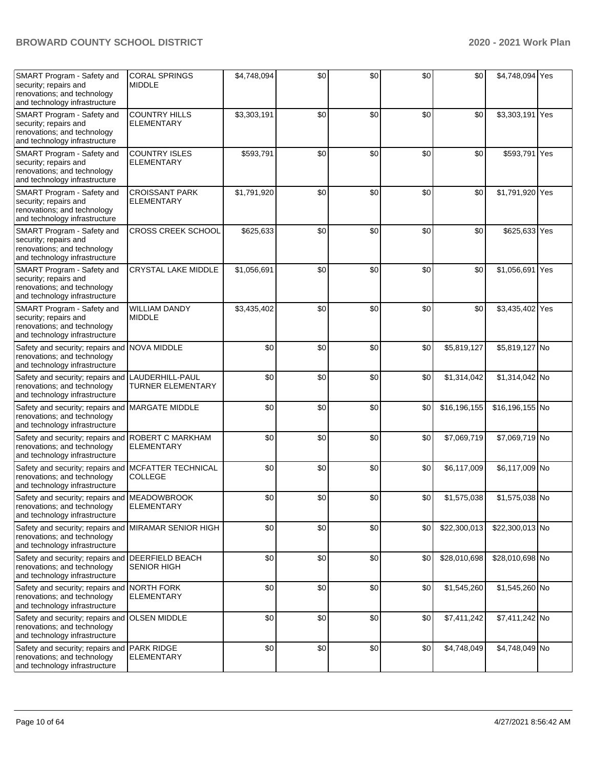| SMART Program - Safety and<br>security; repairs and<br>renovations; and technology<br>and technology infrastructure  | <b>CORAL SPRINGS</b><br><b>MIDDLE</b>        | \$4,748,094 | \$0 | \$0 | \$0 | \$0          | \$4,748,094 Yes |     |
|----------------------------------------------------------------------------------------------------------------------|----------------------------------------------|-------------|-----|-----|-----|--------------|-----------------|-----|
| SMART Program - Safety and<br>security; repairs and<br>renovations; and technology<br>and technology infrastructure  | <b>COUNTRY HILLS</b><br><b>ELEMENTARY</b>    | \$3,303,191 | \$0 | \$0 | \$0 | \$0          | \$3,303,191     | Yes |
| SMART Program - Safety and<br>security; repairs and<br>renovations; and technology<br>and technology infrastructure  | <b>COUNTRY ISLES</b><br><b>ELEMENTARY</b>    | \$593,791   | \$0 | \$0 | \$0 | \$0          | \$593,791       | Yes |
| SMART Program - Safety and<br>security; repairs and<br>renovations; and technology<br>and technology infrastructure  | <b>CROISSANT PARK</b><br><b>ELEMENTARY</b>   | \$1,791,920 | \$0 | \$0 | \$0 | \$0          | \$1,791,920 Yes |     |
| SMART Program - Safety and<br>security; repairs and<br>renovations; and technology<br>and technology infrastructure  | <b>CROSS CREEK SCHOOL</b>                    | \$625,633   | \$0 | \$0 | \$0 | \$0          | \$625,633 Yes   |     |
| SMART Program - Safety and<br>security; repairs and<br>renovations; and technology<br>and technology infrastructure  | CRYSTAL LAKE MIDDLE                          | \$1,056,691 | \$0 | \$0 | \$0 | \$0          | \$1,056,691     | Yes |
| SMART Program - Safety and<br>security; repairs and<br>renovations; and technology<br>and technology infrastructure  | <b>WILLIAM DANDY</b><br><b>MIDDLE</b>        | \$3,435,402 | \$0 | \$0 | \$0 | \$0          | \$3,435,402 Yes |     |
| Safety and security; repairs and NOVA MIDDLE<br>renovations; and technology<br>and technology infrastructure         |                                              | \$0         | \$0 | \$0 | \$0 | \$5,819,127  | \$5,819,127 No  |     |
| Safety and security; repairs and LAUDERHILL-PAUL<br>renovations; and technology<br>and technology infrastructure     | <b>TURNER ELEMENTARY</b>                     | \$0         | \$0 | \$0 | \$0 | \$1,314,042  | \$1,314,042 No  |     |
| Safety and security; repairs and MARGATE MIDDLE<br>renovations; and technology<br>and technology infrastructure      |                                              | \$0         | \$0 | \$0 | \$0 | \$16,196,155 | \$16,196,155 No |     |
| Safety and security; repairs and<br>renovations; and technology<br>and technology infrastructure                     | <b>ROBERT C MARKHAM</b><br><b>ELEMENTARY</b> | \$0         | \$0 | \$0 | \$0 | \$7,069,719  | \$7,069,719 No  |     |
| Safety and security; repairs and MCFATTER TECHNICAL<br>renovations; and technology<br>and technology infrastructure  | <b>COLLEGE</b>                               | \$0         | \$0 | \$0 | \$0 | \$6,117,009  | \$6,117,009 No  |     |
| Safety and security; repairs and MEADOWBROOK<br>renovations; and technology<br>and technology infrastructure         | ELEMENTARY                                   | \$0         | \$0 | \$0 | \$0 | \$1,575,038  | \$1,575,038 No  |     |
| Safety and security; repairs and MIRAMAR SENIOR HIGH<br>renovations; and technology<br>and technology infrastructure |                                              | \$0         | \$0 | \$0 | \$0 | \$22,300,013 | \$22,300,013 No |     |
| Safety and security; repairs and DEERFIELD BEACH<br>renovations; and technology<br>and technology infrastructure     | <b>SENIOR HIGH</b>                           | \$0         | \$0 | \$0 | \$0 | \$28,010,698 | \$28,010,698 No |     |
| Safety and security; repairs and NORTH FORK<br>renovations; and technology<br>and technology infrastructure          | <b>ELEMENTARY</b>                            | \$0         | \$0 | \$0 | \$0 | \$1,545,260  | \$1,545,260 No  |     |
| Safety and security; repairs and<br>renovations; and technology<br>and technology infrastructure                     | <b>OLSEN MIDDLE</b>                          | \$0         | \$0 | \$0 | \$0 | \$7,411,242  | \$7,411,242 No  |     |
| Safety and security; repairs and<br>renovations; and technology<br>and technology infrastructure                     | <b>PARK RIDGE</b><br><b>ELEMENTARY</b>       | \$0         | \$0 | \$0 | \$0 | \$4,748,049  | \$4,748,049 No  |     |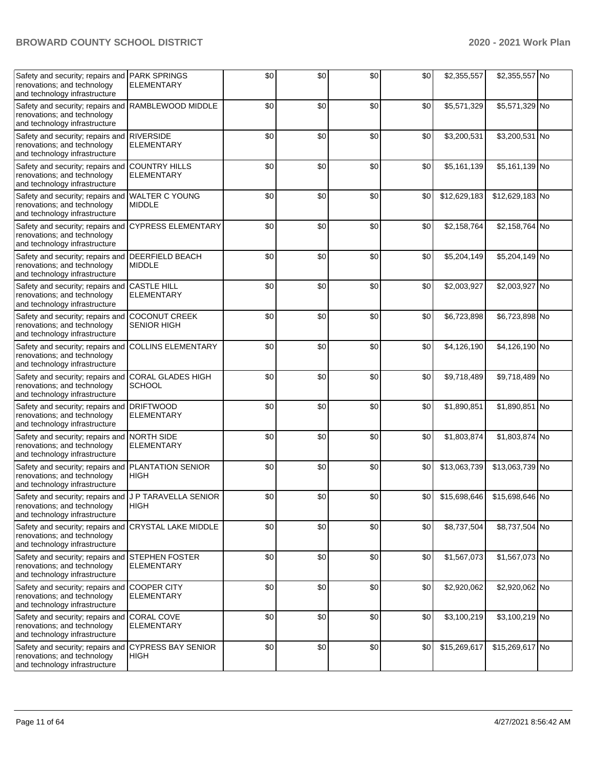| Safety and security; repairs and<br>renovations; and technology<br>and technology infrastructure                      | <b>PARK SPRINGS</b><br><b>ELEMENTARY</b>   | \$0 | \$0 | \$0 | \$0 | \$2,355,557  | \$2,355,557 No  |  |
|-----------------------------------------------------------------------------------------------------------------------|--------------------------------------------|-----|-----|-----|-----|--------------|-----------------|--|
| Safety and security; repairs and<br>renovations; and technology<br>and technology infrastructure                      | RAMBLEWOOD MIDDLE                          | \$0 | \$0 | \$0 | \$0 | \$5,571,329  | \$5,571,329 No  |  |
| Safety and security; repairs and<br>renovations; and technology<br>and technology infrastructure                      | <b>RIVERSIDE</b><br><b>ELEMENTARY</b>      | \$0 | \$0 | \$0 | \$0 | \$3,200,531  | \$3,200,531 No  |  |
| Safety and security; repairs and<br>renovations; and technology<br>and technology infrastructure                      | <b>COUNTRY HILLS</b><br><b>ELEMENTARY</b>  | \$0 | \$0 | \$0 | \$0 | \$5,161,139  | \$5,161,139 No  |  |
| Safety and security; repairs and WALTER C YOUNG<br>renovations; and technology<br>and technology infrastructure       | <b>MIDDLE</b>                              | \$0 | \$0 | \$0 | \$0 | \$12,629,183 | \$12,629,183 No |  |
| Safety and security; repairs and CYPRESS ELEMENTARY<br>renovations; and technology<br>and technology infrastructure   |                                            | \$0 | \$0 | \$0 | \$0 | \$2,158,764  | \$2,158,764 No  |  |
| Safety and security; repairs and<br>renovations; and technology<br>and technology infrastructure                      | <b>DEERFIELD BEACH</b><br><b>MIDDLE</b>    | \$0 | \$0 | \$0 | \$0 | \$5,204,149  | \$5,204,149 No  |  |
| Safety and security; repairs and<br>renovations; and technology<br>and technology infrastructure                      | <b>CASTLE HILL</b><br><b>ELEMENTARY</b>    | \$0 | \$0 | \$0 | \$0 | \$2,003,927  | \$2,003,927 No  |  |
| Safety and security; repairs and<br>renovations; and technology<br>and technology infrastructure                      | <b>COCONUT CREEK</b><br><b>SENIOR HIGH</b> | \$0 | \$0 | \$0 | \$0 | \$6,723,898  | \$6,723,898 No  |  |
| Safety and security; repairs and<br>renovations; and technology<br>and technology infrastructure                      | <b>COLLINS ELEMENTARY</b>                  | \$0 | \$0 | \$0 | \$0 | \$4,126,190  | \$4,126,190 No  |  |
| Safety and security; repairs and<br>renovations; and technology<br>and technology infrastructure                      | <b>CORAL GLADES HIGH</b><br><b>SCHOOL</b>  | \$0 | \$0 | \$0 | \$0 | \$9,718,489  | \$9,718,489 No  |  |
| Safety and security; repairs and DRIFTWOOD<br>renovations; and technology<br>and technology infrastructure            | <b>ELEMENTARY</b>                          | \$0 | \$0 | \$0 | \$0 | \$1,890,851  | \$1,890,851 No  |  |
| Safety and security; repairs and NORTH SIDE<br>renovations; and technology<br>and technology infrastructure           | <b>ELEMENTARY</b>                          | \$0 | \$0 | \$0 | \$0 | \$1,803,874  | \$1,803,874 No  |  |
| Safety and security; repairs and<br>renovations; and technology<br>and technology infrastructure                      | <b>PLANTATION SENIOR</b><br><b>HIGH</b>    | \$0 | \$0 | \$0 | \$0 | \$13,063,739 | \$13,063,739 No |  |
| Safety and security; repairs and J P TARAVELLA SENIOR<br>renovations; and technology<br>and technology infrastructure | HIGH                                       | \$0 | \$0 | \$0 | \$0 | \$15,698,646 | \$15,698,646 No |  |
| Safety and security; repairs and<br>renovations; and technology<br>and technology infrastructure                      | CRYSTAL LAKE MIDDLE                        | \$0 | \$0 | \$0 | \$0 | \$8,737,504  | \$8,737,504 No  |  |
| Safety and security; repairs and STEPHEN FOSTER<br>renovations; and technology<br>and technology infrastructure       | <b>ELEMENTARY</b>                          | \$0 | \$0 | \$0 | \$0 | \$1,567,073  | \$1,567,073 No  |  |
| Safety and security; repairs and COOPER CITY<br>renovations; and technology<br>and technology infrastructure          | <b>ELEMENTARY</b>                          | \$0 | \$0 | \$0 | \$0 | \$2,920,062  | \$2,920,062 No  |  |
| Safety and security; repairs and<br>renovations; and technology<br>and technology infrastructure                      | <b>CORAL COVE</b><br><b>ELEMENTARY</b>     | \$0 | \$0 | \$0 | \$0 | \$3,100,219  | \$3,100,219 No  |  |
| Safety and security; repairs and<br>renovations; and technology<br>and technology infrastructure                      | <b>CYPRESS BAY SENIOR</b><br><b>HIGH</b>   | \$0 | \$0 | \$0 | \$0 | \$15,269,617 | \$15,269,617 No |  |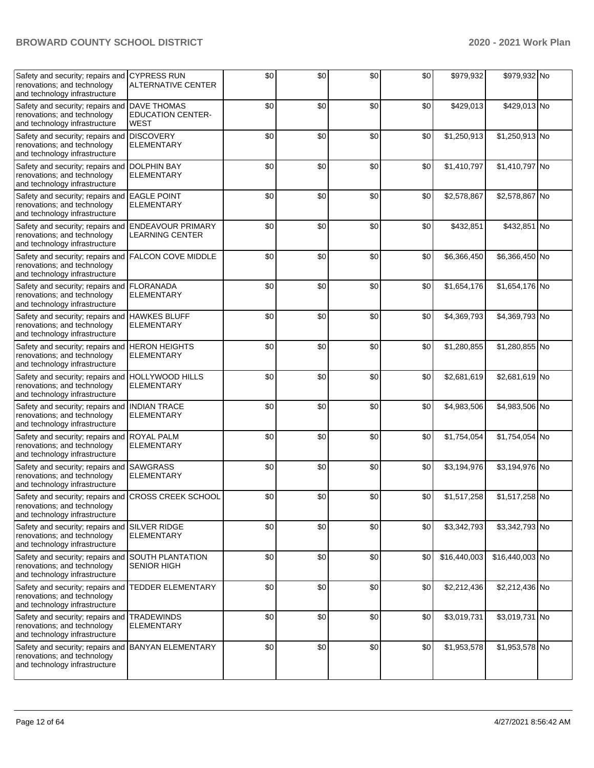| Safety and security; repairs and<br>renovations; and technology<br>and technology infrastructure                   | <b>CYPRESS RUN</b><br><b>ALTERNATIVE CENTER</b>        | \$0 | \$0 | \$0 | \$0 | \$979,932    | \$979,932 No    |  |
|--------------------------------------------------------------------------------------------------------------------|--------------------------------------------------------|-----|-----|-----|-----|--------------|-----------------|--|
| Safety and security; repairs and<br>renovations; and technology<br>and technology infrastructure                   | <b>DAVE THOMAS</b><br><b>EDUCATION CENTER-</b><br>WEST | \$0 | \$0 | \$0 | \$0 | \$429,013    | \$429,013 No    |  |
| Safety and security; repairs and<br>renovations; and technology<br>and technology infrastructure                   | <b>DISCOVERY</b><br>ELEMENTARY                         | \$0 | \$0 | \$0 | \$0 | \$1,250,913  | \$1,250,913 No  |  |
| Safety and security; repairs and<br>renovations; and technology<br>and technology infrastructure                   | <b>DOLPHIN BAY</b><br><b>ELEMENTARY</b>                | \$0 | \$0 | \$0 | \$0 | \$1,410,797  | \$1,410,797 No  |  |
| Safety and security; repairs and<br>renovations; and technology<br>and technology infrastructure                   | <b>EAGLE POINT</b><br><b>ELEMENTARY</b>                | \$0 | \$0 | \$0 | \$0 | \$2,578,867  | \$2,578,867 No  |  |
| Safety and security; repairs and ENDEAVOUR PRIMARY<br>renovations; and technology<br>and technology infrastructure | <b>LEARNING CENTER</b>                                 | \$0 | \$0 | \$0 | \$0 | \$432,851    | \$432,851 No    |  |
| Safety and security; repairs and<br>renovations; and technology<br>and technology infrastructure                   | <b>FALCON COVE MIDDLE</b>                              | \$0 | \$0 | \$0 | \$0 | \$6,366,450  | \$6,366,450 No  |  |
| Safety and security; repairs and<br>renovations; and technology<br>and technology infrastructure                   | <b>FLORANADA</b><br><b>ELEMENTARY</b>                  | \$0 | \$0 | \$0 | \$0 | \$1,654,176  | \$1,654,176 No  |  |
| Safety and security; repairs and<br>renovations; and technology<br>and technology infrastructure                   | <b>HAWKES BLUFF</b><br><b>ELEMENTARY</b>               | \$0 | \$0 | \$0 | \$0 | \$4,369,793  | \$4,369,793 No  |  |
| Safety and security; repairs and<br>renovations; and technology<br>and technology infrastructure                   | <b>HERON HEIGHTS</b><br>ELEMENTARY                     | \$0 | \$0 | \$0 | \$0 | \$1,280,855  | \$1,280,855 No  |  |
| Safety and security; repairs and<br>renovations; and technology<br>and technology infrastructure                   | <b>HOLLYWOOD HILLS</b><br><b>ELEMENTARY</b>            | \$0 | \$0 | \$0 | \$0 | \$2,681,619  | \$2,681,619 No  |  |
| Safety and security; repairs and<br>renovations; and technology<br>and technology infrastructure                   | <b>INDIAN TRACE</b><br><b>ELEMENTARY</b>               | \$0 | \$0 | \$0 | \$0 | \$4,983,506  | \$4,983,506 No  |  |
| Safety and security; repairs and<br>renovations; and technology<br>and technology infrastructure                   | <b>ROYAL PALM</b><br><b>ELEMENTARY</b>                 | \$0 | \$0 | \$0 | \$0 | \$1,754,054  | \$1,754,054 No  |  |
| Safety and security; repairs and<br>renovations; and technology<br>and technology infrastructure                   | <b>SAWGRASS</b><br><b>ELEMENTARY</b>                   | \$0 | \$0 | \$0 | \$0 | \$3,194,976  | \$3,194,976 No  |  |
| Safety and security; repairs and<br>renovations; and technology<br>and technology infrastructure                   | <b>CROSS CREEK SCHOOL</b>                              | \$0 | \$0 | \$0 | \$0 | \$1,517,258  | \$1,517,258 No  |  |
| Safety and security; repairs and<br>renovations; and technology<br>and technology infrastructure                   | <b>SILVER RIDGE</b><br><b>ELEMENTARY</b>               | \$0 | \$0 | \$0 | \$0 | \$3,342,793  | \$3,342,793 No  |  |
| Safety and security; repairs and<br>renovations; and technology<br>and technology infrastructure                   | <b>SOUTH PLANTATION</b><br><b>SENIOR HIGH</b>          | \$0 | \$0 | \$0 | \$0 | \$16,440,003 | \$16,440,003 No |  |
| Safety and security; repairs and TEDDER ELEMENTARY<br>renovations; and technology<br>and technology infrastructure |                                                        | \$0 | \$0 | \$0 | \$0 | \$2,212,436  | \$2,212,436 No  |  |
| Safety and security; repairs and<br>renovations; and technology<br>and technology infrastructure                   | <b>TRADEWINDS</b><br><b>ELEMENTARY</b>                 | \$0 | \$0 | \$0 | \$0 | \$3,019,731  | \$3,019,731 No  |  |
| Safety and security; repairs and<br>renovations; and technology<br>and technology infrastructure                   | <b>BANYAN ELEMENTARY</b>                               | \$0 | \$0 | \$0 | \$0 | \$1,953,578  | \$1,953,578 No  |  |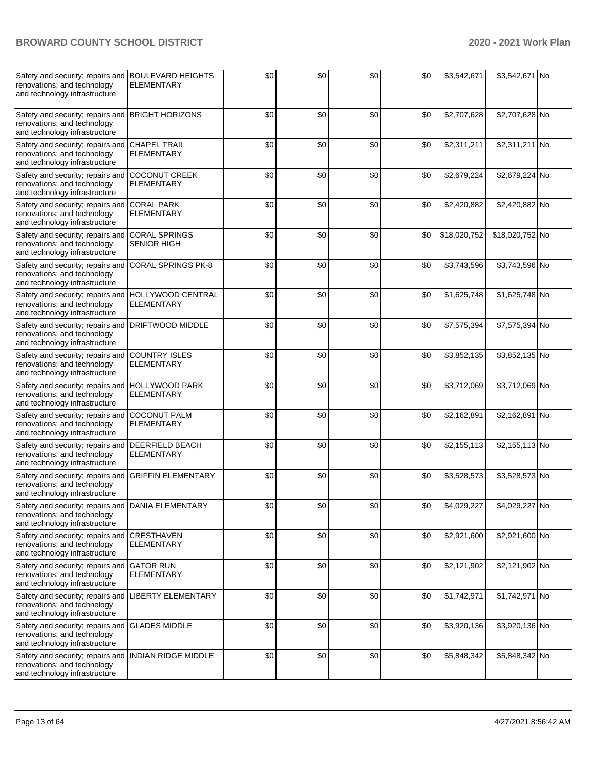| Safety and security; repairs and BOULEVARD HEIGHTS<br>renovations; and technology<br>and technology infrastructure | <b>ELEMENTARY</b>                           | \$0 | \$0 | \$0 | \$0 | \$3,542,671  | \$3,542,671 No  |  |
|--------------------------------------------------------------------------------------------------------------------|---------------------------------------------|-----|-----|-----|-----|--------------|-----------------|--|
| Safety and security; repairs and<br>renovations; and technology<br>and technology infrastructure                   | <b>BRIGHT HORIZONS</b>                      | \$0 | \$0 | \$0 | \$0 | \$2,707,628  | \$2,707,628 No  |  |
| Safety and security; repairs and<br>renovations; and technology<br>and technology infrastructure                   | <b>CHAPEL TRAIL</b><br><b>ELEMENTARY</b>    | \$0 | \$0 | \$0 | \$0 | \$2,311,211  | \$2,311,211 No  |  |
| Safety and security; repairs and<br>renovations; and technology<br>and technology infrastructure                   | <b>COCONUT CREEK</b><br><b>ELEMENTARY</b>   | \$0 | \$0 | \$0 | \$0 | \$2,679,224  | \$2,679,224 No  |  |
| Safety and security; repairs and<br>renovations; and technology<br>and technology infrastructure                   | <b>CORAL PARK</b><br><b>ELEMENTARY</b>      | \$0 | \$0 | \$0 | \$0 | \$2,420,882  | \$2,420,882 No  |  |
| Safety and security; repairs and<br>renovations; and technology<br>and technology infrastructure                   | <b>CORAL SPRINGS</b><br><b>SENIOR HIGH</b>  | \$0 | \$0 | \$0 | \$0 | \$18,020,752 | \$18,020,752 No |  |
| Safety and security; repairs and<br>renovations; and technology<br>and technology infrastructure                   | <b>CORAL SPRINGS PK-8</b>                   | \$0 | \$0 | \$0 | \$0 | \$3,743,596  | \$3,743,596 No  |  |
| Safety and security; repairs and<br>renovations; and technology<br>and technology infrastructure                   | HOLLYWOOD CENTRAL<br><b>ELEMENTARY</b>      | \$0 | \$0 | \$0 | \$0 | \$1,625,748  | \$1,625,748 No  |  |
| Safety and security; repairs and<br>renovations; and technology<br>and technology infrastructure                   | <b>DRIFTWOOD MIDDLE</b>                     | \$0 | \$0 | \$0 | \$0 | \$7,575,394  | \$7,575,394 No  |  |
| Safety and security; repairs and<br>renovations; and technology<br>and technology infrastructure                   | <b>COUNTRY ISLES</b><br><b>ELEMENTARY</b>   | \$0 | \$0 | \$0 | \$0 | \$3,852,135  | \$3,852,135 No  |  |
| Safety and security; repairs and<br>renovations; and technology<br>and technology infrastructure                   | <b>HOLLYWOOD PARK</b><br><b>ELEMENTARY</b>  | \$0 | \$0 | \$0 | \$0 | \$3,712,069  | \$3,712,069 No  |  |
| Safety and security; repairs and<br>renovations; and technology<br>and technology infrastructure                   | <b>COCONUT PALM</b><br><b>ELEMENTARY</b>    | \$0 | \$0 | \$0 | \$0 | \$2,162,891  | \$2,162,891 No  |  |
| Safety and security; repairs and<br>renovations; and technology<br>and technology infrastructure                   | <b>DEERFIELD BEACH</b><br><b>ELEMENTARY</b> | \$0 | \$0 | \$0 | \$0 | \$2,155,113  | \$2,155,113 No  |  |
| Safety and security; repairs and<br>renovations; and technology<br>and technology infrastructure                   | <b>GRIFFIN ELEMENTARY</b>                   | \$0 | \$0 | \$0 | \$0 | \$3,528,573  | \$3,528,573 No  |  |
| Safety and security; repairs and DANIA ELEMENTARY<br>renovations; and technology<br>and technology infrastructure  |                                             | \$0 | \$0 | \$0 | \$0 | \$4,029,227  | \$4,029,227 No  |  |
| Safety and security; repairs and<br>renovations; and technology<br>and technology infrastructure                   | <b>CRESTHAVEN</b><br><b>ELEMENTARY</b>      | \$0 | \$0 | \$0 | \$0 | \$2,921,600  | \$2,921,600 No  |  |
| Safety and security; repairs and<br>renovations; and technology<br>and technology infrastructure                   | <b>GATOR RUN</b><br><b>ELEMENTARY</b>       | \$0 | \$0 | \$0 | \$0 | \$2,121,902  | \$2,121,902 No  |  |
| Safety and security; repairs and<br>renovations; and technology<br>and technology infrastructure                   | <b>LIBERTY ELEMENTARY</b>                   | \$0 | \$0 | \$0 | \$0 | \$1,742,971  | \$1,742,971 No  |  |
| Safety and security; repairs and<br>renovations; and technology<br>and technology infrastructure                   | <b>GLADES MIDDLE</b>                        | \$0 | \$0 | \$0 | \$0 | \$3,920,136  | \$3,920,136 No  |  |
| Safety and security; repairs and<br>renovations; and technology<br>and technology infrastructure                   | <b>INDIAN RIDGE MIDDLE</b>                  | \$0 | \$0 | \$0 | \$0 | \$5,848,342  | \$5,848,342 No  |  |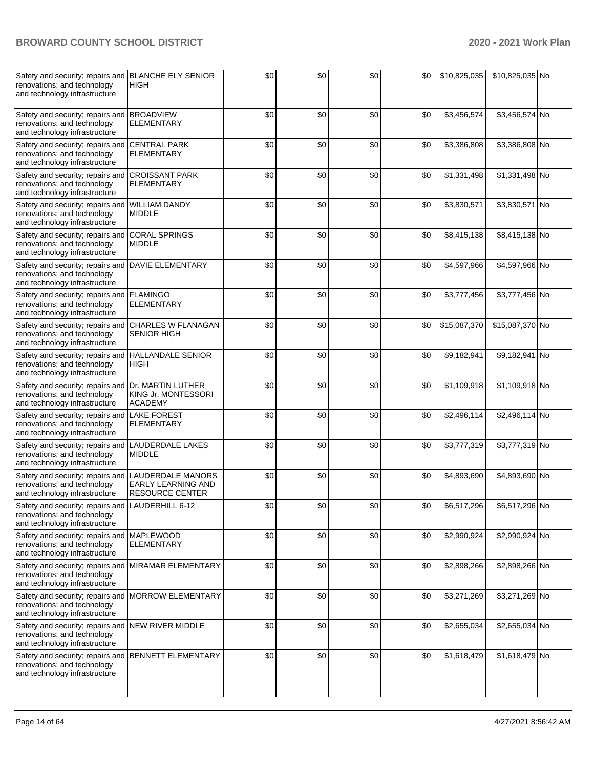| Safety and security; repairs and BLANCHE ELY SENIOR<br>renovations; and technology<br>and technology infrastructure | <b>HIGH</b>                                                       | \$0 | \$0 | \$0 | \$0 | \$10,825,035 | \$10,825,035 No |  |
|---------------------------------------------------------------------------------------------------------------------|-------------------------------------------------------------------|-----|-----|-----|-----|--------------|-----------------|--|
| Safety and security; repairs and<br>renovations; and technology<br>and technology infrastructure                    | <b>BROADVIEW</b><br><b>ELEMENTARY</b>                             | \$0 | \$0 | \$0 | \$0 | \$3,456,574  | \$3,456,574 No  |  |
| Safety and security; repairs and<br>renovations; and technology<br>and technology infrastructure                    | <b>CENTRAL PARK</b><br><b>ELEMENTARY</b>                          | \$0 | \$0 | \$0 | \$0 | \$3,386,808  | \$3,386,808 No  |  |
| Safety and security; repairs and<br>renovations; and technology<br>and technology infrastructure                    | <b>CROISSANT PARK</b><br><b>ELEMENTARY</b>                        | \$0 | \$0 | \$0 | \$0 | \$1,331,498  | \$1,331,498 No  |  |
| Safety and security; repairs and WILLIAM DANDY<br>renovations; and technology<br>and technology infrastructure      | <b>MIDDLE</b>                                                     | \$0 | \$0 | \$0 | \$0 | \$3,830,571  | \$3,830,571 No  |  |
| Safety and security; repairs and<br>renovations; and technology<br>and technology infrastructure                    | <b>CORAL SPRINGS</b><br><b>MIDDLE</b>                             | \$0 | \$0 | \$0 | \$0 | \$8,415,138  | \$8,415,138 No  |  |
| Safety and security; repairs and<br>renovations; and technology<br>and technology infrastructure                    | <b>DAVIE ELEMENTARY</b>                                           | \$0 | \$0 | \$0 | \$0 | \$4,597,966  | \$4,597,966 No  |  |
| Safety and security; repairs and<br>renovations; and technology<br>and technology infrastructure                    | <b>FLAMINGO</b><br><b>ELEMENTARY</b>                              | \$0 | \$0 | \$0 | \$0 | \$3,777,456  | \$3,777,456 No  |  |
| Safety and security; repairs and<br>renovations; and technology<br>and technology infrastructure                    | <b>CHARLES W FLANAGAN</b><br><b>SENIOR HIGH</b>                   | \$0 | \$0 | \$0 | \$0 | \$15,087,370 | \$15,087,370 No |  |
| Safety and security; repairs and HALLANDALE SENIOR<br>renovations; and technology<br>and technology infrastructure  | <b>HIGH</b>                                                       | \$0 | \$0 | \$0 | \$0 | \$9,182,941  | \$9,182,941 No  |  |
| Safety and security; repairs and Dr. MARTIN LUTHER<br>renovations; and technology<br>and technology infrastructure  | KING Jr. MONTESSORI<br><b>ACADEMY</b>                             | \$0 | \$0 | \$0 | \$0 | \$1,109,918  | \$1,109,918 No  |  |
| Safety and security; repairs and<br>renovations; and technology<br>and technology infrastructure                    | <b>LAKE FOREST</b><br><b>ELEMENTARY</b>                           | \$0 | \$0 | \$0 | \$0 | \$2,496,114  | \$2,496,114 No  |  |
| Safety and security; repairs and<br>renovations; and technology<br>and technology infrastructure                    | LAUDERDALE LAKES<br><b>MIDDLE</b>                                 | \$0 | \$0 | \$0 | \$0 | \$3,777,319  | \$3,777,319 No  |  |
| Safety and security; repairs and<br>renovations; and technology<br>and technology infrastructure                    | LAUDERDALE MANORS<br>EARLY LEARNING AND<br><b>RESOURCE CENTER</b> | \$0 | \$0 | \$0 | \$0 | \$4,893,690  | \$4,893,690 No  |  |
| Safety and security; repairs and LAUDERHILL 6-12<br>renovations; and technology<br>and technology infrastructure    |                                                                   | \$0 | \$0 | \$0 | \$0 | \$6,517,296  | \$6,517,296 No  |  |
| Safety and security; repairs and MAPLEWOOD<br>renovations; and technology<br>and technology infrastructure          | <b>ELEMENTARY</b>                                                 | \$0 | \$0 | \$0 | \$0 | \$2,990,924  | \$2,990,924 No  |  |
| Safety and security; repairs and MIRAMAR ELEMENTARY<br>renovations; and technology<br>and technology infrastructure |                                                                   | \$0 | \$0 | \$0 | \$0 | \$2,898,266  | \$2,898,266 No  |  |
| Safety and security; repairs and<br>renovations; and technology<br>and technology infrastructure                    | <b>MORROW ELEMENTARY</b>                                          | \$0 | \$0 | \$0 | \$0 | \$3,271,269  | \$3,271,269 No  |  |
| Safety and security; repairs and<br>renovations; and technology<br>and technology infrastructure                    | <b>NEW RIVER MIDDLE</b>                                           | \$0 | \$0 | \$0 | \$0 | \$2,655,034  | \$2,655,034 No  |  |
| Safety and security; repairs and<br>renovations; and technology<br>and technology infrastructure                    | <b>BENNETT ELEMENTARY</b>                                         | \$0 | \$0 | \$0 | \$0 | \$1,618,479  | \$1,618,479 No  |  |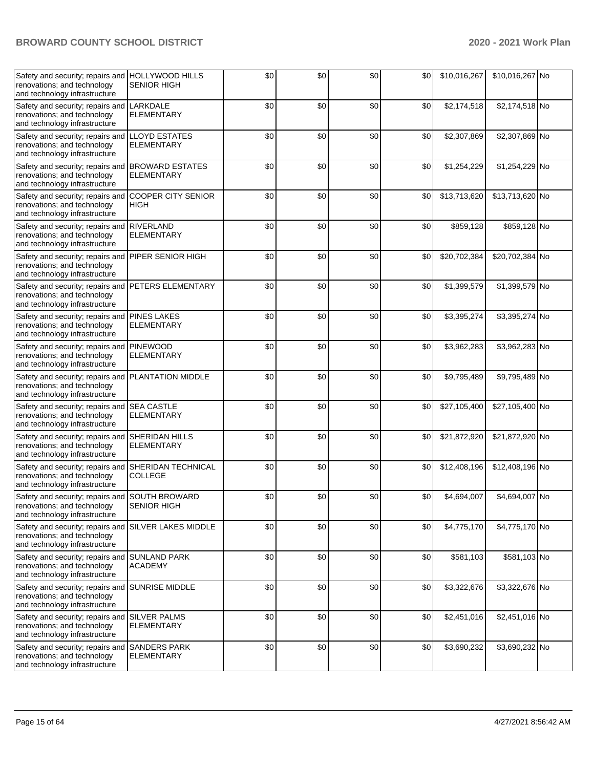| Safety and security; repairs and HOLLYWOOD HILLS<br>renovations; and technology<br>and technology infrastructure | <b>SENIOR HIGH</b>                          | \$0 | \$0 | \$0 | \$0 | \$10,016,267 | \$10,016,267 No |  |
|------------------------------------------------------------------------------------------------------------------|---------------------------------------------|-----|-----|-----|-----|--------------|-----------------|--|
| Safety and security; repairs and<br>renovations; and technology<br>and technology infrastructure                 | LARKDALE<br><b>ELEMENTARY</b>               | \$0 | \$0 | \$0 | \$0 | \$2,174,518  | \$2,174,518 No  |  |
| Safety and security; repairs and<br>renovations; and technology<br>and technology infrastructure                 | <b>LLOYD ESTATES</b><br>ELEMENTARY          | \$0 | \$0 | \$0 | \$0 | \$2,307,869  | \$2,307,869 No  |  |
| Safety and security; repairs and<br>renovations; and technology<br>and technology infrastructure                 | <b>BROWARD ESTATES</b><br><b>ELEMENTARY</b> | \$0 | \$0 | \$0 | \$0 | \$1,254,229  | \$1,254,229 No  |  |
| Safety and security; repairs and<br>renovations; and technology<br>and technology infrastructure                 | <b>COOPER CITY SENIOR</b><br><b>HIGH</b>    | \$0 | \$0 | \$0 | \$0 | \$13,713,620 | \$13,713,620 No |  |
| Safety and security; repairs and RIVERLAND<br>renovations; and technology<br>and technology infrastructure       | <b>ELEMENTARY</b>                           | \$0 | \$0 | \$0 | \$0 | \$859,128    | \$859,128 No    |  |
| Safety and security; repairs and<br>renovations; and technology<br>and technology infrastructure                 | PIPER SENIOR HIGH                           | \$0 | \$0 | \$0 | \$0 | \$20,702,384 | \$20,702,384 No |  |
| Safety and security; repairs and<br>renovations; and technology<br>and technology infrastructure                 | PETERS ELEMENTARY                           | \$0 | \$0 | \$0 | \$0 | \$1,399,579  | \$1,399,579 No  |  |
| Safety and security; repairs and<br>renovations; and technology<br>and technology infrastructure                 | <b>PINES LAKES</b><br><b>ELEMENTARY</b>     | \$0 | \$0 | \$0 | \$0 | \$3,395,274  | \$3,395,274 No  |  |
| Safety and security; repairs and<br>renovations; and technology<br>and technology infrastructure                 | <b>PINEWOOD</b><br>ELEMENTARY               | \$0 | \$0 | \$0 | \$0 | \$3,962,283  | \$3,962,283 No  |  |
| Safety and security; repairs and<br>renovations; and technology<br>and technology infrastructure                 | PLANTATION MIDDLE                           | \$0 | \$0 | \$0 | \$0 | \$9,795,489  | \$9,795,489 No  |  |
| Safety and security; repairs and SEA CASTLE<br>renovations; and technology<br>and technology infrastructure      | <b>ELEMENTARY</b>                           | \$0 | \$0 | \$0 | \$0 | \$27,105,400 | \$27,105,400 No |  |
| Safety and security; repairs and<br>renovations; and technology<br>and technology infrastructure                 | <b>SHERIDAN HILLS</b><br>ELEMENTARY         | \$0 | \$0 | \$0 | \$0 | \$21,872,920 | \$21,872,920 No |  |
| Safety and security; repairs and<br>renovations; and technology<br>and technology infrastructure                 | <b>SHERIDAN TECHNICAL</b><br><b>COLLEGE</b> | \$0 | \$0 | \$0 | \$0 | \$12,408,196 | \$12,408,196 No |  |
| Safety and security; repairs and SOUTH BROWARD<br>renovations; and technology<br>and technology infrastructure   | <b>SENIOR HIGH</b>                          | \$0 | \$0 | \$0 | \$0 | \$4,694,007  | \$4,694,007 No  |  |
| Safety and security; repairs and<br>renovations; and technology<br>and technology infrastructure                 | <b>SILVER LAKES MIDDLE</b>                  | \$0 | \$0 | \$0 | \$0 | \$4,775,170  | \$4,775,170 No  |  |
| Safety and security; repairs and<br>renovations; and technology<br>and technology infrastructure                 | <b>SUNLAND PARK</b><br><b>ACADEMY</b>       | \$0 | \$0 | \$0 | \$0 | \$581,103    | \$581,103 No    |  |
| Safety and security; repairs and SUNRISE MIDDLE<br>renovations; and technology<br>and technology infrastructure  |                                             | \$0 | \$0 | \$0 | \$0 | \$3,322,676  | \$3,322,676 No  |  |
| Safety and security; repairs and<br>renovations; and technology<br>and technology infrastructure                 | <b>SILVER PALMS</b><br><b>ELEMENTARY</b>    | \$0 | \$0 | \$0 | \$0 | \$2,451,016  | \$2,451,016 No  |  |
| Safety and security; repairs and<br>renovations; and technology<br>and technology infrastructure                 | <b>SANDERS PARK</b><br><b>ELEMENTARY</b>    | \$0 | \$0 | \$0 | \$0 | \$3,690,232  | \$3,690,232 No  |  |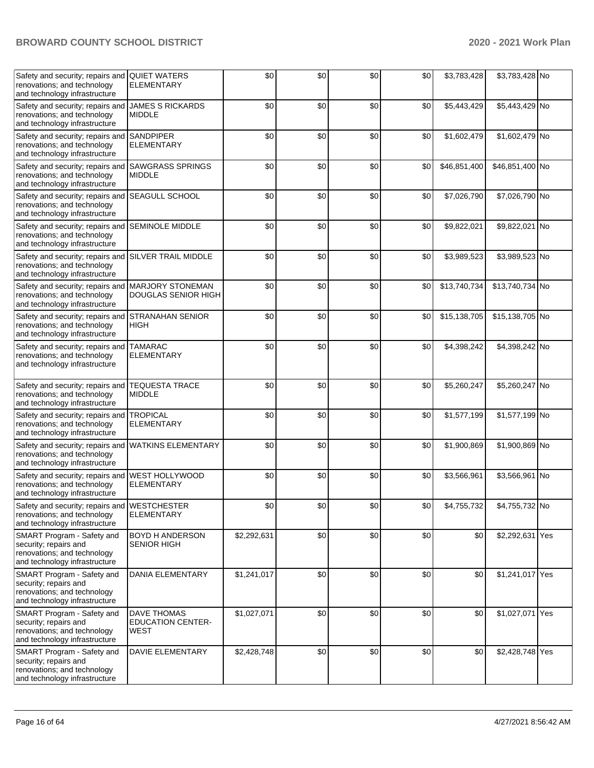| Safety and security; repairs and<br>renovations; and technology<br>and technology infrastructure                    | <b>QUIET WATERS</b><br><b>ELEMENTARY</b>        | \$0         | \$0 | \$0 | \$0 | \$3,783,428  | \$3,783,428 No  |  |
|---------------------------------------------------------------------------------------------------------------------|-------------------------------------------------|-------------|-----|-----|-----|--------------|-----------------|--|
| Safety and security; repairs and<br>renovations; and technology<br>and technology infrastructure                    | <b>JAMES S RICKARDS</b><br><b>MIDDLE</b>        | \$0         | \$0 | \$0 | \$0 | \$5,443,429  | \$5,443,429 No  |  |
| Safety and security; repairs and<br>renovations; and technology<br>and technology infrastructure                    | <b>SANDPIPER</b><br><b>ELEMENTARY</b>           | \$0         | \$0 | \$0 | \$0 | \$1,602,479  | \$1,602,479 No  |  |
| Safety and security; repairs and<br>renovations; and technology<br>and technology infrastructure                    | <b>SAWGRASS SPRINGS</b><br><b>MIDDLE</b>        | \$0         | \$0 | \$0 | \$0 | \$46,851,400 | \$46,851,400 No |  |
| Safety and security; repairs and<br>renovations; and technology<br>and technology infrastructure                    | <b>SEAGULL SCHOOL</b>                           | \$0         | \$0 | \$0 | \$0 | \$7,026,790  | \$7,026,790 No  |  |
| Safety and security; repairs and SEMINOLE MIDDLE<br>renovations; and technology<br>and technology infrastructure    |                                                 | \$0         | \$0 | \$0 | \$0 | \$9,822,021  | \$9,822,021 No  |  |
| Safety and security; repairs and<br>renovations; and technology<br>and technology infrastructure                    | <b>SILVER TRAIL MIDDLE</b>                      | \$0         | \$0 | \$0 | \$0 | \$3,989,523  | \$3,989,523 No  |  |
| Safety and security; repairs and<br>renovations; and technology<br>and technology infrastructure                    | <b>MARJORY STONEMAN</b><br>DOUGLAS SENIOR HIGH  | \$0         | \$0 | \$0 | \$0 | \$13,740,734 | \$13,740,734 No |  |
| Safety and security; repairs and<br>renovations; and technology<br>and technology infrastructure                    | <b>STRANAHAN SENIOR</b><br>HIGH                 | \$0         | \$0 | \$0 | \$0 | \$15,138,705 | \$15,138,705 No |  |
| Safety and security; repairs and<br>renovations; and technology<br>and technology infrastructure                    | <b>TAMARAC</b><br>ELEMENTARY                    | \$0         | \$0 | \$0 | \$0 | \$4,398,242  | \$4,398,242 No  |  |
| Safety and security; repairs and<br>renovations; and technology<br>and technology infrastructure                    | <b>TEQUESTA TRACE</b><br><b>MIDDLE</b>          | \$0         | \$0 | \$0 | \$0 | \$5,260,247  | \$5,260,247 No  |  |
| Safety and security; repairs and<br>renovations; and technology<br>and technology infrastructure                    | <b>TROPICAL</b><br><b>ELEMENTARY</b>            | \$0         | \$0 | \$0 | \$0 | \$1,577,199  | \$1,577,199 No  |  |
| Safety and security; repairs and<br>renovations; and technology<br>and technology infrastructure                    | <b>WATKINS ELEMENTARY</b>                       | \$0         | \$0 | \$0 | \$0 | \$1,900,869  | \$1,900,869 No  |  |
| Safety and security; repairs and<br>renovations; and technology<br>and technology infrastructure                    | WEST HOLLYWOOD<br><b>ELEMENTARY</b>             | \$0         | \$0 | \$0 | \$0 | \$3,566,961  | \$3,566,961 No  |  |
| Safety and security; repairs and WESTCHESTER<br>renovations; and technology<br>and technology infrastructure        | <b>ELEMENTARY</b>                               | \$0         | \$0 | \$0 | \$0 | \$4,755,732  | \$4,755,732 No  |  |
| SMART Program - Safety and<br>security; repairs and<br>renovations; and technology<br>and technology infrastructure | BOYD H ANDERSON<br><b>SENIOR HIGH</b>           | \$2,292,631 | \$0 | \$0 | \$0 | \$0          | \$2,292,631 Yes |  |
| SMART Program - Safety and<br>security; repairs and<br>renovations; and technology<br>and technology infrastructure | DANIA ELEMENTARY                                | \$1,241,017 | \$0 | \$0 | \$0 | \$0          | \$1,241,017 Yes |  |
| SMART Program - Safety and<br>security; repairs and<br>renovations; and technology<br>and technology infrastructure | DAVE THOMAS<br><b>EDUCATION CENTER-</b><br>WEST | \$1,027,071 | \$0 | \$0 | \$0 | \$0          | \$1,027,071 Yes |  |
| SMART Program - Safety and<br>security; repairs and<br>renovations; and technology<br>and technology infrastructure | DAVIE ELEMENTARY                                | \$2,428,748 | \$0 | \$0 | \$0 | \$0          | \$2,428,748 Yes |  |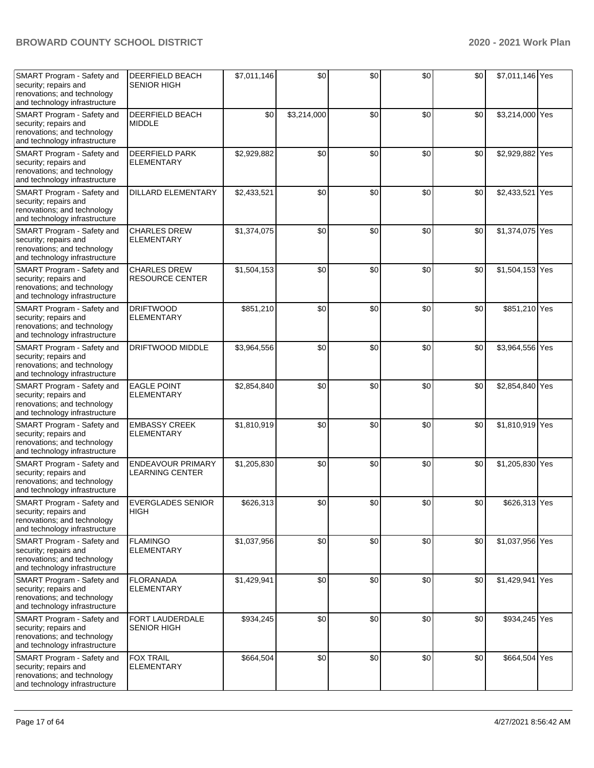| SMART Program - Safety and<br>security; repairs and<br>renovations; and technology<br>and technology infrastructure | <b>DEERFIELD BEACH</b><br><b>SENIOR HIGH</b>  | \$7,011,146 | \$0         | \$0 | \$0 | \$0 | \$7,011,146 Yes |     |
|---------------------------------------------------------------------------------------------------------------------|-----------------------------------------------|-------------|-------------|-----|-----|-----|-----------------|-----|
| SMART Program - Safety and<br>security; repairs and<br>renovations; and technology<br>and technology infrastructure | DEERFIELD BEACH<br><b>MIDDLE</b>              | \$0         | \$3,214,000 | \$0 | \$0 | \$0 | \$3,214,000 Yes |     |
| SMART Program - Safety and<br>security; repairs and<br>renovations; and technology<br>and technology infrastructure | <b>DEERFIELD PARK</b><br><b>ELEMENTARY</b>    | \$2,929,882 | \$0         | \$0 | \$0 | \$0 | \$2,929,882 Yes |     |
| SMART Program - Safety and<br>security; repairs and<br>renovations; and technology<br>and technology infrastructure | <b>DILLARD ELEMENTARY</b>                     | \$2,433,521 | \$0         | \$0 | \$0 | \$0 | \$2,433,521     | Yes |
| SMART Program - Safety and<br>security; repairs and<br>renovations; and technology<br>and technology infrastructure | <b>CHARLES DREW</b><br><b>ELEMENTARY</b>      | \$1,374,075 | \$0         | \$0 | \$0 | \$0 | \$1,374,075 Yes |     |
| SMART Program - Safety and<br>security; repairs and<br>renovations; and technology<br>and technology infrastructure | <b>CHARLES DREW</b><br><b>RESOURCE CENTER</b> | \$1,504,153 | \$0         | \$0 | \$0 | \$0 | \$1,504,153 Yes |     |
| SMART Program - Safety and<br>security; repairs and<br>renovations; and technology<br>and technology infrastructure | <b>DRIFTWOOD</b><br><b>ELEMENTARY</b>         | \$851,210   | \$0         | \$0 | \$0 | \$0 | \$851,210 Yes   |     |
| SMART Program - Safety and<br>security; repairs and<br>renovations; and technology<br>and technology infrastructure | DRIFTWOOD MIDDLE                              | \$3,964,556 | \$0         | \$0 | \$0 | \$0 | \$3,964,556 Yes |     |
| SMART Program - Safety and<br>security; repairs and<br>renovations; and technology<br>and technology infrastructure | <b>EAGLE POINT</b><br><b>ELEMENTARY</b>       | \$2,854,840 | \$0         | \$0 | \$0 | \$0 | \$2,854,840 Yes |     |
| SMART Program - Safety and<br>security; repairs and<br>renovations; and technology<br>and technology infrastructure | <b>EMBASSY CREEK</b><br><b>ELEMENTARY</b>     | \$1,810,919 | \$0         | \$0 | \$0 | \$0 | \$1,810,919 Yes |     |
| SMART Program - Safety and<br>security; repairs and<br>renovations; and technology<br>and technology infrastructure | <b>ENDEAVOUR PRIMARY</b><br>LEARNING CENTER   | \$1,205,830 | \$0         | \$0 | \$0 | \$0 | \$1,205,830 Yes |     |
| SMART Program - Safety and<br>security; repairs and<br>renovations; and technology<br>and technology infrastructure | <b>EVERGLADES SENIOR</b><br><b>HIGH</b>       | \$626,313   | \$0         | \$0 | \$0 | \$0 | \$626,313 Yes   |     |
| SMART Program - Safety and<br>security; repairs and<br>renovations; and technology<br>and technology infrastructure | <b>FLAMINGO</b><br><b>ELEMENTARY</b>          | \$1,037,956 | \$0         | \$0 | \$0 | \$0 | \$1,037,956 Yes |     |
| SMART Program - Safety and<br>security; repairs and<br>renovations; and technology<br>and technology infrastructure | <b>FLORANADA</b><br><b>ELEMENTARY</b>         | \$1,429,941 | \$0         | \$0 | \$0 | \$0 | \$1,429,941 Yes |     |
| SMART Program - Safety and<br>security; repairs and<br>renovations; and technology<br>and technology infrastructure | <b>FORT LAUDERDALE</b><br><b>SENIOR HIGH</b>  | \$934,245   | \$0         | \$0 | \$0 | \$0 | \$934,245 Yes   |     |
| SMART Program - Safety and<br>security; repairs and<br>renovations; and technology<br>and technology infrastructure | <b>FOX TRAIL</b><br><b>ELEMENTARY</b>         | \$664,504   | \$0         | \$0 | \$0 | \$0 | \$664,504 Yes   |     |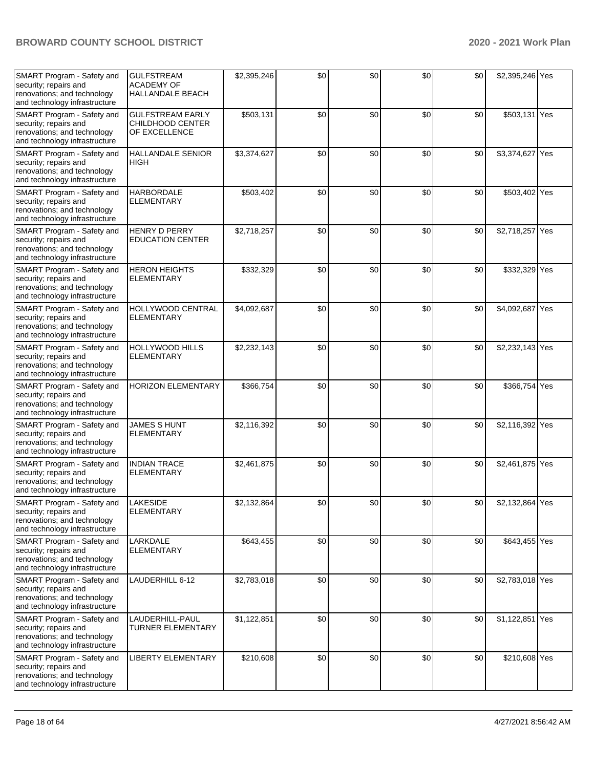| SMART Program - Safety and<br>security; repairs and<br>renovations; and technology<br>and technology infrastructure        | <b>GULFSTREAM</b><br><b>ACADEMY OF</b><br><b>HALLANDALE BEACH</b> | \$2,395,246 | \$0 | \$0 | \$0 | \$0 | \$2,395,246 Yes |  |
|----------------------------------------------------------------------------------------------------------------------------|-------------------------------------------------------------------|-------------|-----|-----|-----|-----|-----------------|--|
| SMART Program - Safety and<br>security; repairs and<br>renovations; and technology<br>and technology infrastructure        | <b>GULFSTREAM EARLY</b><br>CHILDHOOD CENTER<br>OF EXCELLENCE      | \$503,131   | \$0 | \$0 | \$0 | \$0 | \$503,131 Yes   |  |
| SMART Program - Safety and<br>security; repairs and<br>renovations; and technology<br>and technology infrastructure        | <b>HALLANDALE SENIOR</b><br>HIGH                                  | \$3,374,627 | \$0 | \$0 | \$0 | \$0 | \$3,374,627 Yes |  |
| SMART Program - Safety and<br>security; repairs and<br>renovations; and technology<br>and technology infrastructure        | <b>HARBORDALE</b><br><b>ELEMENTARY</b>                            | \$503,402   | \$0 | \$0 | \$0 | \$0 | \$503,402 Yes   |  |
| SMART Program - Safety and<br>security; repairs and<br>renovations; and technology<br>and technology infrastructure        | <b>HENRY D PERRY</b><br><b>EDUCATION CENTER</b>                   | \$2,718,257 | \$0 | \$0 | \$0 | \$0 | \$2,718,257 Yes |  |
| SMART Program - Safety and<br>security; repairs and<br>renovations; and technology<br>and technology infrastructure        | <b>HERON HEIGHTS</b><br><b>ELEMENTARY</b>                         | \$332,329   | \$0 | \$0 | \$0 | \$0 | \$332,329 Yes   |  |
| SMART Program - Safety and<br>security; repairs and<br>renovations; and technology<br>and technology infrastructure        | HOLLYWOOD CENTRAL<br><b>ELEMENTARY</b>                            | \$4,092,687 | \$0 | \$0 | \$0 | \$0 | \$4,092,687 Yes |  |
| SMART Program - Safety and<br>security; repairs and<br>renovations; and technology<br>and technology infrastructure        | <b>HOLLYWOOD HILLS</b><br><b>ELEMENTARY</b>                       | \$2,232,143 | \$0 | \$0 | \$0 | \$0 | \$2,232,143 Yes |  |
| SMART Program - Safety and<br>security; repairs and<br>renovations; and technology<br>and technology infrastructure        | <b>HORIZON ELEMENTARY</b>                                         | \$366,754   | \$0 | \$0 | \$0 | \$0 | \$366,754 Yes   |  |
| SMART Program - Safety and<br>security; repairs and<br>renovations; and technology<br>and technology infrastructure        | <b>JAMES S HUNT</b><br><b>ELEMENTARY</b>                          | \$2,116,392 | \$0 | \$0 | \$0 | \$0 | \$2,116,392 Yes |  |
| SMART Program - Safety and<br>security; repairs and<br>renovations; and technology<br>and technology infrastructure        | <b>INDIAN TRACE</b><br><b>ELEMENTARY</b>                          | \$2,461,875 | \$0 | \$0 | \$0 | \$0 | \$2,461,875 Yes |  |
| SMART Program - Safety and<br>security; repairs and<br>renovations; and technology<br>and technology infrastructure        | LAKESIDE<br><b>ELEMENTARY</b>                                     | \$2,132,864 | \$0 | \$0 | \$0 | \$0 | \$2,132,864 Yes |  |
| <b>SMART Program - Safety and</b><br>security; repairs and<br>renovations; and technology<br>and technology infrastructure | LARKDALE<br><b>ELEMENTARY</b>                                     | \$643,455   | \$0 | \$0 | \$0 | \$0 | \$643,455 Yes   |  |
| SMART Program - Safety and<br>security; repairs and<br>renovations; and technology<br>and technology infrastructure        | LAUDERHILL 6-12                                                   | \$2,783,018 | \$0 | \$0 | \$0 | \$0 | \$2,783,018 Yes |  |
| <b>SMART Program - Safety and</b><br>security; repairs and<br>renovations; and technology<br>and technology infrastructure | LAUDERHILL-PAUL<br><b>TURNER ELEMENTARY</b>                       | \$1,122,851 | \$0 | \$0 | \$0 | \$0 | \$1,122,851 Yes |  |
| <b>SMART Program - Safety and</b><br>security; repairs and<br>renovations; and technology<br>and technology infrastructure | <b>LIBERTY ELEMENTARY</b>                                         | \$210,608   | \$0 | \$0 | \$0 | \$0 | \$210,608 Yes   |  |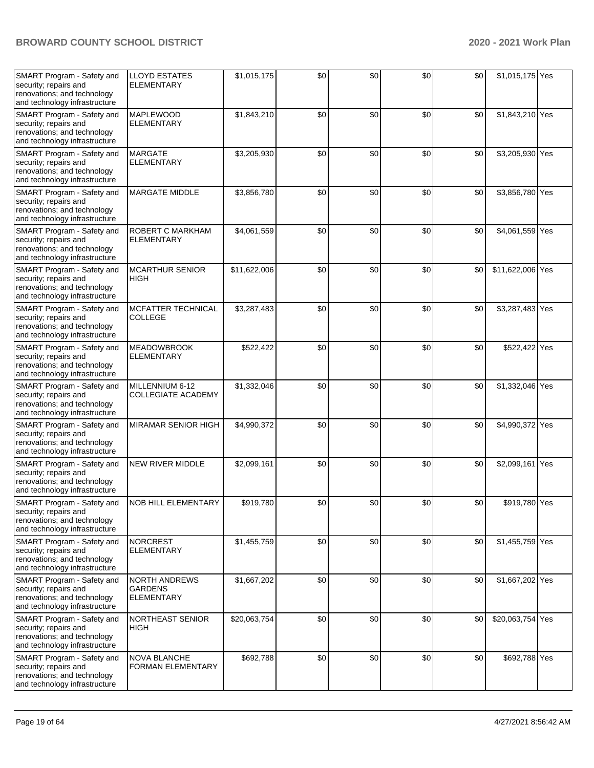| SMART Program - Safety and<br>security; repairs and<br>renovations; and technology<br>and technology infrastructure | <b>LLOYD ESTATES</b><br><b>ELEMENTARY</b>                   | \$1,015,175  | \$0 | \$0 | \$0 | \$0 | \$1,015,175 Yes  |  |
|---------------------------------------------------------------------------------------------------------------------|-------------------------------------------------------------|--------------|-----|-----|-----|-----|------------------|--|
| SMART Program - Safety and<br>security; repairs and<br>renovations; and technology<br>and technology infrastructure | <b>MAPLEWOOD</b><br><b>ELEMENTARY</b>                       | \$1,843,210  | \$0 | \$0 | \$0 | \$0 | \$1,843,210 Yes  |  |
| SMART Program - Safety and<br>security; repairs and<br>renovations; and technology<br>and technology infrastructure | <b>MARGATE</b><br><b>ELEMENTARY</b>                         | \$3,205,930  | \$0 | \$0 | \$0 | \$0 | \$3,205,930 Yes  |  |
| SMART Program - Safety and<br>security; repairs and<br>renovations; and technology<br>and technology infrastructure | <b>MARGATE MIDDLE</b>                                       | \$3,856,780  | \$0 | \$0 | \$0 | \$0 | \$3,856,780 Yes  |  |
| SMART Program - Safety and<br>security; repairs and<br>renovations; and technology<br>and technology infrastructure | ROBERT C MARKHAM<br><b>ELEMENTARY</b>                       | \$4,061,559  | \$0 | \$0 | \$0 | \$0 | \$4,061,559 Yes  |  |
| SMART Program - Safety and<br>security; repairs and<br>renovations; and technology<br>and technology infrastructure | <b>MCARTHUR SENIOR</b><br>HIGH                              | \$11,622,006 | \$0 | \$0 | \$0 | \$0 | \$11,622,006 Yes |  |
| SMART Program - Safety and<br>security; repairs and<br>renovations; and technology<br>and technology infrastructure | <b>MCFATTER TECHNICAL</b><br><b>COLLEGE</b>                 | \$3,287,483  | \$0 | \$0 | \$0 | \$0 | \$3,287,483 Yes  |  |
| SMART Program - Safety and<br>security; repairs and<br>renovations; and technology<br>and technology infrastructure | <b>MEADOWBROOK</b><br><b>ELEMENTARY</b>                     | \$522,422    | \$0 | \$0 | \$0 | \$0 | \$522,422 Yes    |  |
| SMART Program - Safety and<br>security; repairs and<br>renovations; and technology<br>and technology infrastructure | MILLENNIUM 6-12<br><b>COLLEGIATE ACADEMY</b>                | \$1,332,046  | \$0 | \$0 | \$0 | \$0 | \$1,332,046 Yes  |  |
| SMART Program - Safety and<br>security; repairs and<br>renovations; and technology<br>and technology infrastructure | MIRAMAR SENIOR HIGH                                         | \$4,990,372  | \$0 | \$0 | \$0 | \$0 | \$4,990,372 Yes  |  |
| SMART Program - Safety and<br>security; repairs and<br>renovations; and technology<br>and technology infrastructure | <b>NEW RIVER MIDDLE</b>                                     | \$2,099,161  | \$0 | \$0 | \$0 | \$0 | \$2,099,161 Yes  |  |
| SMART Program - Safety and<br>security; repairs and<br>renovations; and technology<br>and technology infrastructure | NOB HILL ELEMENTARY                                         | \$919,780    | \$0 | \$0 | \$0 | \$0 | \$919,780 Yes    |  |
| SMART Program - Safety and<br>security; repairs and<br>renovations; and technology<br>and technology infrastructure | <b>NORCREST</b><br><b>ELEMENTARY</b>                        | \$1,455,759  | \$0 | \$0 | \$0 | \$0 | \$1,455,759 Yes  |  |
| SMART Program - Safety and<br>security; repairs and<br>renovations; and technology<br>and technology infrastructure | <b>NORTH ANDREWS</b><br><b>GARDENS</b><br><b>ELEMENTARY</b> | \$1,667,202  | \$0 | \$0 | \$0 | \$0 | \$1,667,202 Yes  |  |
| SMART Program - Safety and<br>security; repairs and<br>renovations; and technology<br>and technology infrastructure | NORTHEAST SENIOR<br>HIGH                                    | \$20,063,754 | \$0 | \$0 | \$0 | \$0 | \$20,063,754 Yes |  |
| SMART Program - Safety and<br>security; repairs and<br>renovations; and technology<br>and technology infrastructure | NOVA BLANCHE<br><b>FORMAN ELEMENTARY</b>                    | \$692,788    | \$0 | \$0 | \$0 | \$0 | \$692,788 Yes    |  |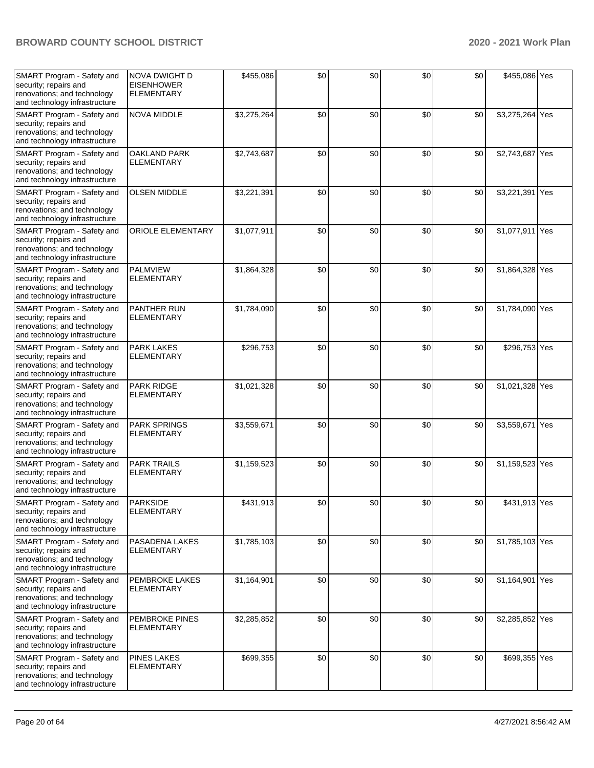| SMART Program - Safety and<br>security; repairs and<br>renovations; and technology<br>and technology infrastructure        | <b>NOVA DWIGHT D</b><br><b>EISENHOWER</b><br><b>ELEMENTARY</b> | \$455,086   | \$0 | \$0 | \$0 | \$0 | \$455,086 Yes   |  |
|----------------------------------------------------------------------------------------------------------------------------|----------------------------------------------------------------|-------------|-----|-----|-----|-----|-----------------|--|
| SMART Program - Safety and<br>security; repairs and<br>renovations; and technology<br>and technology infrastructure        | <b>NOVA MIDDLE</b>                                             | \$3,275,264 | \$0 | \$0 | \$0 | \$0 | \$3,275,264 Yes |  |
| SMART Program - Safety and<br>security; repairs and<br>renovations; and technology<br>and technology infrastructure        | OAKLAND PARK<br><b>ELEMENTARY</b>                              | \$2,743,687 | \$0 | \$0 | \$0 | \$0 | \$2,743,687 Yes |  |
| SMART Program - Safety and<br>security; repairs and<br>renovations; and technology<br>and technology infrastructure        | <b>OLSEN MIDDLE</b>                                            | \$3,221,391 | \$0 | \$0 | \$0 | \$0 | \$3,221,391 Yes |  |
| SMART Program - Safety and<br>security; repairs and<br>renovations; and technology<br>and technology infrastructure        | <b>ORIOLE ELEMENTARY</b>                                       | \$1,077,911 | \$0 | \$0 | \$0 | \$0 | \$1,077,911 Yes |  |
| SMART Program - Safety and<br>security; repairs and<br>renovations; and technology<br>and technology infrastructure        | <b>PALMVIEW</b><br><b>ELEMENTARY</b>                           | \$1,864,328 | \$0 | \$0 | \$0 | \$0 | \$1,864,328 Yes |  |
| SMART Program - Safety and<br>security; repairs and<br>renovations; and technology<br>and technology infrastructure        | PANTHER RUN<br><b>ELEMENTARY</b>                               | \$1,784,090 | \$0 | \$0 | \$0 | \$0 | \$1,784,090 Yes |  |
| SMART Program - Safety and<br>security; repairs and<br>renovations; and technology<br>and technology infrastructure        | <b>PARK LAKES</b><br><b>ELEMENTARY</b>                         | \$296,753   | \$0 | \$0 | \$0 | \$0 | \$296,753 Yes   |  |
| SMART Program - Safety and<br>security; repairs and<br>renovations; and technology<br>and technology infrastructure        | PARK RIDGE<br><b>ELEMENTARY</b>                                | \$1,021,328 | \$0 | \$0 | \$0 | \$0 | \$1,021,328 Yes |  |
| SMART Program - Safety and<br>security; repairs and<br>renovations; and technology<br>and technology infrastructure        | <b>PARK SPRINGS</b><br><b>ELEMENTARY</b>                       | \$3,559,671 | \$0 | \$0 | \$0 | \$0 | \$3,559,671 Yes |  |
| SMART Program - Safety and<br>security; repairs and<br>renovations; and technology<br>and technology infrastructure        | <b>PARK TRAILS</b><br><b>ELEMENTARY</b>                        | \$1,159,523 | \$0 | \$0 | \$0 | \$0 | \$1,159,523 Yes |  |
| SMART Program - Safety and<br>security; repairs and<br>renovations; and technology<br>and technology infrastructure        | <b>PARKSIDE</b><br><b>ELEMENTARY</b>                           | \$431,913   | \$0 | \$0 | \$0 | \$0 | \$431,913 Yes   |  |
| SMART Program - Safety and<br>security; repairs and<br>renovations; and technology<br>and technology infrastructure        | PASADENA LAKES<br><b>ELEMENTARY</b>                            | \$1,785,103 | \$0 | \$0 | \$0 | \$0 | \$1,785,103 Yes |  |
| SMART Program - Safety and<br>security; repairs and<br>renovations; and technology<br>and technology infrastructure        | PEMBROKE LAKES<br><b>ELEMENTARY</b>                            | \$1,164,901 | \$0 | \$0 | \$0 | \$0 | \$1,164,901 Yes |  |
| <b>SMART Program - Safety and</b><br>security; repairs and<br>renovations; and technology<br>and technology infrastructure | PEMBROKE PINES<br><b>ELEMENTARY</b>                            | \$2,285,852 | \$0 | \$0 | \$0 | \$0 | \$2,285,852 Yes |  |
| <b>SMART Program - Safety and</b><br>security; repairs and<br>renovations; and technology<br>and technology infrastructure | <b>PINES LAKES</b><br><b>ELEMENTARY</b>                        | \$699,355   | \$0 | \$0 | \$0 | \$0 | \$699,355 Yes   |  |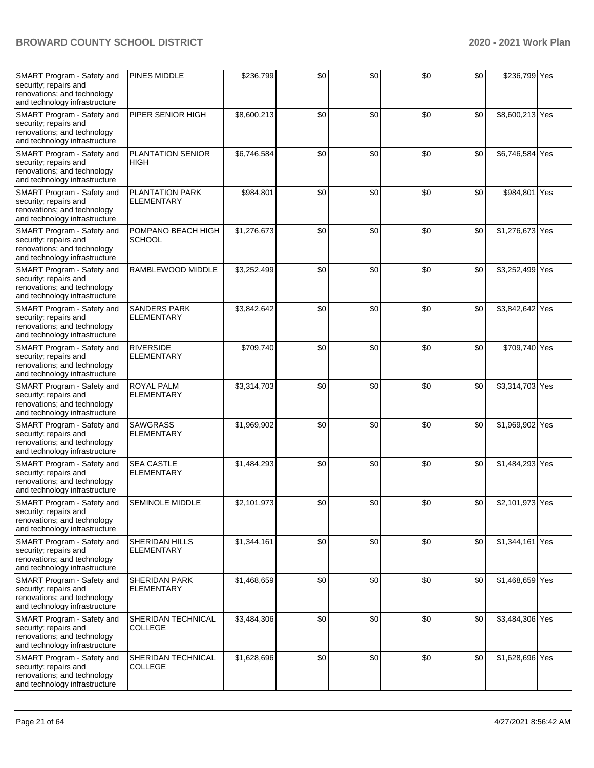| SMART Program - Safety and<br>security; repairs and<br>renovations; and technology<br>and technology infrastructure | PINES MIDDLE                                | \$236,799   | \$0 | \$0 | \$0 | \$0 | \$236,799 Yes   |     |
|---------------------------------------------------------------------------------------------------------------------|---------------------------------------------|-------------|-----|-----|-----|-----|-----------------|-----|
| SMART Program - Safety and<br>security; repairs and<br>renovations; and technology<br>and technology infrastructure | PIPER SENIOR HIGH                           | \$8,600,213 | \$0 | \$0 | \$0 | \$0 | \$8,600,213 Yes |     |
| SMART Program - Safety and<br>security; repairs and<br>renovations; and technology<br>and technology infrastructure | PLANTATION SENIOR<br>HIGH                   | \$6,746,584 | \$0 | \$0 | \$0 | \$0 | \$6,746,584     | Yes |
| SMART Program - Safety and<br>security; repairs and<br>renovations; and technology<br>and technology infrastructure | <b>PLANTATION PARK</b><br><b>ELEMENTARY</b> | \$984,801   | \$0 | \$0 | \$0 | \$0 | \$984,801       | Yes |
| SMART Program - Safety and<br>security; repairs and<br>renovations; and technology<br>and technology infrastructure | POMPANO BEACH HIGH<br><b>SCHOOL</b>         | \$1,276,673 | \$0 | \$0 | \$0 | \$0 | \$1,276,673 Yes |     |
| SMART Program - Safety and<br>security; repairs and<br>renovations; and technology<br>and technology infrastructure | RAMBLEWOOD MIDDLE                           | \$3,252,499 | \$0 | \$0 | \$0 | \$0 | \$3,252,499 Yes |     |
| SMART Program - Safety and<br>security; repairs and<br>renovations; and technology<br>and technology infrastructure | SANDERS PARK<br><b>ELEMENTARY</b>           | \$3,842,642 | \$0 | \$0 | \$0 | \$0 | \$3,842,642 Yes |     |
| SMART Program - Safety and<br>security; repairs and<br>renovations; and technology<br>and technology infrastructure | <b>RIVERSIDE</b><br><b>ELEMENTARY</b>       | \$709,740   | \$0 | \$0 | \$0 | \$0 | \$709,740 Yes   |     |
| SMART Program - Safety and<br>security; repairs and<br>renovations; and technology<br>and technology infrastructure | <b>ROYAL PALM</b><br><b>ELEMENTARY</b>      | \$3,314,703 | \$0 | \$0 | \$0 | \$0 | \$3,314,703 Yes |     |
| SMART Program - Safety and<br>security; repairs and<br>renovations; and technology<br>and technology infrastructure | <b>SAWGRASS</b><br><b>ELEMENTARY</b>        | \$1,969,902 | \$0 | \$0 | \$0 | \$0 | \$1,969,902 Yes |     |
| SMART Program - Safety and<br>security; repairs and<br>renovations; and technology<br>and technology infrastructure | <b>SEA CASTLE</b><br><b>ELEMENTARY</b>      | \$1,484,293 | \$0 | \$0 | \$0 | \$0 | \$1,484,293 Yes |     |
| SMART Program - Safety and<br>security; repairs and<br>renovations; and technology<br>and technology infrastructure | <b>SEMINOLE MIDDLE</b>                      | \$2,101,973 | \$0 | \$0 | \$0 | \$0 | \$2,101,973 Yes |     |
| SMART Program - Safety and<br>security; repairs and<br>renovations; and technology<br>and technology infrastructure | <b>SHERIDAN HILLS</b><br><b>ELEMENTARY</b>  | \$1,344,161 | \$0 | \$0 | \$0 | \$0 | \$1,344,161 Yes |     |
| SMART Program - Safety and<br>security; repairs and<br>renovations; and technology<br>and technology infrastructure | <b>SHERIDAN PARK</b><br><b>ELEMENTARY</b>   | \$1,468,659 | \$0 | \$0 | \$0 | \$0 | \$1,468,659 Yes |     |
| SMART Program - Safety and<br>security; repairs and<br>renovations; and technology<br>and technology infrastructure | SHERIDAN TECHNICAL<br>COLLEGE               | \$3,484,306 | \$0 | \$0 | \$0 | \$0 | \$3,484,306 Yes |     |
| SMART Program - Safety and<br>security; repairs and<br>renovations; and technology<br>and technology infrastructure | SHERIDAN TECHNICAL<br><b>COLLEGE</b>        | \$1,628,696 | \$0 | \$0 | \$0 | \$0 | \$1,628,696 Yes |     |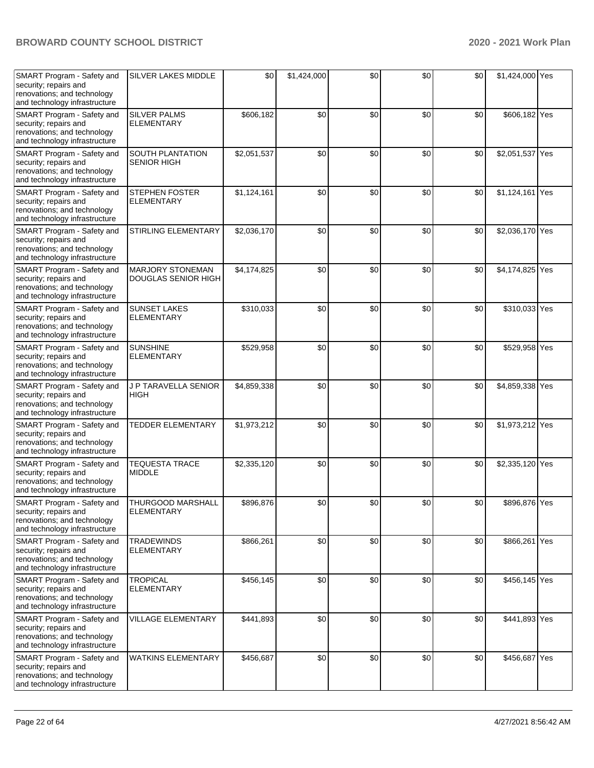| SMART Program - Safety and<br>security; repairs and<br>renovations; and technology<br>and technology infrastructure | <b>SILVER LAKES MIDDLE</b>                     | \$0         | \$1,424,000 | \$0 | \$0 | \$0 | \$1,424,000 Yes |  |
|---------------------------------------------------------------------------------------------------------------------|------------------------------------------------|-------------|-------------|-----|-----|-----|-----------------|--|
| SMART Program - Safety and<br>security; repairs and<br>renovations; and technology<br>and technology infrastructure | <b>SILVER PALMS</b><br><b>ELEMENTARY</b>       | \$606,182   | \$0         | \$0 | \$0 | \$0 | \$606,182 Yes   |  |
| SMART Program - Safety and<br>security; repairs and<br>renovations; and technology<br>and technology infrastructure | SOUTH PLANTATION<br><b>SENIOR HIGH</b>         | \$2,051,537 | \$0         | \$0 | \$0 | \$0 | \$2,051,537 Yes |  |
| SMART Program - Safety and<br>security; repairs and<br>renovations; and technology<br>and technology infrastructure | <b>STEPHEN FOSTER</b><br><b>ELEMENTARY</b>     | \$1,124,161 | \$0         | \$0 | \$0 | \$0 | \$1,124,161 Yes |  |
| SMART Program - Safety and<br>security; repairs and<br>renovations; and technology<br>and technology infrastructure | STIRLING ELEMENTARY                            | \$2,036,170 | \$0         | \$0 | \$0 | \$0 | \$2,036,170 Yes |  |
| SMART Program - Safety and<br>security; repairs and<br>renovations; and technology<br>and technology infrastructure | <b>MARJORY STONEMAN</b><br>DOUGLAS SENIOR HIGH | \$4,174,825 | \$0         | \$0 | \$0 | \$0 | \$4,174,825 Yes |  |
| SMART Program - Safety and<br>security; repairs and<br>renovations; and technology<br>and technology infrastructure | <b>SUNSET LAKES</b><br><b>ELEMENTARY</b>       | \$310,033   | \$0         | \$0 | \$0 | \$0 | \$310,033 Yes   |  |
| SMART Program - Safety and<br>security; repairs and<br>renovations; and technology<br>and technology infrastructure | <b>SUNSHINE</b><br><b>ELEMENTARY</b>           | \$529,958   | \$0         | \$0 | \$0 | \$0 | \$529,958 Yes   |  |
| SMART Program - Safety and<br>security; repairs and<br>renovations; and technology<br>and technology infrastructure | J P TARAVELLA SENIOR<br><b>HIGH</b>            | \$4,859,338 | \$0         | \$0 | \$0 | \$0 | \$4,859,338 Yes |  |
| SMART Program - Safety and<br>security; repairs and<br>renovations; and technology<br>and technology infrastructure | <b>TEDDER ELEMENTARY</b>                       | \$1,973,212 | \$0         | \$0 | \$0 | \$0 | \$1,973,212 Yes |  |
| SMART Program - Safety and<br>security; repairs and<br>renovations; and technology<br>and technology infrastructure | <b>TEQUESTA TRACE</b><br><b>MIDDLE</b>         | \$2,335,120 | \$0         | \$0 | \$0 | \$0 | \$2,335,120 Yes |  |
| SMART Program - Safety and<br>security; repairs and<br>renovations; and technology<br>and technology infrastructure | THURGOOD MARSHALL<br><b>ELEMENTARY</b>         | \$896,876   | \$0         | \$0 | \$0 | \$0 | \$896,876 Yes   |  |
| SMART Program - Safety and<br>security; repairs and<br>renovations; and technology<br>and technology infrastructure | <b>TRADEWINDS</b><br><b>ELEMENTARY</b>         | \$866,261   | \$0         | \$0 | \$0 | \$0 | \$866,261 Yes   |  |
| SMART Program - Safety and<br>security; repairs and<br>renovations; and technology<br>and technology infrastructure | <b>TROPICAL</b><br><b>ELEMENTARY</b>           | \$456,145   | \$0         | \$0 | \$0 | \$0 | \$456,145 Yes   |  |
| SMART Program - Safety and<br>security; repairs and<br>renovations; and technology<br>and technology infrastructure | VILLAGE ELEMENTARY                             | \$441,893   | \$0         | \$0 | \$0 | \$0 | \$441,893 Yes   |  |
| SMART Program - Safety and<br>security; repairs and<br>renovations; and technology<br>and technology infrastructure | <b>WATKINS ELEMENTARY</b>                      | \$456,687   | \$0         | \$0 | \$0 | \$0 | \$456,687 Yes   |  |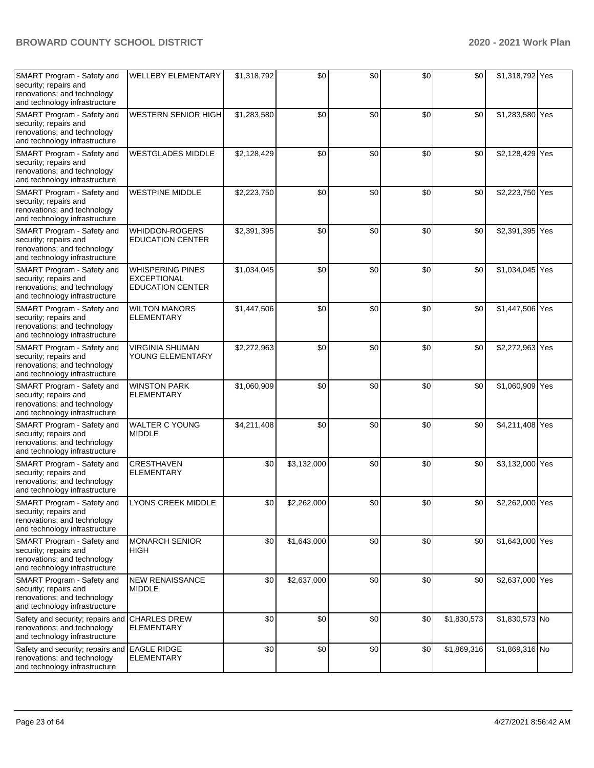| SMART Program - Safety and<br>security; repairs and<br>renovations; and technology<br>and technology infrastructure | <b>WELLEBY ELEMENTARY</b>                                                | \$1,318,792 | \$0         | \$0 | \$0 | \$0         | \$1,318,792 Yes |  |
|---------------------------------------------------------------------------------------------------------------------|--------------------------------------------------------------------------|-------------|-------------|-----|-----|-------------|-----------------|--|
| SMART Program - Safety and<br>security; repairs and<br>renovations; and technology<br>and technology infrastructure | <b>WESTERN SENIOR HIGH</b>                                               | \$1,283,580 | \$0         | \$0 | \$0 | \$0         | \$1,283,580 Yes |  |
| SMART Program - Safety and<br>security; repairs and<br>renovations; and technology<br>and technology infrastructure | <b>WESTGLADES MIDDLE</b>                                                 | \$2,128,429 | \$0         | \$0 | \$0 | \$0         | \$2,128,429 Yes |  |
| SMART Program - Safety and<br>security; repairs and<br>renovations; and technology<br>and technology infrastructure | <b>WESTPINE MIDDLE</b>                                                   | \$2,223,750 | \$0         | \$0 | \$0 | \$0         | \$2,223,750 Yes |  |
| SMART Program - Safety and<br>security; repairs and<br>renovations; and technology<br>and technology infrastructure | WHIDDON-ROGERS<br><b>EDUCATION CENTER</b>                                | \$2,391,395 | \$0         | \$0 | \$0 | \$0         | \$2,391,395 Yes |  |
| SMART Program - Safety and<br>security; repairs and<br>renovations; and technology<br>and technology infrastructure | <b>WHISPERING PINES</b><br><b>EXCEPTIONAL</b><br><b>EDUCATION CENTER</b> | \$1,034,045 | \$0         | \$0 | \$0 | \$0         | \$1,034,045 Yes |  |
| SMART Program - Safety and<br>security; repairs and<br>renovations; and technology<br>and technology infrastructure | <b>WILTON MANORS</b><br><b>ELEMENTARY</b>                                | \$1,447,506 | \$0         | \$0 | \$0 | \$0         | \$1,447,506 Yes |  |
| SMART Program - Safety and<br>security; repairs and<br>renovations; and technology<br>and technology infrastructure | <b>VIRGINIA SHUMAN</b><br>YOUNG ELEMENTARY                               | \$2,272,963 | \$0         | \$0 | \$0 | \$0         | \$2,272,963 Yes |  |
| SMART Program - Safety and<br>security; repairs and<br>renovations; and technology<br>and technology infrastructure | <b>WINSTON PARK</b><br><b>ELEMENTARY</b>                                 | \$1,060,909 | \$0         | \$0 | \$0 | \$0         | \$1,060,909 Yes |  |
| SMART Program - Safety and<br>security; repairs and<br>renovations; and technology<br>and technology infrastructure | <b>WALTER C YOUNG</b><br><b>MIDDLE</b>                                   | \$4,211,408 | \$0         | \$0 | \$0 | \$0         | \$4,211,408 Yes |  |
| SMART Program - Safety and<br>security; repairs and<br>renovations; and technology<br>and technology infrastructure | <b>CRESTHAVEN</b><br><b>ELEMENTARY</b>                                   | \$0         | \$3,132,000 | \$0 | \$0 | \$0         | \$3,132,000 Yes |  |
| SMART Program - Safety and<br>security; repairs and<br>renovations; and technology<br>and technology infrastructure | LYONS CREEK MIDDLE                                                       | \$0         | \$2,262,000 | \$0 | \$0 | \$0         | \$2,262,000 Yes |  |
| SMART Program - Safety and<br>security; repairs and<br>renovations; and technology<br>and technology infrastructure | <b>MONARCH SENIOR</b><br>HIGH                                            | \$0         | \$1,643,000 | \$0 | \$0 | \$0         | \$1,643,000 Yes |  |
| SMART Program - Safety and<br>security; repairs and<br>renovations; and technology<br>and technology infrastructure | <b>NEW RENAISSANCE</b><br><b>MIDDLE</b>                                  | \$0         | \$2,637,000 | \$0 | \$0 | \$0         | \$2,637,000 Yes |  |
| Safety and security; repairs and<br>renovations; and technology<br>and technology infrastructure                    | <b>CHARLES DREW</b><br><b>ELEMENTARY</b>                                 | \$0         | \$0         | \$0 | \$0 | \$1,830,573 | \$1,830,573 No  |  |
| Safety and security; repairs and<br>renovations; and technology<br>and technology infrastructure                    | <b>EAGLE RIDGE</b><br><b>ELEMENTARY</b>                                  | \$0         | \$0         | \$0 | \$0 | \$1,869,316 | \$1,869,316 No  |  |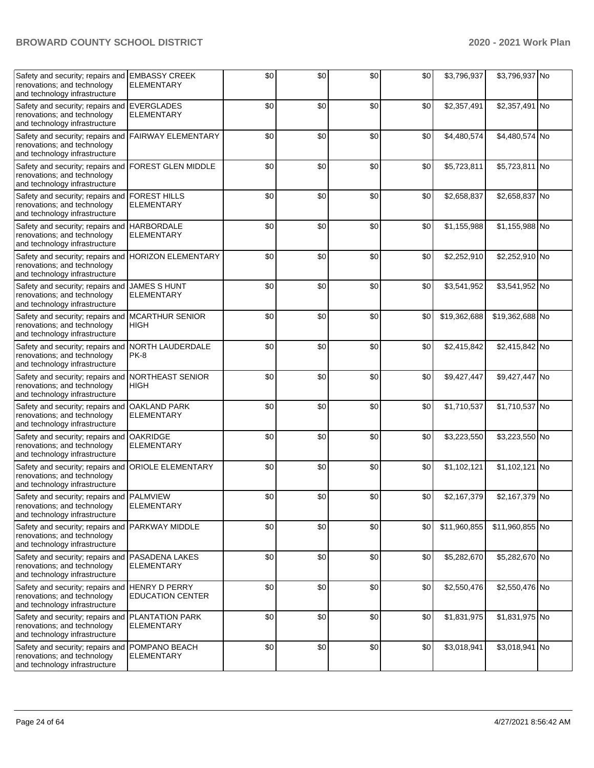| Safety and security; repairs and<br>renovations; and technology<br>and technology infrastructure                  | <b>EMBASSY CREEK</b><br><b>ELEMENTARY</b>  | \$0 | \$0 | \$0 | \$0 | \$3,796,937  | \$3,796,937 No  |  |
|-------------------------------------------------------------------------------------------------------------------|--------------------------------------------|-----|-----|-----|-----|--------------|-----------------|--|
| Safety and security; repairs and<br>renovations; and technology<br>and technology infrastructure                  | <b>EVERGLADES</b><br><b>ELEMENTARY</b>     | \$0 | \$0 | \$0 | \$0 | \$2,357,491  | \$2,357,491 No  |  |
| Safety and security; repairs and<br>renovations; and technology<br>and technology infrastructure                  | <b>FAIRWAY ELEMENTARY</b>                  | \$0 | \$0 | \$0 | \$0 | \$4,480,574  | \$4,480,574 No  |  |
| Safety and security; repairs and<br>renovations; and technology<br>and technology infrastructure                  | FOREST GLEN MIDDLE                         | \$0 | \$0 | \$0 | \$0 | \$5,723,811  | \$5,723,811 No  |  |
| Safety and security; repairs and<br>renovations; and technology<br>and technology infrastructure                  | <b>FOREST HILLS</b><br><b>ELEMENTARY</b>   | \$0 | \$0 | \$0 | \$0 | \$2,658,837  | \$2,658,837 No  |  |
| Safety and security; repairs and HARBORDALE<br>renovations; and technology<br>and technology infrastructure       | <b>ELEMENTARY</b>                          | \$0 | \$0 | \$0 | \$0 | \$1,155,988  | \$1,155,988 No  |  |
| Safety and security; repairs and<br>renovations; and technology<br>and technology infrastructure                  | <b>HORIZON ELEMENTARY</b>                  | \$0 | \$0 | \$0 | \$0 | \$2,252,910  | \$2,252,910 No  |  |
| Safety and security; repairs and<br>renovations; and technology<br>and technology infrastructure                  | <b>JAMES S HUNT</b><br><b>ELEMENTARY</b>   | \$0 | \$0 | \$0 | \$0 | \$3,541,952  | \$3,541,952 No  |  |
| Safety and security; repairs and<br>renovations; and technology<br>and technology infrastructure                  | <b>MCARTHUR SENIOR</b><br>HIGH             | \$0 | \$0 | \$0 | \$0 | \$19,362,688 | \$19,362,688 No |  |
| Safety and security; repairs and<br>renovations; and technology<br>and technology infrastructure                  | NORTH LAUDERDALE<br><b>PK-8</b>            | \$0 | \$0 | \$0 | \$0 | \$2,415,842  | \$2,415,842 No  |  |
| Safety and security; repairs and NORTHEAST SENIOR<br>renovations; and technology<br>and technology infrastructure | <b>HIGH</b>                                | \$0 | \$0 | \$0 | \$0 | \$9,427,447  | \$9,427,447 No  |  |
| Safety and security; repairs and<br>renovations; and technology<br>and technology infrastructure                  | <b>OAKLAND PARK</b><br><b>ELEMENTARY</b>   | \$0 | \$0 | \$0 | \$0 | \$1,710,537  | \$1,710,537 No  |  |
| Safety and security; repairs and<br>renovations; and technology<br>and technology infrastructure                  | <b>OAKRIDGE</b><br><b>ELEMENTARY</b>       | \$0 | \$0 | \$0 | \$0 | \$3,223,550  | \$3,223,550 No  |  |
| Safety and security; repairs and<br>renovations; and technology<br>and technology infrastructure                  | <b>ORIOLE ELEMENTARY</b>                   | \$0 | \$0 | \$0 | \$0 | \$1,102,121  | \$1,102,121 No  |  |
| Safety and security; repairs and<br>renovations; and technology<br>and technology infrastructure                  | <b>PALMVIEW</b><br>ELEMENTARY              | \$0 | \$0 | \$0 | \$0 | \$2,167,379  | \$2,167,379 No  |  |
| Safety and security; repairs and<br>renovations; and technology<br>and technology infrastructure                  | PARKWAY MIDDLE                             | \$0 | \$0 | \$0 | \$0 | \$11,960,855 | \$11,960,855 No |  |
| Safety and security; repairs and<br>renovations; and technology<br>and technology infrastructure                  | <b>PASADENA LAKES</b><br><b>ELEMENTARY</b> | \$0 | \$0 | \$0 | \$0 | \$5,282,670  | \$5,282,670 No  |  |
| Safety and security; repairs and HENRY D PERRY<br>renovations; and technology<br>and technology infrastructure    | <b>EDUCATION CENTER</b>                    | \$0 | \$0 | \$0 | \$0 | \$2,550,476  | \$2,550,476 No  |  |
| Safety and security; repairs and<br>renovations; and technology<br>and technology infrastructure                  | PLANTATION PARK<br><b>ELEMENTARY</b>       | \$0 | \$0 | \$0 | \$0 | \$1,831,975  | \$1,831,975 No  |  |
| Safety and security; repairs and<br>renovations; and technology<br>and technology infrastructure                  | POMPANO BEACH<br><b>ELEMENTARY</b>         | \$0 | \$0 | \$0 | \$0 | \$3,018,941  | \$3,018,941 No  |  |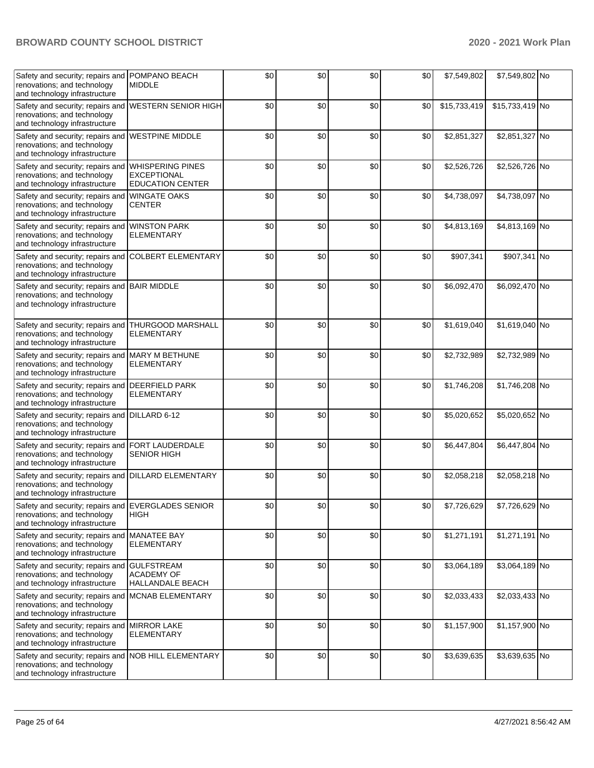| Safety and security; repairs and POMPANO BEACH<br>renovations; and technology<br>and technology infrastructure       | <b>MIDDLE</b>                                                            | \$0   | \$0 | \$0 | \$0 | \$7,549,802  | \$7,549,802 No  |  |
|----------------------------------------------------------------------------------------------------------------------|--------------------------------------------------------------------------|-------|-----|-----|-----|--------------|-----------------|--|
| Safety and security; repairs and<br>renovations; and technology<br>and technology infrastructure                     | <b>WESTERN SENIOR HIGH</b>                                               | \$0   | \$0 | \$0 | \$0 | \$15,733,419 | \$15,733,419 No |  |
| Safety and security; repairs and<br>renovations; and technology<br>and technology infrastructure                     | <b>WESTPINE MIDDLE</b>                                                   | \$0   | \$0 | \$0 | \$0 | \$2,851,327  | \$2,851,327 No  |  |
| Safety and security; repairs and<br>renovations; and technology<br>and technology infrastructure                     | <b>WHISPERING PINES</b><br><b>EXCEPTIONAL</b><br><b>EDUCATION CENTER</b> | \$0   | \$0 | \$0 | \$0 | \$2,526,726  | \$2,526,726 No  |  |
| Safety and security; repairs and WINGATE OAKS<br>renovations; and technology<br>and technology infrastructure        | CENTER                                                                   | \$0   | \$0 | \$0 | \$0 | \$4,738,097  | \$4,738,097 No  |  |
| Safety and security; repairs and WINSTON PARK<br>renovations; and technology<br>and technology infrastructure        | <b>ELEMENTARY</b>                                                        | \$0   | \$0 | \$0 | \$0 | \$4,813,169  | \$4,813,169 No  |  |
| Safety and security; repairs and<br>renovations; and technology<br>and technology infrastructure                     | <b>COLBERT ELEMENTARY</b>                                                | \$0   | \$0 | \$0 | \$0 | \$907,341    | \$907,341 No    |  |
| Safety and security; repairs and<br>renovations; and technology<br>and technology infrastructure                     | <b>BAIR MIDDLE</b>                                                       | \$0   | \$0 | \$0 | \$0 | \$6,092,470  | \$6,092,470 No  |  |
| Safety and security; repairs and THURGOOD MARSHALL<br>renovations; and technology<br>and technology infrastructure   | <b>ELEMENTARY</b>                                                        | \$0   | \$0 | \$0 | \$0 | \$1,619,040  | \$1,619,040 No  |  |
| Safety and security; repairs and MARY M BETHUNE<br>renovations; and technology<br>and technology infrastructure      | <b>ELEMENTARY</b>                                                        | \$0   | \$0 | \$0 | \$0 | \$2,732,989  | \$2,732,989 No  |  |
| Safety and security; repairs and<br>renovations; and technology<br>and technology infrastructure                     | <b>DEERFIELD PARK</b><br><b>ELEMENTARY</b>                               | \$0   | \$0 | \$0 | \$0 | \$1,746,208  | \$1,746,208 No  |  |
| Safety and security; repairs and<br>renovations; and technology<br>and technology infrastructure                     | DILLARD 6-12                                                             | \$0   | \$0 | \$0 | \$0 | \$5,020,652  | \$5,020,652 No  |  |
| Safety and security; repairs and<br>renovations; and technology<br>and technology infrastructure                     | FORT LAUDERDALE<br><b>SENIOR HIGH</b>                                    | \$0   | \$0 | \$0 | \$0 | \$6,447,804  | \$6,447,804 No  |  |
| Safety and security; repairs and DILLARD ELEMENTARY<br>renovations; and technology<br>and technology infrastructure  |                                                                          | \$0   | \$0 | \$0 | \$0 | \$2,058,218  | \$2,058,218 No  |  |
| Safety and security; repairs and EVERGLADES SENIOR<br>renovations; and technology<br>and technology infrastructure   | <b>HIGH</b>                                                              | $\$0$ | \$0 | \$0 | \$0 | \$7,726,629  | \$7,726,629 No  |  |
| Safety and security; repairs and MANATEE BAY<br>renovations; and technology<br>and technology infrastructure         | <b>ELEMENTARY</b>                                                        | \$0   | \$0 | \$0 | \$0 | \$1,271,191  | \$1,271,191 No  |  |
| Safety and security; repairs and<br>renovations; and technology<br>and technology infrastructure                     | <b>GULFSTREAM</b><br><b>ACADEMY OF</b><br><b>HALLANDALE BEACH</b>        | \$0   | \$0 | \$0 | \$0 | \$3,064,189  | \$3,064,189 No  |  |
| Safety and security; repairs and<br>renovations; and technology<br>and technology infrastructure                     | <b>MCNAB ELEMENTARY</b>                                                  | \$0   | \$0 | \$0 | \$0 | \$2,033,433  | \$2,033,433 No  |  |
| Safety and security; repairs and<br>renovations; and technology<br>and technology infrastructure                     | <b>MIRROR LAKE</b><br><b>ELEMENTARY</b>                                  | \$0   | \$0 | \$0 | \$0 | \$1,157,900  | \$1,157,900 No  |  |
| Safety and security; repairs and NOB HILL ELEMENTARY<br>renovations; and technology<br>and technology infrastructure |                                                                          | \$0   | \$0 | \$0 | \$0 | \$3,639,635  | \$3,639,635 No  |  |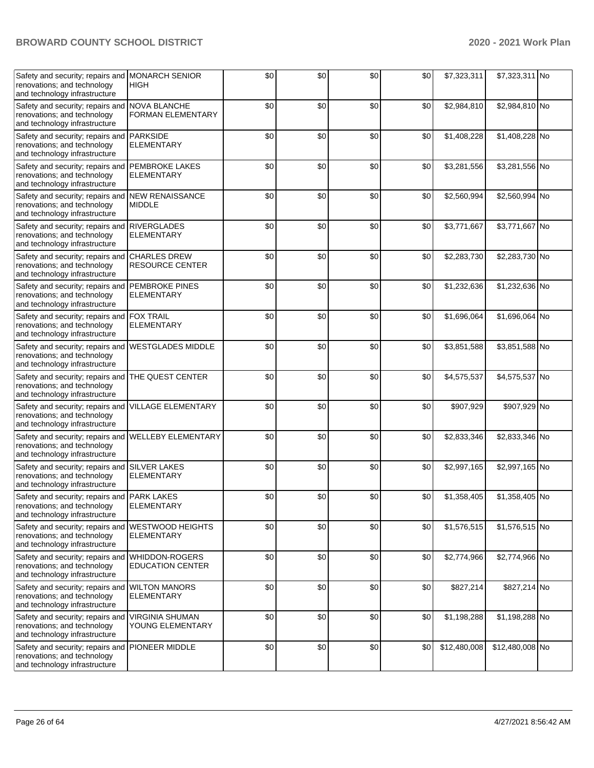| Safety and security; repairs and<br>renovations; and technology<br>and technology infrastructure                  | <b>MONARCH SENIOR</b><br><b>HIGH</b>          | \$0 | \$0 | \$0 | \$0 | \$7,323,311  | \$7,323,311 No  |  |
|-------------------------------------------------------------------------------------------------------------------|-----------------------------------------------|-----|-----|-----|-----|--------------|-----------------|--|
| Safety and security; repairs and<br>renovations; and technology<br>and technology infrastructure                  | NOVA BLANCHE<br><b>FORMAN ELEMENTARY</b>      | \$0 | \$0 | \$0 | \$0 | \$2,984,810  | \$2,984,810 No  |  |
| Safety and security; repairs and<br>renovations; and technology<br>and technology infrastructure                  | <b>PARKSIDE</b><br><b>ELEMENTARY</b>          | \$0 | \$0 | \$0 | \$0 | \$1,408,228  | \$1,408,228 No  |  |
| Safety and security; repairs and<br>renovations; and technology<br>and technology infrastructure                  | <b>PEMBROKE LAKES</b><br><b>ELEMENTARY</b>    | \$0 | \$0 | \$0 | \$0 | \$3,281,556  | \$3,281,556 No  |  |
| Safety and security; repairs and NEW RENAISSANCE<br>renovations; and technology<br>and technology infrastructure  | <b>MIDDLE</b>                                 | \$0 | \$0 | \$0 | \$0 | \$2,560,994  | \$2,560,994 No  |  |
| Safety and security; repairs and RIVERGLADES<br>renovations; and technology<br>and technology infrastructure      | <b>ELEMENTARY</b>                             | \$0 | \$0 | \$0 | \$0 | \$3,771,667  | \$3,771,667 No  |  |
| Safety and security; repairs and<br>renovations; and technology<br>and technology infrastructure                  | <b>CHARLES DREW</b><br><b>RESOURCE CENTER</b> | \$0 | \$0 | \$0 | \$0 | \$2,283,730  | \$2,283,730 No  |  |
| Safety and security; repairs and<br>renovations; and technology<br>and technology infrastructure                  | <b>PEMBROKE PINES</b><br><b>ELEMENTARY</b>    | \$0 | \$0 | \$0 | \$0 | \$1,232,636  | \$1,232,636 No  |  |
| Safety and security; repairs and FOX TRAIL<br>renovations; and technology<br>and technology infrastructure        | <b>ELEMENTARY</b>                             | \$0 | \$0 | \$0 | \$0 | \$1,696,064  | \$1,696,064 No  |  |
| Safety and security; repairs and<br>renovations; and technology<br>and technology infrastructure                  | <b>WESTGLADES MIDDLE</b>                      | \$0 | \$0 | \$0 | \$0 | \$3,851,588  | \$3,851,588 No  |  |
| Safety and security; repairs and THE QUEST CENTER<br>renovations; and technology<br>and technology infrastructure |                                               | \$0 | \$0 | \$0 | \$0 | \$4,575,537  | \$4,575,537 No  |  |
| Safety and security; repairs and<br>renovations; and technology<br>and technology infrastructure                  | <b>VILLAGE ELEMENTARY</b>                     | \$0 | \$0 | \$0 | \$0 | \$907,929    | \$907,929 No    |  |
| Safety and security; repairs and<br>renovations; and technology<br>and technology infrastructure                  | <b>WELLEBY ELEMENTARY</b>                     | \$0 | \$0 | \$0 | \$0 | \$2,833,346  | \$2,833,346 No  |  |
| Safety and security; repairs and<br>renovations; and technology<br>and technology infrastructure                  | <b>SILVER LAKES</b><br><b>ELEMENTARY</b>      | \$0 | \$0 | \$0 | \$0 | \$2,997,165  | \$2,997,165 No  |  |
| Safety and security; repairs and<br>renovations; and technology<br>and technology infrastructure                  | <b>PARK LAKES</b><br><b>ELEMENTARY</b>        | \$0 | \$0 | \$0 | \$0 | \$1,358,405  | \$1,358,405 No  |  |
| Safety and security; repairs and<br>renovations; and technology<br>and technology infrastructure                  | <b>WESTWOOD HEIGHTS</b><br><b>ELEMENTARY</b>  | \$0 | \$0 | \$0 | \$0 | \$1,576,515  | \$1,576,515 No  |  |
| Safety and security; repairs and WHIDDON-ROGERS<br>renovations; and technology<br>and technology infrastructure   | <b>EDUCATION CENTER</b>                       | \$0 | \$0 | \$0 | \$0 | \$2,774,966  | \$2,774,966 No  |  |
| Safety and security; repairs and WILTON MANORS<br>renovations; and technology<br>and technology infrastructure    | <b>ELEMENTARY</b>                             | \$0 | \$0 | \$0 | \$0 | \$827,214    | \$827,214 No    |  |
| Safety and security; repairs and<br>renovations; and technology<br>and technology infrastructure                  | <b>VIRGINIA SHUMAN</b><br>YOUNG ELEMENTARY    | \$0 | \$0 | \$0 | \$0 | \$1,198,288  | \$1,198,288 No  |  |
| Safety and security; repairs and<br>renovations; and technology<br>and technology infrastructure                  | <b>PIONEER MIDDLE</b>                         | \$0 | \$0 | \$0 | \$0 | \$12,480,008 | \$12,480,008 No |  |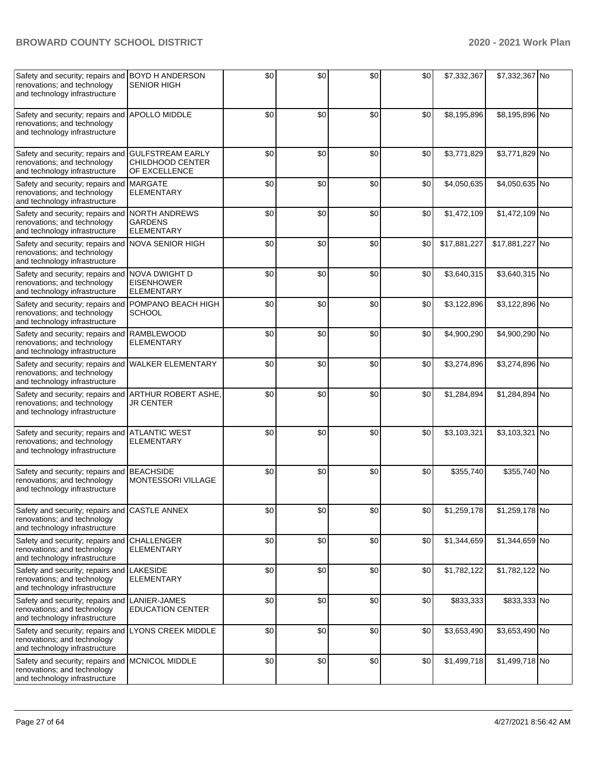| Safety and security; repairs and BOYD H ANDERSON<br>renovations; and technology<br>and technology infrastructure  | <b>SENIOR HIGH</b>                                           | \$0 | \$0 | \$0 | \$0 | \$7,332,367  | \$7,332,367 No  |  |
|-------------------------------------------------------------------------------------------------------------------|--------------------------------------------------------------|-----|-----|-----|-----|--------------|-----------------|--|
| Safety and security; repairs and<br>renovations; and technology<br>and technology infrastructure                  | <b>APOLLO MIDDLE</b>                                         | \$0 | \$0 | \$0 | \$0 | \$8,195,896  | \$8,195,896 No  |  |
| Safety and security; repairs and<br>renovations; and technology<br>and technology infrastructure                  | <b>GULFSTREAM EARLY</b><br>CHILDHOOD CENTER<br>OF EXCELLENCE | \$0 | \$0 | \$0 | \$0 | \$3,771,829  | \$3,771,829 No  |  |
| Safety and security; repairs and<br>renovations; and technology<br>and technology infrastructure                  | <b>MARGATE</b><br><b>ELEMENTARY</b>                          | \$0 | \$0 | \$0 | \$0 | \$4,050,635  | \$4,050,635 No  |  |
| Safety and security; repairs and<br>renovations; and technology<br>and technology infrastructure                  | <b>NORTH ANDREWS</b><br><b>GARDENS</b><br><b>ELEMENTARY</b>  | \$0 | \$0 | \$0 | \$0 | \$1,472,109  | \$1,472,109 No  |  |
| Safety and security; repairs and NOVA SENIOR HIGH<br>renovations; and technology<br>and technology infrastructure |                                                              | \$0 | \$0 | \$0 | \$0 | \$17,881,227 | \$17,881,227 No |  |
| Safety and security; repairs and NOVA DWIGHT D<br>renovations; and technology<br>and technology infrastructure    | <b>EISENHOWER</b><br><b>ELEMENTARY</b>                       | \$0 | \$0 | \$0 | \$0 | \$3,640,315  | \$3,640,315 No  |  |
| Safety and security; repairs and<br>renovations; and technology<br>and technology infrastructure                  | POMPANO BEACH HIGH<br><b>SCHOOL</b>                          | \$0 | \$0 | \$0 | \$0 | \$3,122,896  | \$3,122,896 No  |  |
| Safety and security; repairs and<br>renovations; and technology<br>and technology infrastructure                  | <b>RAMBLEWOOD</b><br><b>ELEMENTARY</b>                       | \$0 | \$0 | \$0 | \$0 | \$4,900,290  | \$4,900,290 No  |  |
| Safety and security; repairs and<br>renovations; and technology<br>and technology infrastructure                  | <b>WALKER ELEMENTARY</b>                                     | \$0 | \$0 | \$0 | \$0 | \$3,274,896  | \$3,274,896 No  |  |
| Safety and security; repairs and<br>renovations; and technology<br>and technology infrastructure                  | ARTHUR ROBERT ASHE,<br>JR CENTER                             | \$0 | \$0 | \$0 | \$0 | \$1,284,894  | \$1,284,894 No  |  |
| Safety and security; repairs and<br>renovations; and technology<br>and technology infrastructure                  | <b>ATLANTIC WEST</b><br><b>ELEMENTARY</b>                    | \$0 | \$0 | \$0 | \$0 | \$3,103,321  | \$3,103,321 No  |  |
| Safety and security; repairs and BEACHSIDE<br>renovations; and technology<br>and technology infrastructure        | <b>MONTESSORI VILLAGE</b>                                    | \$0 | \$0 | \$0 | \$0 | \$355,740    | \$355,740 No    |  |
| Safety and security; repairs and CASTLE ANNEX<br>renovations; and technology<br>and technology infrastructure     |                                                              | \$0 | \$0 | \$0 | \$0 | \$1,259,178  | \$1,259,178 No  |  |
| Safety and security; repairs and<br>renovations; and technology<br>and technology infrastructure                  | <b>CHALLENGER</b><br><b>ELEMENTARY</b>                       | \$0 | \$0 | \$0 | \$0 | \$1,344,659  | \$1,344,659 No  |  |
| Safety and security; repairs and LAKESIDE<br>renovations; and technology<br>and technology infrastructure         | <b>ELEMENTARY</b>                                            | \$0 | \$0 | \$0 | \$0 | \$1,782,122  | \$1,782,122 No  |  |
| Safety and security; repairs and<br>renovations; and technology<br>and technology infrastructure                  | LANIER-JAMES<br><b>EDUCATION CENTER</b>                      | \$0 | \$0 | \$0 | \$0 | \$833,333    | \$833,333 No    |  |
| Safety and security; repairs and<br>renovations; and technology<br>and technology infrastructure                  | <b>LYONS CREEK MIDDLE</b>                                    | \$0 | \$0 | \$0 | \$0 | \$3,653,490  | \$3,653,490 No  |  |
| Safety and security; repairs and MCNICOL MIDDLE<br>renovations; and technology<br>and technology infrastructure   |                                                              | \$0 | \$0 | \$0 | \$0 | \$1,499,718  | \$1,499,718 No  |  |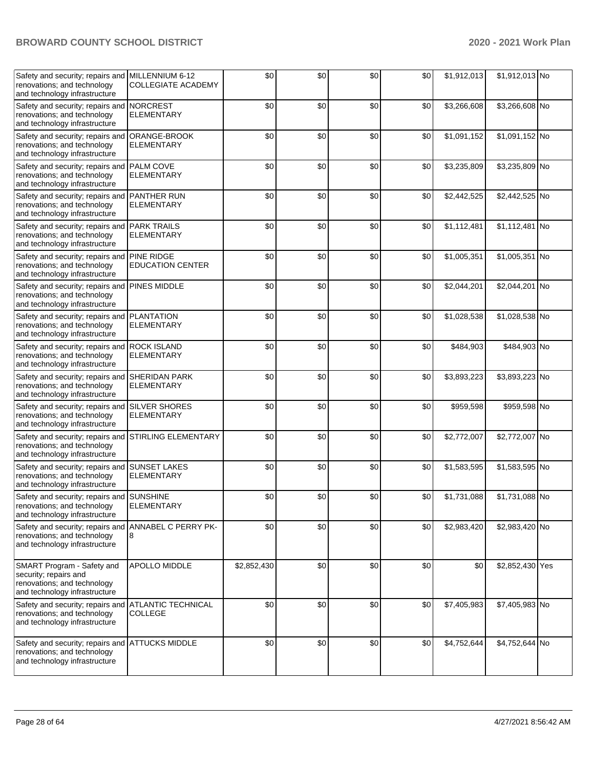| Safety and security; repairs and<br>renovations; and technology<br>and technology infrastructure                    | MILLENNIUM 6-12<br><b>COLLEGIATE ACADEMY</b> | \$0         | \$0 | \$0 | \$0 | \$1,912,013 | \$1,912,013 No  |  |
|---------------------------------------------------------------------------------------------------------------------|----------------------------------------------|-------------|-----|-----|-----|-------------|-----------------|--|
| Safety and security; repairs and<br>renovations; and technology<br>and technology infrastructure                    | <b>NORCREST</b><br><b>ELEMENTARY</b>         | \$0         | \$0 | \$0 | \$0 | \$3,266,608 | \$3,266,608 No  |  |
| Safety and security; repairs and<br>renovations; and technology<br>and technology infrastructure                    | ORANGE-BROOK<br><b>ELEMENTARY</b>            | \$0         | \$0 | \$0 | \$0 | \$1,091,152 | \$1,091,152 No  |  |
| Safety and security; repairs and<br>renovations; and technology<br>and technology infrastructure                    | PALM COVE<br><b>ELEMENTARY</b>               | \$0         | \$0 | \$0 | \$0 | \$3,235,809 | \$3,235,809 No  |  |
| Safety and security; repairs and PANTHER RUN<br>renovations; and technology<br>and technology infrastructure        | <b>ELEMENTARY</b>                            | \$0         | \$0 | \$0 | \$0 | \$2,442,525 | \$2,442,525 No  |  |
| Safety and security; repairs and PARK TRAILS<br>renovations; and technology<br>and technology infrastructure        | <b>ELEMENTARY</b>                            | \$0         | \$0 | \$0 | \$0 | \$1,112,481 | \$1,112,481 No  |  |
| Safety and security; repairs and<br>renovations; and technology<br>and technology infrastructure                    | <b>PINE RIDGE</b><br><b>EDUCATION CENTER</b> | \$0         | \$0 | \$0 | \$0 | \$1,005,351 | \$1,005,351 No  |  |
| Safety and security; repairs and<br>renovations; and technology<br>and technology infrastructure                    | <b>PINES MIDDLE</b>                          | \$0         | \$0 | \$0 | \$0 | \$2,044,201 | \$2,044,201 No  |  |
| Safety and security; repairs and<br>renovations; and technology<br>and technology infrastructure                    | <b>PLANTATION</b><br><b>ELEMENTARY</b>       | \$0         | \$0 | \$0 | \$0 | \$1,028,538 | \$1,028,538 No  |  |
| Safety and security; repairs and<br>renovations; and technology<br>and technology infrastructure                    | <b>ROCK ISLAND</b><br>ELEMENTARY             | \$0         | \$0 | \$0 | \$0 | \$484,903   | \$484,903 No    |  |
| Safety and security; repairs and SHERIDAN PARK<br>renovations; and technology<br>and technology infrastructure      | <b>ELEMENTARY</b>                            | \$0         | \$0 | \$0 | \$0 | \$3,893,223 | \$3,893,223 No  |  |
| Safety and security; repairs and SILVER SHORES<br>renovations; and technology<br>and technology infrastructure      | <b>ELEMENTARY</b>                            | \$0         | \$0 | \$0 | \$0 | \$959,598   | \$959,598 No    |  |
| Safety and security; repairs and<br>renovations; and technology<br>and technology infrastructure                    | <b>STIRLING ELEMENTARY</b>                   | \$0         | \$0 | \$0 | \$0 | \$2,772,007 | \$2,772,007 No  |  |
| Safety and security; repairs and<br>renovations; and technology<br>and technology infrastructure                    | <b>SUNSET LAKES</b><br><b>ELEMENTARY</b>     | \$0         | \$0 | \$0 | \$0 | \$1,583,595 | \$1,583,595 No  |  |
| Safety and security; repairs and<br>renovations; and technology<br>and technology infrastructure                    | <b>SUNSHINE</b><br>ELEMENTARY                | \$0         | \$0 | \$0 | \$0 | \$1,731,088 | \$1,731,088 No  |  |
| Safety and security; repairs and<br>renovations; and technology<br>and technology infrastructure                    | ANNABEL C PERRY PK-<br>8                     | \$0         | \$0 | \$0 | \$0 | \$2,983,420 | \$2,983,420 No  |  |
| SMART Program - Safety and<br>security; repairs and<br>renovations; and technology<br>and technology infrastructure | APOLLO MIDDLE                                | \$2,852,430 | \$0 | \$0 | \$0 | \$0         | \$2,852,430 Yes |  |
| Safety and security; repairs and ATLANTIC TECHNICAL<br>renovations; and technology<br>and technology infrastructure | <b>COLLEGE</b>                               | \$0         | \$0 | \$0 | \$0 | \$7,405,983 | \$7,405,983 No  |  |
| Safety and security; repairs and ATTUCKS MIDDLE<br>renovations; and technology<br>and technology infrastructure     |                                              | \$0         | \$0 | \$0 | \$0 | \$4,752,644 | \$4,752,644 No  |  |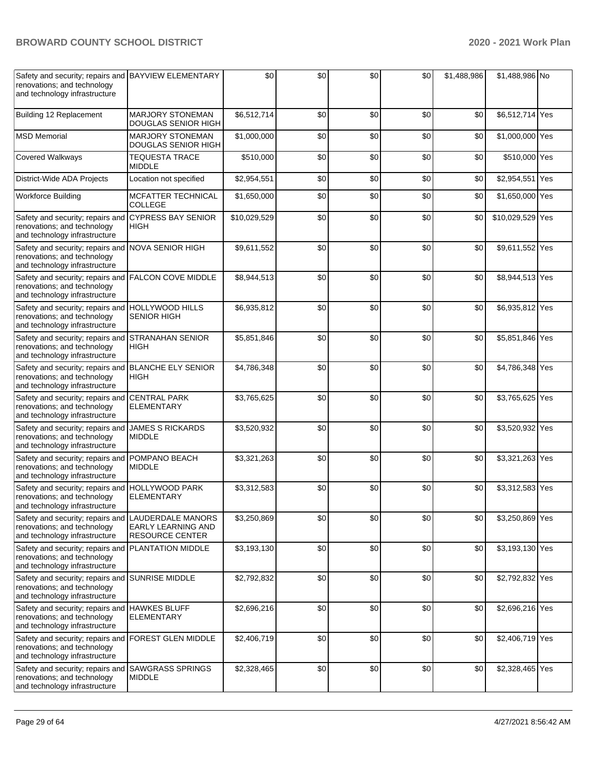| Safety and security; repairs and BAYVIEW ELEMENTARY<br>renovations; and technology<br>and technology infrastructure |                                                | \$0          | \$0 | \$0 | \$0 | \$1,488,986 | \$1,488,986 No   |     |
|---------------------------------------------------------------------------------------------------------------------|------------------------------------------------|--------------|-----|-----|-----|-------------|------------------|-----|
| Building 12 Replacement                                                                                             | <b>MARJORY STONEMAN</b><br>DOUGLAS SENIOR HIGH | \$6,512,714  | \$0 | \$0 | \$0 | \$0         | \$6,512,714 Yes  |     |
| <b>MSD Memorial</b>                                                                                                 | <b>MARJORY STONEMAN</b><br>DOUGLAS SENIOR HIGH | \$1,000,000  | \$0 | \$0 | \$0 | \$0         | \$1,000,000 Yes  |     |
| Covered Walkways                                                                                                    | <b>TEQUESTA TRACE</b><br><b>MIDDLE</b>         | \$510,000    | \$0 | \$0 | \$0 | \$0         | \$510,000 Yes    |     |
| District-Wide ADA Projects                                                                                          | Location not specified                         | \$2,954,551  | \$0 | \$0 | \$0 | \$0         | \$2,954,551      | Yes |
| <b>Workforce Building</b>                                                                                           | MCFATTER TECHNICAL<br>COLLEGE                  | \$1,650,000  | \$0 | \$0 | \$0 | \$0         | \$1,650,000 Yes  |     |
| Safety and security; repairs and<br>renovations; and technology<br>and technology infrastructure                    | <b>CYPRESS BAY SENIOR</b><br>HIGH              | \$10,029,529 | \$0 | \$0 | \$0 | \$0         | \$10,029,529 Yes |     |
| Safety and security; repairs and<br>renovations; and technology<br>and technology infrastructure                    | <b>NOVA SENIOR HIGH</b>                        | \$9,611,552  | \$0 | \$0 | \$0 | \$0         | \$9,611,552 Yes  |     |
| Safety and security; repairs and<br>renovations; and technology<br>and technology infrastructure                    | <b>FALCON COVE MIDDLE</b>                      | \$8,944,513  | \$0 | \$0 | \$0 | \$0         | \$8,944,513 Yes  |     |
| Safety and security; repairs and HOLLYWOOD HILLS<br>renovations; and technology<br>and technology infrastructure    | <b>SENIOR HIGH</b>                             | \$6,935,812  | \$0 | \$0 | \$0 | \$0         | \$6,935,812 Yes  |     |
| Safety and security; repairs and STRANAHAN SENIOR<br>renovations; and technology<br>and technology infrastructure   | HIGH                                           | \$5,851,846  | \$0 | \$0 | \$0 | \$0         | \$5,851,846 Yes  |     |
| Safety and security; repairs and BLANCHE ELY SENIOR<br>renovations; and technology<br>and technology infrastructure | HIGH                                           | \$4,786,348  | \$0 | \$0 | \$0 | \$0         | \$4,786,348 Yes  |     |
| Safety and security; repairs and<br>renovations; and technology<br>and technology infrastructure                    | <b>CENTRAL PARK</b><br><b>ELEMENTARY</b>       | \$3,765,625  | \$0 | \$0 | \$0 | \$0         | \$3,765,625 Yes  |     |
| Safety and security; repairs and<br>renovations; and technology<br>and technology infrastructure                    | <b>JAMES S RICKARDS</b><br><b>MIDDLE</b>       | \$3,520,932  | \$0 | \$0 | \$0 | \$0         | \$3,520,932 Yes  |     |
| Safety and security; repairs and<br>renovations; and technology<br>and technology infrastructure                    | POMPANO BEACH<br><b>MIDDLE</b>                 | \$3,321,263  | \$0 | \$0 | \$0 | \$0         | \$3,321,263 Yes  |     |
| Safety and security; repairs and<br>renovations; and technology<br>and technology infrastructure                    | <b>HOLLYWOOD PARK</b><br><b>ELEMENTARY</b>     | \$3,312,583  | \$0 | \$0 | \$0 | \$0         | \$3,312,583 Yes  |     |
| Safety and security; repairs and LAUDERDALE MANORS<br>renovations; and technology<br>and technology infrastructure  | EARLY LEARNING AND<br><b>RESOURCE CENTER</b>   | \$3,250,869  | \$0 | \$0 | \$0 | \$0         | \$3,250,869 Yes  |     |
| Safety and security; repairs and<br>renovations; and technology<br>and technology infrastructure                    | PLANTATION MIDDLE                              | \$3,193,130  | \$0 | \$0 | \$0 | \$0         | \$3,193,130 Yes  |     |
| Safety and security; repairs and SUNRISE MIDDLE<br>renovations; and technology<br>and technology infrastructure     |                                                | \$2,792,832  | \$0 | \$0 | \$0 | \$0         | \$2,792,832 Yes  |     |
| Safety and security; repairs and<br>renovations; and technology<br>and technology infrastructure                    | <b>HAWKES BLUFF</b><br>ELEMENTARY              | \$2,696,216  | \$0 | \$0 | \$0 | \$0         | \$2,696,216 Yes  |     |
| Safety and security; repairs and<br>renovations; and technology<br>and technology infrastructure                    | FOREST GLEN MIDDLE                             | \$2,406,719  | \$0 | \$0 | \$0 | \$0         | \$2,406,719 Yes  |     |
| Safety and security; repairs and SAWGRASS SPRINGS<br>renovations; and technology<br>and technology infrastructure   | <b>MIDDLE</b>                                  | \$2,328,465  | \$0 | \$0 | \$0 | \$0         | \$2,328,465 Yes  |     |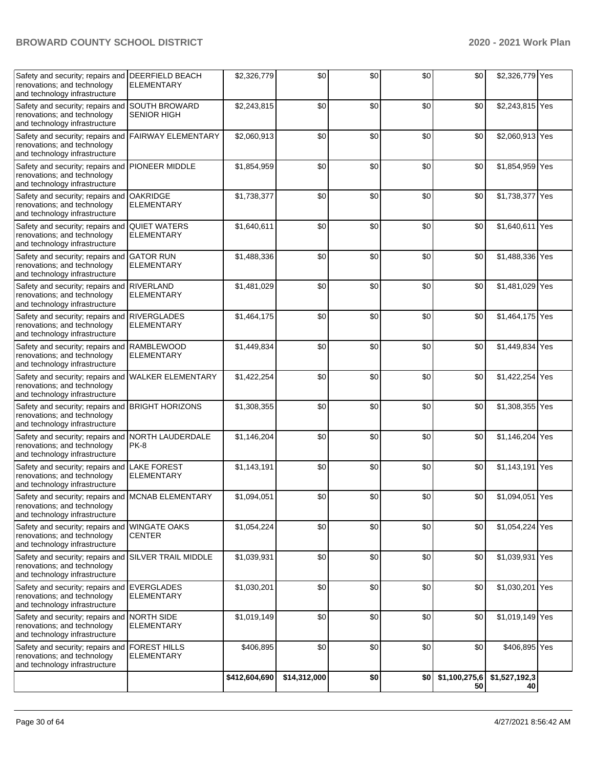| Safety and security; repairs and DEERFIELD BEACH<br>renovations; and technology<br>and technology infrastructure  | <b>ELEMENTARY</b>                          | \$2,326,779   | \$0          | \$0 | \$0 | \$0                 | \$2,326,779 Yes     |  |
|-------------------------------------------------------------------------------------------------------------------|--------------------------------------------|---------------|--------------|-----|-----|---------------------|---------------------|--|
| Safety and security; repairs and<br>renovations; and technology<br>and technology infrastructure                  | <b>SOUTH BROWARD</b><br><b>SENIOR HIGH</b> | \$2,243,815   | \$0          | \$0 | \$0 | \$0                 | \$2,243,815 Yes     |  |
| Safety and security; repairs and<br>renovations; and technology<br>and technology infrastructure                  | <b>FAIRWAY ELEMENTARY</b>                  | \$2,060,913   | \$0          | \$0 | \$0 | \$0                 | \$2,060,913 Yes     |  |
| Safety and security; repairs and<br>renovations; and technology<br>and technology infrastructure                  | PIONEER MIDDLE                             | \$1,854,959   | \$0          | \$0 | \$0 | \$0                 | \$1,854,959 Yes     |  |
| Safety and security; repairs and<br>renovations; and technology<br>and technology infrastructure                  | <b>OAKRIDGE</b><br><b>ELEMENTARY</b>       | \$1,738,377   | \$0          | \$0 | \$0 | \$0                 | \$1,738,377 Yes     |  |
| Safety and security; repairs and<br>renovations; and technology<br>and technology infrastructure                  | <b>QUIET WATERS</b><br><b>ELEMENTARY</b>   | \$1,640,611   | \$0          | \$0 | \$0 | \$0                 | \$1,640,611 Yes     |  |
| Safety and security; repairs and<br>renovations; and technology<br>and technology infrastructure                  | <b>GATOR RUN</b><br><b>ELEMENTARY</b>      | \$1,488,336   | \$0          | \$0 | \$0 | \$0                 | \$1,488,336 Yes     |  |
| Safety and security; repairs and<br>renovations; and technology<br>and technology infrastructure                  | <b>RIVERLAND</b><br><b>ELEMENTARY</b>      | \$1,481,029   | \$0          | \$0 | \$0 | \$0                 | \$1,481,029 Yes     |  |
| Safety and security; repairs and<br>renovations; and technology<br>and technology infrastructure                  | <b>RIVERGLADES</b><br><b>ELEMENTARY</b>    | \$1,464,175   | \$0          | \$0 | \$0 | \$0                 | \$1,464,175 Yes     |  |
| Safety and security; repairs and<br>renovations; and technology<br>and technology infrastructure                  | <b>RAMBLEWOOD</b><br><b>ELEMENTARY</b>     | \$1,449,834   | \$0          | \$0 | \$0 | \$0                 | \$1,449,834 Yes     |  |
| Safety and security; repairs and<br>renovations; and technology<br>and technology infrastructure                  | <b>WALKER ELEMENTARY</b>                   | \$1,422,254   | \$0          | \$0 | \$0 | \$0                 | \$1,422,254 Yes     |  |
| Safety and security; repairs and<br>renovations; and technology<br>and technology infrastructure                  | <b>BRIGHT HORIZONS</b>                     | \$1,308,355   | \$0          | \$0 | \$0 | \$0                 | \$1,308,355 Yes     |  |
| Safety and security; repairs and NORTH LAUDERDALE<br>renovations; and technology<br>and technology infrastructure | PK-8                                       | \$1,146,204   | \$0          | \$0 | \$0 | \$0                 | \$1,146,204 Yes     |  |
| Safety and security; repairs and<br>renovations; and technology<br>and technology infrastructure                  | <b>LAKE FOREST</b><br><b>ELEMENTARY</b>    | \$1,143,191   | \$0          | \$0 | \$0 | \$0                 | \$1,143,191 Yes     |  |
| Safety and security; repairs and<br>renovations; and technology<br>and technology infrastructure                  | <b>MCNAB ELEMENTARY</b>                    | \$1,094,051   | \$0          | \$0 | \$0 | \$0                 | \$1,094,051 Yes     |  |
| Safety and security; repairs and<br>renovations; and technology<br>and technology infrastructure                  | <b>WINGATE OAKS</b><br><b>CENTER</b>       | \$1,054,224   | \$0          | \$0 | \$0 | \$0                 | \$1,054,224 Yes     |  |
| Safety and security; repairs and<br>renovations; and technology<br>and technology infrastructure                  | <b>SILVER TRAIL MIDDLE</b>                 | \$1,039,931   | \$0          | \$0 | \$0 | \$0                 | \$1,039,931 Yes     |  |
| Safety and security; repairs and EVERGLADES<br>renovations; and technology<br>and technology infrastructure       | <b>ELEMENTARY</b>                          | \$1,030,201   | \$0          | \$0 | \$0 | \$0                 | \$1,030,201 Yes     |  |
| Safety and security; repairs and NORTH SIDE<br>renovations; and technology<br>and technology infrastructure       | <b>ELEMENTARY</b>                          | \$1,019,149   | \$0          | \$0 | \$0 | \$0                 | \$1,019,149 Yes     |  |
| Safety and security; repairs and<br>renovations; and technology<br>and technology infrastructure                  | <b>FOREST HILLS</b><br><b>ELEMENTARY</b>   | \$406,895     | \$0          | \$0 | \$0 | \$0                 | \$406,895 Yes       |  |
|                                                                                                                   |                                            | \$412,604,690 | \$14,312,000 | \$0 | \$0 | \$1,100,275,6<br>50 | \$1,527,192,3<br>40 |  |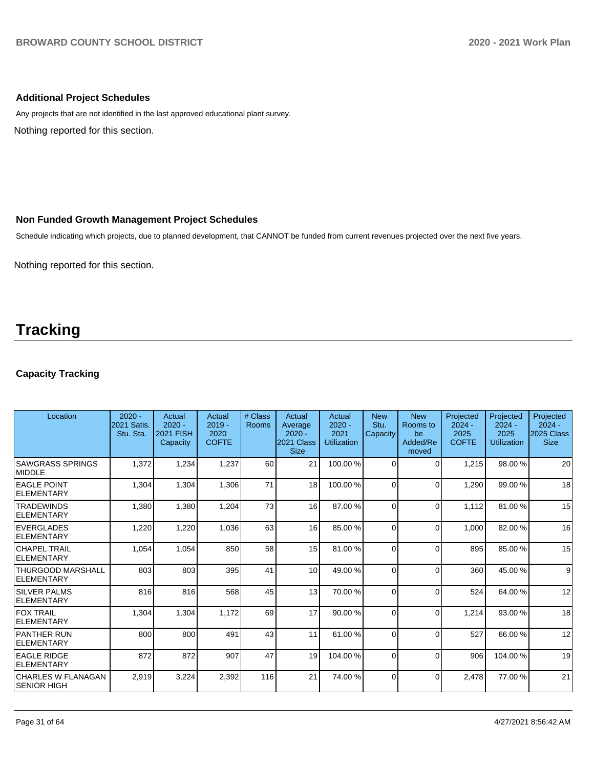## **Additional Project Schedules**

Any projects that are not identified in the last approved educational plant survey.

Nothing reported for this section.

#### **Non Funded Growth Management Project Schedules**

Schedule indicating which projects, due to planned development, that CANNOT be funded from current revenues projected over the next five years.

Nothing reported for this section.

# **Tracking**

## **Capacity Tracking**

| Location                                        | $2020 -$<br><b>2021 Satis.</b><br>Stu. Sta. | Actual<br>$2020 -$<br><b>2021 FISH</b><br>Capacity | Actual<br>$2019 -$<br>2020<br><b>COFTE</b> | # Class<br>Rooms | Actual<br>Average<br>$2020 -$<br>2021 Class<br><b>Size</b> | Actual<br>$2020 -$<br>2021<br><b>Utilization</b> | <b>New</b><br>Stu.<br>Capacity | <b>New</b><br>Rooms to<br>be<br>Added/Re<br>moved | Projected<br>$2024 -$<br>2025<br><b>COFTE</b> | Projected<br>$2024 -$<br>2025<br>Utilization | Projected<br>$2024 -$<br>2025 Class<br><b>Size</b> |
|-------------------------------------------------|---------------------------------------------|----------------------------------------------------|--------------------------------------------|------------------|------------------------------------------------------------|--------------------------------------------------|--------------------------------|---------------------------------------------------|-----------------------------------------------|----------------------------------------------|----------------------------------------------------|
| <b>SAWGRASS SPRINGS</b><br>MIDDLE               | 1,372                                       | 1,234                                              | 1,237                                      | 60               | 21                                                         | 100.00%                                          | $\Omega$                       | 0                                                 | 1,215                                         | 98.00 %                                      | 20                                                 |
| <b>EAGLE POINT</b><br><b>ELEMENTARY</b>         | 1,304                                       | 1,304                                              | 1,306                                      | 71               | 18                                                         | 100.00%                                          | $\Omega$                       | $\Omega$                                          | 1,290                                         | 99.00 %                                      | 18                                                 |
| <b>TRADEWINDS</b><br><b>ELEMENTARY</b>          | 1,380                                       | 1,380                                              | 1,204                                      | 73               | 16                                                         | 87.00 %                                          | $\Omega$                       | $\Omega$                                          | 1,112                                         | 81.00 %                                      | 15                                                 |
| <b>EVERGLADES</b><br>ELEMENTARY                 | 1,220                                       | 1,220                                              | 1,036                                      | 63               | 16                                                         | 85.00 %                                          | $\Omega$                       | $\Omega$                                          | 1,000                                         | 82.00%                                       | 16                                                 |
| CHAPEL TRAIL<br>ELEMENTARY                      | 1,054                                       | 1,054                                              | 850                                        | 58               | 15                                                         | 81.00 %                                          | $\Omega$                       | $\Omega$                                          | 895                                           | 85.00 %                                      | 15                                                 |
| <b>THURGOOD MARSHALL</b><br>ELEMENTARY          | 803                                         | 803                                                | 395                                        | 41               | 10                                                         | 49.00 %                                          | 0                              | $\Omega$                                          | 360                                           | 45.00 %                                      | $\overline{9}$                                     |
| <b>SILVER PALMS</b><br><b>ELEMENTARY</b>        | 816                                         | 816                                                | 568                                        | 45               | 13                                                         | 70.00 %                                          | $\Omega$                       | $\Omega$                                          | 524                                           | 64.00 %                                      | 12                                                 |
| <b>FOX TRAIL</b><br><b>ELEMENTARY</b>           | 1,304                                       | 1,304                                              | 1,172                                      | 69               | 17                                                         | 90.00 %                                          | $\Omega$                       | $\Omega$                                          | 1,214                                         | 93.00 %                                      | 18                                                 |
| <b>PANTHER RUN</b><br>ELEMENTARY                | 800                                         | 800                                                | 491                                        | 43               | 11                                                         | 61.00%                                           | $\Omega$                       | $\Omega$                                          | 527                                           | 66.00 %                                      | 12                                                 |
| <b>EAGLE RIDGE</b><br>ELEMENTARY                | 872                                         | 872                                                | 907                                        | 47               | 19                                                         | 104.00%                                          | $\Omega$                       | $\Omega$                                          | 906                                           | 104.00%                                      | 19                                                 |
| <b>CHARLES W FLANAGAN</b><br><b>SENIOR HIGH</b> | 2,919                                       | 3,224                                              | 2,392                                      | 116              | 21                                                         | 74.00%                                           | $\Omega$                       | $\Omega$                                          | 2,478                                         | 77.00 %                                      | 21                                                 |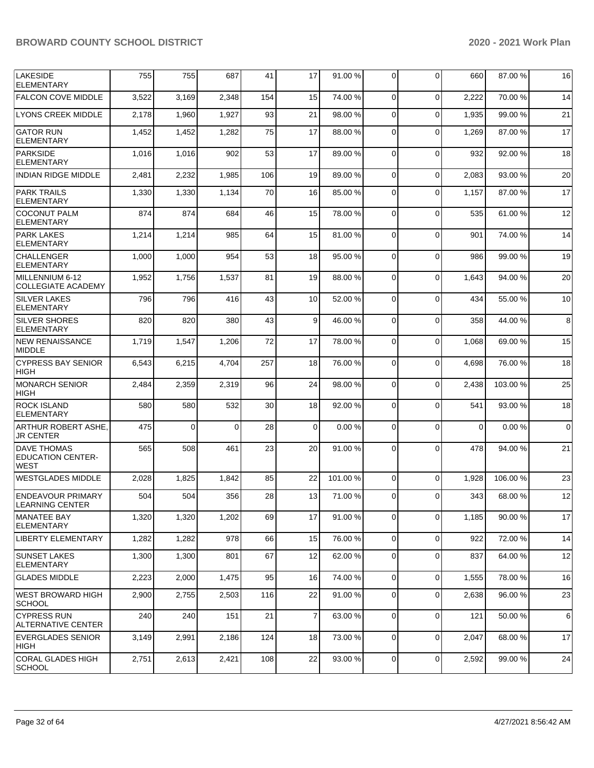| <b>LAKESIDE</b><br><b>ELEMENTARY</b>                   | 755   | 755      | 687      | 41  | 17             | 91.00 % | 0              | $\Omega$    | 660      | 87.00 % | 16          |
|--------------------------------------------------------|-------|----------|----------|-----|----------------|---------|----------------|-------------|----------|---------|-------------|
| <b>FALCON COVE MIDDLE</b>                              | 3,522 | 3,169    | 2,348    | 154 | 15             | 74.00 % | 0              | $\Omega$    | 2,222    | 70.00%  | 14          |
| <b>LYONS CREEK MIDDLE</b>                              | 2,178 | 1,960    | 1,927    | 93  | 21             | 98.00 % | $\mathbf 0$    | $\mathbf 0$ | 1,935    | 99.00 % | 21          |
| <b>GATOR RUN</b><br><b>ELEMENTARY</b>                  | 1,452 | 1,452    | 1,282    | 75  | 17             | 88.00 % | 0              | $\Omega$    | 1,269    | 87.00 % | 17          |
| PARKSIDE<br><b>ELEMENTARY</b>                          | 1,016 | 1,016    | 902      | 53  | 17             | 89.00 % | 0              | $\Omega$    | 932      | 92.00 % | 18          |
| <b>INDIAN RIDGE MIDDLE</b>                             | 2,481 | 2,232    | 1,985    | 106 | 19             | 89.00 % | $\mathbf 0$    | $\Omega$    | 2,083    | 93.00 % | 20          |
| <b>PARK TRAILS</b><br><b>ELEMENTARY</b>                | 1,330 | 1,330    | 1,134    | 70  | 16             | 85.00 % | $\Omega$       | $\Omega$    | 1,157    | 87.00 % | 17          |
| <b>COCONUT PALM</b><br><b>ELEMENTARY</b>               | 874   | 874      | 684      | 46  | 15             | 78.00 % | $\mathbf 0$    | $\Omega$    | 535      | 61.00 % | 12          |
| <b>PARK LAKES</b><br><b>ELEMENTARY</b>                 | 1,214 | 1,214    | 985      | 64  | 15             | 81.00%  | 0              | $\Omega$    | 901      | 74.00 % | 14          |
| <b>CHALLENGER</b><br><b>ELEMENTARY</b>                 | 1,000 | 1,000    | 954      | 53  | 18             | 95.00 % | $\Omega$       | $\Omega$    | 986      | 99.00 % | 19          |
| MILLENNIUM 6-12<br><b>COLLEGIATE ACADEMY</b>           | 1,952 | 1,756    | 1,537    | 81  | 19             | 88.00 % | 0              | $\Omega$    | 1,643    | 94.00 % | 20          |
| <b>SILVER LAKES</b><br><b>ELEMENTARY</b>               | 796   | 796      | 416      | 43  | 10             | 52.00 % | 0              | $\Omega$    | 434      | 55.00 % | 10          |
| <b>SILVER SHORES</b><br>ELEMENTARY                     | 820   | 820      | 380      | 43  | 9              | 46.00 % | $\mathbf 0$    | $\Omega$    | 358      | 44.00 % | 8           |
| NEW RENAISSANCE<br><b>MIDDLE</b>                       | 1,719 | 1,547    | 1,206    | 72  | 17             | 78.00 % | 0              | $\Omega$    | 1,068    | 69.00 % | 15          |
| <b>CYPRESS BAY SENIOR</b><br><b>HIGH</b>               | 6,543 | 6,215    | 4,704    | 257 | 18             | 76.00 % | 0              | $\Omega$    | 4,698    | 76.00 % | 18          |
| <b>MONARCH SENIOR</b><br>HIGH                          | 2,484 | 2,359    | 2,319    | 96  | 24             | 98.00 % | $\Omega$       | $\Omega$    | 2,438    | 103.00% | 25          |
| <b>ROCK ISLAND</b><br><b>ELEMENTARY</b>                | 580   | 580      | 532      | 30  | 18             | 92.00 % | 0              | $\Omega$    | 541      | 93.00 % | 18          |
| ARTHUR ROBERT ASHE,<br><b>JR CENTER</b>                | 475   | $\Omega$ | $\Omega$ | 28  | 0              | 0.00%   | 0              | $\Omega$    | $\Omega$ | 0.00%   | $\mathbf 0$ |
| DAVE THOMAS<br><b>EDUCATION CENTER-</b><br><b>WEST</b> | 565   | 508      | 461      | 23  | 20             | 91.00%  | 0              | $\Omega$    | 478      | 94.00 % | 21          |
| <b>WESTGLADES MIDDLE</b>                               | 2,028 | 1,825    | 1,842    | 85  | 22             | 101.00% | 0              | $\Omega$    | 1,928    | 106.00% | 23          |
| ENDEAVOUR PRIMARY<br><b>LEARNING CENTER</b>            | 504   | 504      | 356      | 28  | 13             | 71.00 % | 0              | $\Omega$    | 343      | 68.00 % | 12          |
| <b>MANATEE BAY</b><br><b>ELEMENTARY</b>                | 1,320 | 1,320    | 1,202    | 69  | 17             | 91.00%  | 0              | $\Omega$    | 1,185    | 90.00%  | 17          |
| <b>LIBERTY ELEMENTARY</b>                              | 1,282 | 1,282    | 978      | 66  | 15             | 76.00 % | $\overline{0}$ | $\Omega$    | 922      | 72.00 % | 14          |
| <b>SUNSET LAKES</b><br><b>ELEMENTARY</b>               | 1,300 | 1,300    | 801      | 67  | 12             | 62.00 % | $\mathbf 0$    | $\mathbf 0$ | 837      | 64.00%  | 12          |
| <b>GLADES MIDDLE</b>                                   | 2,223 | 2,000    | 1,475    | 95  | 16             | 74.00 % | 0              | $\mathbf 0$ | 1,555    | 78.00 % | 16          |
| <b>WEST BROWARD HIGH</b><br><b>SCHOOL</b>              | 2,900 | 2,755    | 2,503    | 116 | 22             | 91.00 % | 0              | $\mathbf 0$ | 2,638    | 96.00 % | 23          |
| <b>CYPRESS RUN</b><br>ALTERNATIVE CENTER               | 240   | 240      | 151      | 21  | $\overline{7}$ | 63.00 % | 0              | $\mathbf 0$ | 121      | 50.00 % | 6           |
| <b>EVERGLADES SENIOR</b><br> HIGH                      | 3,149 | 2,991    | 2,186    | 124 | 18             | 73.00 % | $\overline{0}$ | $\mathbf 0$ | 2,047    | 68.00 % | 17          |
| CORAL GLADES HIGH<br><b>SCHOOL</b>                     | 2,751 | 2,613    | 2,421    | 108 | 22             | 93.00 % | 0              | 0           | 2,592    | 99.00 % | 24          |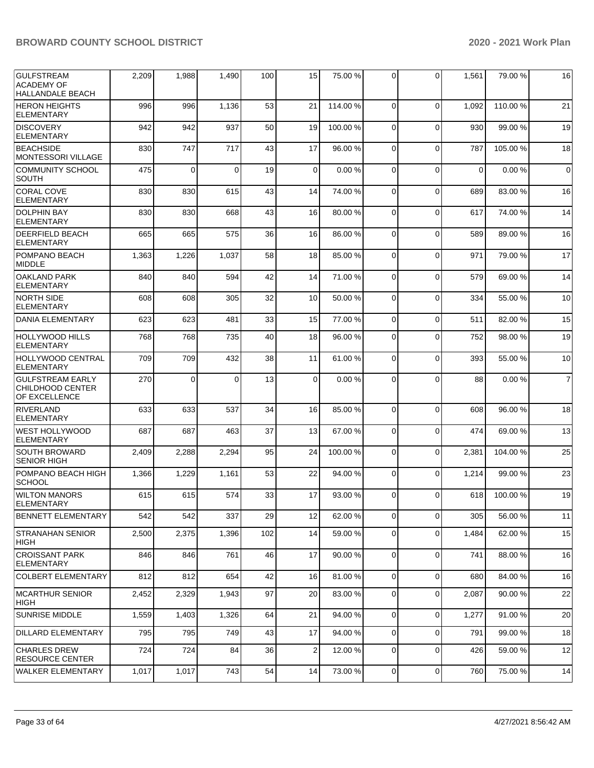| <b>GULFSTREAM</b><br><b>ACADEMY OF</b><br><b>HALLANDALE BEACH</b> | 2,209 | 1,988    | 1,490    | 100 | 15          | 75.00 % | $\overline{0}$ | 0           | 1,561       | 79.00 %  | 16             |
|-------------------------------------------------------------------|-------|----------|----------|-----|-------------|---------|----------------|-------------|-------------|----------|----------------|
| <b>HERON HEIGHTS</b><br><b>ELEMENTARY</b>                         | 996   | 996      | 1,136    | 53  | 21          | 114.00% | $\Omega$       | $\Omega$    | 1,092       | 110.00%  | 21             |
| <b>DISCOVERY</b><br><b>ELEMENTARY</b>                             | 942   | 942      | 937      | 50  | 19          | 100.00% | $\mathbf 0$    | $\Omega$    | 930         | 99.00 %  | 19             |
| <b>BEACHSIDE</b><br><b>MONTESSORI VILLAGE</b>                     | 830   | 747      | 717      | 43  | 17          | 96.00 % | $\mathbf 0$    | $\Omega$    | 787         | 105.00 % | 18             |
| <b>COMMUNITY SCHOOL</b><br><b>SOUTH</b>                           | 475   | $\Omega$ | $\Omega$ | 19  | $\mathbf 0$ | 0.00%   | $\Omega$       | $\Omega$    | $\mathbf 0$ | 0.00%    | $\mathbf 0$    |
| <b>CORAL COVE</b><br><b>ELEMENTARY</b>                            | 830   | 830      | 615      | 43  | 14          | 74.00 % | $\mathbf 0$    | $\Omega$    | 689         | 83.00 %  | 16             |
| <b>DOLPHIN BAY</b><br><b>ELEMENTARY</b>                           | 830   | 830      | 668      | 43  | 16          | 80.00 % | 0              | $\Omega$    | 617         | 74.00 %  | 14             |
| <b>DEERFIELD BEACH</b><br><b>ELEMENTARY</b>                       | 665   | 665      | 575      | 36  | 16          | 86.00 % | $\Omega$       | $\Omega$    | 589         | 89.00%   | 16             |
| POMPANO BEACH<br><b>MIDDLE</b>                                    | 1,363 | 1,226    | 1,037    | 58  | 18          | 85.00 % | $\mathbf 0$    | $\Omega$    | 971         | 79.00 %  | 17             |
| <b>OAKLAND PARK</b><br><b>ELEMENTARY</b>                          | 840   | 840      | 594      | 42  | 14          | 71.00 % | 0              | $\mathbf 0$ | 579         | 69.00 %  | 14             |
| <b>NORTH SIDE</b><br><b>ELEMENTARY</b>                            | 608   | 608      | 305      | 32  | 10          | 50.00 % | $\Omega$       | $\Omega$    | 334         | 55.00 %  | 10             |
| DANIA ELEMENTARY                                                  | 623   | 623      | 481      | 33  | 15          | 77.00 % | $\mathbf 0$    | $\Omega$    | 511         | 82.00 %  | 15             |
| <b>HOLLYWOOD HILLS</b><br><b>ELEMENTARY</b>                       | 768   | 768      | 735      | 40  | 18          | 96.00 % | $\mathbf 0$    | $\Omega$    | 752         | 98.00 %  | 19             |
| <b>HOLLYWOOD CENTRAL</b><br><b>ELEMENTARY</b>                     | 709   | 709      | 432      | 38  | 11          | 61.00%  | $\mathbf 0$    | $\Omega$    | 393         | 55.00 %  | 10             |
| <b>GULFSTREAM EARLY</b><br>CHILDHOOD CENTER<br>OF EXCELLENCE      | 270   | $\Omega$ | $\Omega$ | 13  | $\Omega$    | 0.00%   | 0              | $\Omega$    | 88          | 0.00%    | $\overline{7}$ |
| <b>RIVERLAND</b><br><b>ELEMENTARY</b>                             | 633   | 633      | 537      | 34  | 16          | 85.00 % | 0              | $\Omega$    | 608         | 96.00 %  | 18             |
| <b>WEST HOLLYWOOD</b><br><b>ELEMENTARY</b>                        | 687   | 687      | 463      | 37  | 13          | 67.00 % | 0              | $\Omega$    | 474         | 69.00 %  | 13             |
| <b>SOUTH BROWARD</b><br><b>SENIOR HIGH</b>                        | 2,409 | 2,288    | 2,294    | 95  | 24          | 100.00% | $\mathbf 0$    | $\Omega$    | 2,381       | 104.00%  | 25             |
| POMPANO BEACH HIGH<br><b>SCHOOL</b>                               | 1,366 | 1,229    | 1,161    | 53  | 22          | 94.00 % | 0              | $\Omega$    | 1,214       | 99.00 %  | 23             |
| <b>WILTON MANORS</b><br><b>ELEMENTARY</b>                         | 615   | 615      | 574      | 33  | 17          | 93.00 % | 0              | $\Omega$    | 618         | 100.00%  | 19             |
| <b>BENNETT ELEMENTARY</b>                                         | 542   | 542      | 337      | 29  | 12          | 62.00 % | $\overline{0}$ | $\Omega$    | 305         | 56.00 %  | 11             |
| <b>STRANAHAN SENIOR</b><br>HIGH                                   | 2,500 | 2,375    | 1,396    | 102 | 14          | 59.00 % | $\mathbf 0$    | $\Omega$    | 1,484       | 62.00 %  | 15             |
| <b>CROISSANT PARK</b><br><b>ELEMENTARY</b>                        | 846   | 846      | 761      | 46  | 17          | 90.00 % | 0              | $\Omega$    | 741         | 88.00 %  | 16             |
| <b>COLBERT ELEMENTARY</b>                                         | 812   | 812      | 654      | 42  | 16          | 81.00%  | $\overline{0}$ | $\mathbf 0$ | 680         | 84.00 %  | 16             |
| MCARTHUR SENIOR<br>HIGH                                           | 2,452 | 2,329    | 1,943    | 97  | 20          | 83.00 % | 0              | $\mathbf 0$ | 2,087       | 90.00 %  | 22             |
| <b>SUNRISE MIDDLE</b>                                             | 1,559 | 1,403    | 1,326    | 64  | 21          | 94.00 % | $\overline{0}$ | $\Omega$    | 1,277       | 91.00 %  | 20             |
| DILLARD ELEMENTARY                                                | 795   | 795      | 749      | 43  | 17          | 94.00 % | $\mathbf 0$    | $\Omega$    | 791         | 99.00 %  | 18             |
| <b>CHARLES DREW</b><br><b>RESOURCE CENTER</b>                     | 724   | 724      | 84       | 36  | 2           | 12.00 % | 0              | $\mathbf 0$ | 426         | 59.00 %  | 12             |
| WALKER ELEMENTARY                                                 | 1,017 | 1,017    | 743      | 54  | 14          | 73.00 % | 0              | 0           | 760         | 75.00 %  | 14             |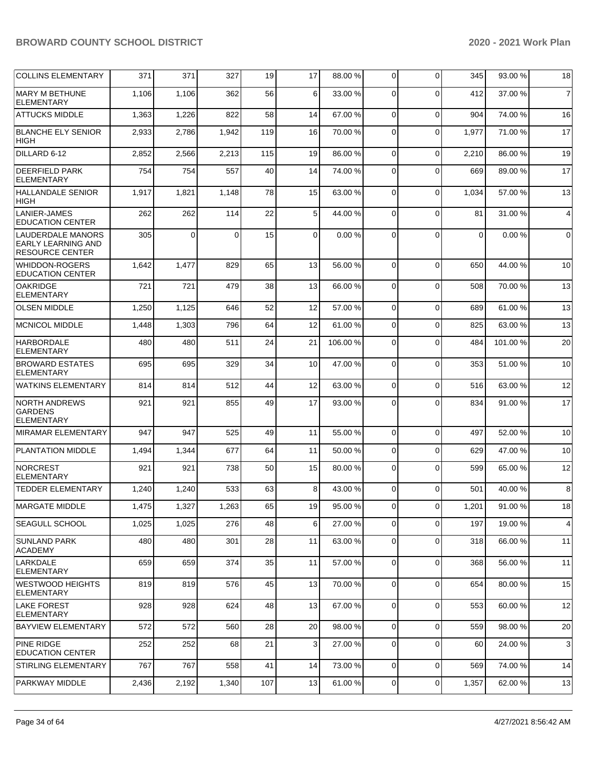| <b>COLLINS ELEMENTARY</b>                                                | 371   | 371            | 327      | 19  | 17             | 88.00 %  | $\overline{0}$ | $\Omega$ | 345         | 93.00 % | 18             |
|--------------------------------------------------------------------------|-------|----------------|----------|-----|----------------|----------|----------------|----------|-------------|---------|----------------|
| MARY M BETHUNE<br><b>ELEMENTARY</b>                                      | 1,106 | 1,106          | 362      | 56  | 6              | 33.00 %  | $\Omega$       | $\Omega$ | 412         | 37.00 % | $\overline{7}$ |
| <b>ATTUCKS MIDDLE</b>                                                    | 1,363 | 1,226          | 822      | 58  | 14             | 67.00 %  | 0              | $\Omega$ | 904         | 74.00 % | 16             |
| <b>BLANCHE ELY SENIOR</b><br><b>HIGH</b>                                 | 2,933 | 2,786          | 1,942    | 119 | 16             | 70.00 %  | 0              | $\Omega$ | 1,977       | 71.00 % | 17             |
| DILLARD 6-12                                                             | 2,852 | 2,566          | 2,213    | 115 | 19             | 86.00 %  | 0              | $\Omega$ | 2,210       | 86.00 % | 19             |
| <b>DEERFIELD PARK</b><br><b>ELEMENTARY</b>                               | 754   | 754            | 557      | 40  | 14             | 74.00 %  | $\mathbf 0$    | $\Omega$ | 669         | 89.00 % | 17             |
| <b>HALLANDALE SENIOR</b><br>HIGH                                         | 1,917 | 1,821          | 1,148    | 78  | 15             | 63.00 %  | 0              | $\Omega$ | 1,034       | 57.00 % | 13             |
| <b>LANIER-JAMES</b><br><b>EDUCATION CENTER</b>                           | 262   | 262            | 114      | 22  | 5              | 44.00 %  | $\mathbf 0$    | $\Omega$ | 81          | 31.00 % | 4              |
| <b>LAUDERDALE MANORS</b><br>EARLY LEARNING AND<br><b>RESOURCE CENTER</b> | 305   | $\overline{0}$ | $\Omega$ | 15  | $\overline{0}$ | 0.00%    | $\Omega$       | $\Omega$ | $\mathbf 0$ | 0.00%   | $\mathbf 0$    |
| <b>WHIDDON-ROGERS</b><br><b>EDUCATION CENTER</b>                         | 1,642 | 1,477          | 829      | 65  | 13             | 56.00 %  | $\mathbf 0$    | $\Omega$ | 650         | 44.00 % | 10             |
| <b>OAKRIDGE</b><br><b>ELEMENTARY</b>                                     | 721   | 721            | 479      | 38  | 13             | 66.00 %  | 0              | $\Omega$ | 508         | 70.00 % | 13             |
| <b>OLSEN MIDDLE</b>                                                      | 1,250 | 1,125          | 646      | 52  | 12             | 57.00 %  | $\overline{0}$ | $\Omega$ | 689         | 61.00 % | 13             |
| <b>MCNICOL MIDDLE</b>                                                    | 1,448 | 1,303          | 796      | 64  | 12             | 61.00%   | $\overline{0}$ | $\Omega$ | 825         | 63.00 % | 13             |
| <b>HARBORDALE</b><br><b>ELEMENTARY</b>                                   | 480   | 480            | 511      | 24  | 21             | 106.00 % | 0              | $\Omega$ | 484         | 101.00% | 20             |
| <b>BROWARD ESTATES</b><br><b>ELEMENTARY</b>                              | 695   | 695            | 329      | 34  | 10             | 47.00 %  | $\overline{0}$ | $\Omega$ | 353         | 51.00 % | 10             |
| <b>WATKINS ELEMENTARY</b>                                                | 814   | 814            | 512      | 44  | 12             | 63.00 %  | 0              | $\Omega$ | 516         | 63.00 % | 12             |
| <b>NORTH ANDREWS</b><br><b>GARDENS</b><br><b>ELEMENTARY</b>              | 921   | 921            | 855      | 49  | 17             | 93.00 %  | $\Omega$       | $\Omega$ | 834         | 91.00 % | 17             |
| <b>MIRAMAR ELEMENTARY</b>                                                | 947   | 947            | 525      | 49  | 11             | 55.00 %  | $\mathbf 0$    | $\Omega$ | 497         | 52.00 % | 10             |
| PLANTATION MIDDLE                                                        | 1,494 | 1,344          | 677      | 64  | 11             | 50.00 %  | $\mathbf 0$    | $\Omega$ | 629         | 47.00 % | 10             |
| <b>NORCREST</b><br><b>ELEMENTARY</b>                                     | 921   | 921            | 738      | 50  | 15             | 80.00%   | 0              | $\Omega$ | 599         | 65.00 % | 12             |
| <b>TEDDER ELEMENTARY</b>                                                 | 1,240 | 1,240          | 533      | 63  | 8              | 43.00 %  | 0              | $\Omega$ | 501         | 40.00 % | 8              |
| MARGATE MIDDLE                                                           | 1,475 | 1,327          | 1,263    | 65  | 191            | 95.00%   | 0              | 0        | 1,201       | 91.00%  | 18             |
| <b>SEAGULL SCHOOL</b>                                                    | 1,025 | 1,025          | 276      | 48  | 6              | 27.00 %  | $\overline{0}$ | $\Omega$ | 197         | 19.00 % | 4              |
| <b>SUNLAND PARK</b><br><b>ACADEMY</b>                                    | 480   | 480            | 301      | 28  | 11             | 63.00 %  | $\overline{0}$ | $\Omega$ | 318         | 66.00 % | 11             |
| LARKDALE<br><b>ELEMENTARY</b>                                            | 659   | 659            | 374      | 35  | 11             | 57.00 %  | 0              | $\Omega$ | 368         | 56.00 % | 11             |
| <b>WESTWOOD HEIGHTS</b><br><b>ELEMENTARY</b>                             | 819   | 819            | 576      | 45  | 13             | 70.00 %  | $\overline{0}$ | $\Omega$ | 654         | 80.00 % | 15             |
| <b>LAKE FOREST</b><br><b>ELEMENTARY</b>                                  | 928   | 928            | 624      | 48  | 13             | 67.00 %  | $\overline{0}$ | $\Omega$ | 553         | 60.00 % | 12             |
| <b>BAYVIEW ELEMENTARY</b>                                                | 572   | 572            | 560      | 28  | 20             | 98.00 %  | 0              | $\Omega$ | 559         | 98.00 % | 20             |
| <b>PINE RIDGE</b><br><b>EDUCATION CENTER</b>                             | 252   | 252            | 68       | 21  | 3              | 27.00 %  | 0              | $\Omega$ | 60          | 24.00 % | 3              |
| STIRLING ELEMENTARY                                                      | 767   | 767            | 558      | 41  | 14             | 73.00 %  | $\overline{0}$ | $\Omega$ | 569         | 74.00 % | 14             |
| <b>PARKWAY MIDDLE</b>                                                    | 2,436 | 2,192          | 1,340    | 107 | 13             | 61.00%   | $\mathbf 0$    | 0        | 1,357       | 62.00 % | 13             |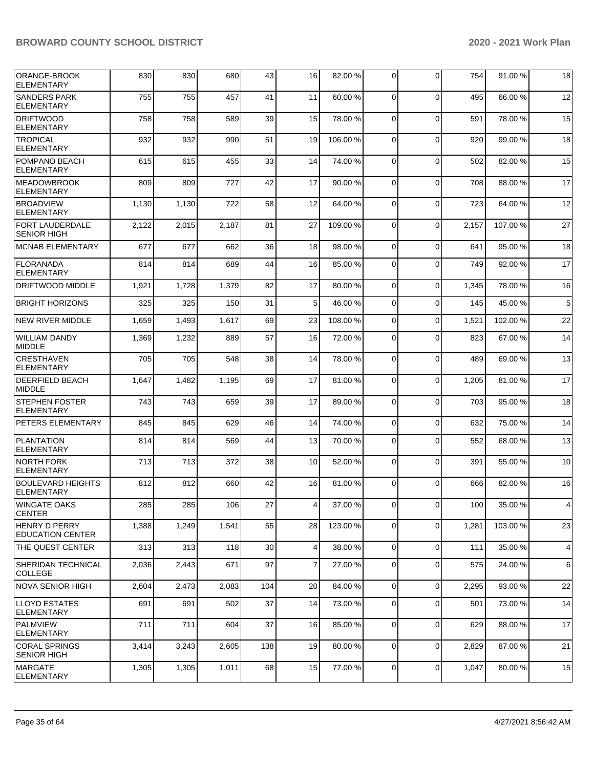| ORANGE-BROOK<br>ELEMENTARY                      | 830   | 830   | 680   | 43  | 16 | 82.00 %  | 0              | $\Omega$       | 754   | 91.00%  | 18 |
|-------------------------------------------------|-------|-------|-------|-----|----|----------|----------------|----------------|-------|---------|----|
| <b>SANDERS PARK</b><br><b>ELEMENTARY</b>        | 755   | 755   | 457   | 41  | 11 | 60.00 %  | 0              | $\Omega$       | 495   | 66.00 % | 12 |
| <b>DRIFTWOOD</b><br><b>ELEMENTARY</b>           | 758   | 758   | 589   | 39  | 15 | 78.00 %  | 0              | $\Omega$       | 591   | 78.00 % | 15 |
| <b>TROPICAL</b><br><b>ELEMENTARY</b>            | 932   | 932   | 990   | 51  | 19 | 106.00%  | 0              | $\Omega$       | 920   | 99.00 % | 18 |
| POMPANO BEACH<br><b>ELEMENTARY</b>              | 615   | 615   | 455   | 33  | 14 | 74.00 %  | $\mathbf 0$    | $\Omega$       | 502   | 82.00 % | 15 |
| <b>MEADOWBROOK</b><br><b>ELEMENTARY</b>         | 809   | 809   | 727   | 42  | 17 | 90.00 %  | 0              | $\mathbf 0$    | 708   | 88.00 % | 17 |
| <b>BROADVIEW</b><br><b>ELEMENTARY</b>           | 1,130 | 1,130 | 722   | 58  | 12 | 64.00 %  | $\mathbf 0$    | $\Omega$       | 723   | 64.00%  | 12 |
| <b>FORT LAUDERDALE</b><br><b>SENIOR HIGH</b>    | 2,122 | 2,015 | 2,187 | 81  | 27 | 109.00%  | $\mathbf 0$    | $\Omega$       | 2,157 | 107.00% | 27 |
| <b>MCNAB ELEMENTARY</b>                         | 677   | 677   | 662   | 36  | 18 | 98.00 %  | $\mathbf 0$    | $\mathbf 0$    | 641   | 95.00 % | 18 |
| <b>FLORANADA</b><br><b>ELEMENTARY</b>           | 814   | 814   | 689   | 44  | 16 | 85.00 %  | 0              | $\mathbf 0$    | 749   | 92.00 % | 17 |
| <b>DRIFTWOOD MIDDLE</b>                         | 1,921 | 1,728 | 1,379 | 82  | 17 | 80.00 %  | 0              | $\Omega$       | 1,345 | 78.00 % | 16 |
| <b>BRIGHT HORIZONS</b>                          | 325   | 325   | 150   | 31  | 5  | 46.00%   | $\mathbf 0$    | $\Omega$       | 145   | 45.00 % | 5  |
| <b>NEW RIVER MIDDLE</b>                         | 1,659 | 1,493 | 1,617 | 69  | 23 | 108.00%  | $\mathbf 0$    | $\Omega$       | 1,521 | 102.00% | 22 |
| <b>WILLIAM DANDY</b><br><b>MIDDLE</b>           | 1,369 | 1,232 | 889   | 57  | 16 | 72.00 %  | 0              | $\Omega$       | 823   | 67.00 % | 14 |
| <b>CRESTHAVEN</b><br><b>ELEMENTARY</b>          | 705   | 705   | 548   | 38  | 14 | 78.00 %  | $\mathbf 0$    | $\Omega$       | 489   | 69.00 % | 13 |
| <b>DEERFIELD BEACH</b><br><b>MIDDLE</b>         | 1,647 | 1,482 | 1,195 | 69  | 17 | 81.00%   | $\mathbf 0$    | $\Omega$       | 1,205 | 81.00 % | 17 |
| <b>STEPHEN FOSTER</b><br><b>ELEMENTARY</b>      | 743   | 743   | 659   | 39  | 17 | 89.00 %  | $\Omega$       | $\Omega$       | 703   | 95.00 % | 18 |
| <b>PETERS ELEMENTARY</b>                        | 845   | 845   | 629   | 46  | 14 | 74.00 %  | $\mathbf 0$    | 0              | 632   | 75.00 % | 14 |
| <b>PLANTATION</b><br><b>ELEMENTARY</b>          | 814   | 814   | 569   | 44  | 13 | 70.00 %  | $\mathbf 0$    | $\Omega$       | 552   | 68.00 % | 13 |
| <b>NORTH FORK</b><br><b>ELEMENTARY</b>          | 713   | 713   | 372   | 38  | 10 | 52.00 %  | $\mathbf 0$    | $\mathbf 0$    | 391   | 55.00 % | 10 |
| <b>BOULEVARD HEIGHTS</b><br><b>ELEMENTARY</b>   | 812   | 812   | 660   | 42  | 16 | 81.00 %  | $\Omega$       | $\Omega$       | 666   | 82.00 % | 16 |
| <b>WINGATE OAKS</b><br><b>CENTER</b>            | 285   | 285   | 106   | 27  | 4  | 37.00 %  | $\overline{0}$ | $\overline{0}$ | 100   | 35.00 % | 4  |
| <b>HENRY D PERRY</b><br><b>EDUCATION CENTER</b> | 1,388 | 1,249 | 1,541 | 55  | 28 | 123.00 % | 0              | $\mathbf 0$    | 1,281 | 103.00% | 23 |
| THE QUEST CENTER                                | 313   | 313   | 118   | 30  | 4  | 38.00 %  | $\mathbf 0$    | $\mathbf 0$    | 111   | 35.00 % | 4  |
| <b>SHERIDAN TECHNICAL</b><br><b>COLLEGE</b>     | 2,036 | 2,443 | 671   | 97  | 7  | 27.00 %  | 0              | $\Omega$       | 575   | 24.00 % | 6  |
| INOVA SENIOR HIGH                               | 2,604 | 2,473 | 2,083 | 104 | 20 | 84.00 %  | $\mathbf 0$    | $\mathbf 0$    | 2,295 | 93.00 % | 22 |
| <b>LLOYD ESTATES</b><br><b>ELEMENTARY</b>       | 691   | 691   | 502   | 37  | 14 | 73.00 %  | 0              | $\mathbf 0$    | 501   | 73.00 % | 14 |
| PALMVIEW<br><b>ELEMENTARY</b>                   | 711   | 711   | 604   | 37  | 16 | 85.00 %  | 0              | $\mathbf 0$    | 629   | 88.00 % | 17 |
| CORAL SPRINGS<br><b>SENIOR HIGH</b>             | 3,414 | 3,243 | 2,605 | 138 | 19 | 80.00 %  | 0              | $\mathbf 0$    | 2,829 | 87.00 % | 21 |
| <b>IMARGATE</b><br>ELEMENTARY                   | 1,305 | 1,305 | 1,011 | 68  | 15 | 77.00 %  | 0              | 0              | 1,047 | 80.00 % | 15 |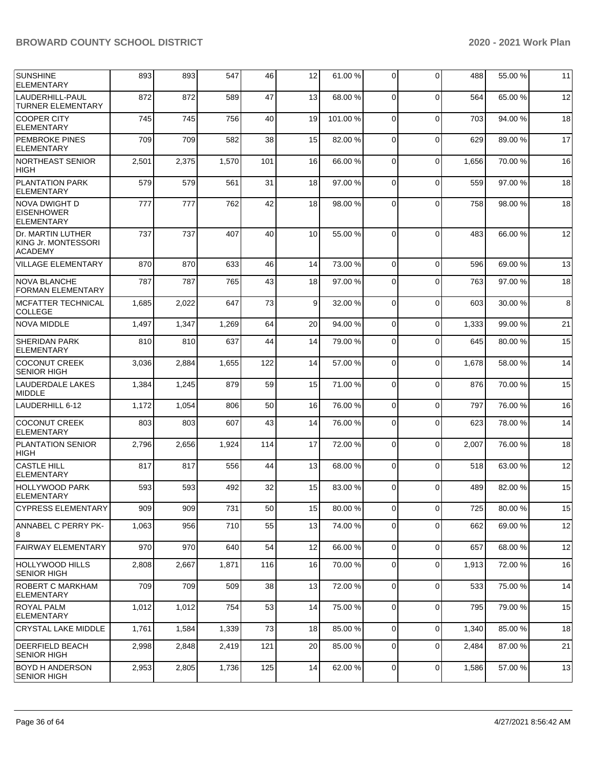| <b>SUNSHINE</b><br><b>ELEMENTARY</b>                       | 893   | 893   | 547   | 46              | 12              | 61.00 % | 0              | $\Omega$       | 488   | 55.00 % | 11 |
|------------------------------------------------------------|-------|-------|-------|-----------------|-----------------|---------|----------------|----------------|-------|---------|----|
| LAUDERHILL-PAUL<br><b>TURNER ELEMENTARY</b>                | 872   | 872   | 589   | 47              | 13              | 68.00 % | 0              | $\Omega$       | 564   | 65.00 % | 12 |
| <b>COOPER CITY</b><br><b>ELEMENTARY</b>                    | 745   | 745   | 756   | 40              | 19              | 101.00% | 0              | $\Omega$       | 703   | 94.00 % | 18 |
| <b>PEMBROKE PINES</b><br><b>ELEMENTARY</b>                 | 709   | 709   | 582   | 38              | 15              | 82.00 % | 0              | $\Omega$       | 629   | 89.00 % | 17 |
| <b>NORTHEAST SENIOR</b><br><b>HIGH</b>                     | 2,501 | 2,375 | 1,570 | 101             | 16              | 66.00 % | 0              | $\Omega$       | 1,656 | 70.00 % | 16 |
| <b>PLANTATION PARK</b><br><b>ELEMENTARY</b>                | 579   | 579   | 561   | 31              | 18              | 97.00 % | 0              | $\mathbf 0$    | 559   | 97.00 % | 18 |
| NOVA DWIGHT D<br><b>EISENHOWER</b><br><b>ELEMENTARY</b>    | 777   | 777   | 762   | 42              | 18              | 98.00 % | 0              | $\Omega$       | 758   | 98.00 % | 18 |
| Dr. MARTIN LUTHER<br>KING Jr. MONTESSORI<br><b>ACADEMY</b> | 737   | 737   | 407   | 40              | 10              | 55.00 % | 0              | $\Omega$       | 483   | 66.00 % | 12 |
| <b>VILLAGE ELEMENTARY</b>                                  | 870   | 870   | 633   | 46              | 14              | 73.00 % | $\mathbf 0$    | $\mathbf 0$    | 596   | 69.00 % | 13 |
| <b>NOVA BLANCHE</b><br><b>FORMAN ELEMENTARY</b>            | 787   | 787   | 765   | 43              | 18              | 97.00 % | 0              | $\Omega$       | 763   | 97.00 % | 18 |
| <b>MCFATTER TECHNICAL</b><br><b>COLLEGE</b>                | 1,685 | 2,022 | 647   | 73              | 9               | 32.00 % | 0              | $\Omega$       | 603   | 30.00 % | 8  |
| <b>NOVA MIDDLE</b>                                         | 1,497 | 1,347 | 1,269 | 64              | 20              | 94.00 % | $\mathbf 0$    | $\mathbf 0$    | 1,333 | 99.00 % | 21 |
| <b>SHERIDAN PARK</b><br><b>ELEMENTARY</b>                  | 810   | 810   | 637   | 44              | 14              | 79.00 % | 0              | $\Omega$       | 645   | 80.00 % | 15 |
| <b>COCONUT CREEK</b><br><b>SENIOR HIGH</b>                 | 3,036 | 2,884 | 1,655 | 122             | 14              | 57.00 % | 0              | $\mathbf 0$    | 1,678 | 58.00 % | 14 |
| LAUDERDALE LAKES<br><b>MIDDLE</b>                          | 1,384 | 1,245 | 879   | 59              | 15              | 71.00 % | 0              | $\Omega$       | 876   | 70.00%  | 15 |
| LAUDERHILL 6-12                                            | 1,172 | 1,054 | 806   | 50              | 16              | 76.00 % | $\mathbf 0$    | $\mathbf 0$    | 797   | 76.00 % | 16 |
| <b>COCONUT CREEK</b><br><b>ELEMENTARY</b>                  | 803   | 803   | 607   | 43              | 14              | 76.00 % | 0              | $\Omega$       | 623   | 78.00 % | 14 |
| <b>PLANTATION SENIOR</b><br><b>HIGH</b>                    | 2,796 | 2,656 | 1,924 | 114             | 17              | 72.00 % | 0              | $\mathbf 0$    | 2,007 | 76.00 % | 18 |
| <b>CASTLE HILL</b><br><b>ELEMENTARY</b>                    | 817   | 817   | 556   | 44              | 13              | 68.00 % | 0              | $\Omega$       | 518   | 63.00 % | 12 |
| <b>HOLLYWOOD PARK</b><br><b>ELEMENTARY</b>                 | 593   | 593   | 492   | 32              | 15              | 83.00 % | 0              | $\Omega$       | 489   | 82.00 % | 15 |
| <b>CYPRESS ELEMENTARY</b>                                  | 909   | 909   | 731   | 50 <sub>l</sub> | 15 <sup>1</sup> | 80.00%  | $\mathsf{o}$   | $\overline{0}$ | 725   | 80.00%  | 15 |
| <b>ANNABEL C PERRY PK-</b><br>8                            | 1,063 | 956   | 710   | 55              | 13              | 74.00 % | 0              | $\mathbf 0$    | 662   | 69.00 % | 12 |
| <b>FAIRWAY ELEMENTARY</b>                                  | 970   | 970   | 640   | 54              | 12              | 66.00 % | $\mathbf 0$    | $\mathbf 0$    | 657   | 68.00 % | 12 |
| HOLLYWOOD HILLS<br><b>SENIOR HIGH</b>                      | 2,808 | 2,667 | 1,871 | 116             | 16              | 70.00 % | 0              | $\Omega$       | 1,913 | 72.00 % | 16 |
| ROBERT C MARKHAM<br><b>ELEMENTARY</b>                      | 709   | 709   | 509   | 38              | 13              | 72.00 % | $\overline{0}$ | $\mathbf 0$    | 533   | 75.00 % | 14 |
| <b>ROYAL PALM</b><br><b>ELEMENTARY</b>                     | 1,012 | 1,012 | 754   | 53              | 14              | 75.00 % | 0              | $\mathbf 0$    | 795   | 79.00 % | 15 |
| <b>CRYSTAL LAKE MIDDLE</b>                                 | 1,761 | 1,584 | 1,339 | 73              | 18              | 85.00 % | $\overline{0}$ | $\mathbf 0$    | 1,340 | 85.00 % | 18 |
| <b>DEERFIELD BEACH</b><br><b>SENIOR HIGH</b>               | 2,998 | 2,848 | 2,419 | 121             | 20              | 85.00 % | 0              | $\Omega$       | 2,484 | 87.00 % | 21 |
| <b>BOYD H ANDERSON</b><br><b>SENIOR HIGH</b>               | 2,953 | 2,805 | 1,736 | 125             | 14              | 62.00 % | $\mathbf 0$    | 0              | 1,586 | 57.00 % | 13 |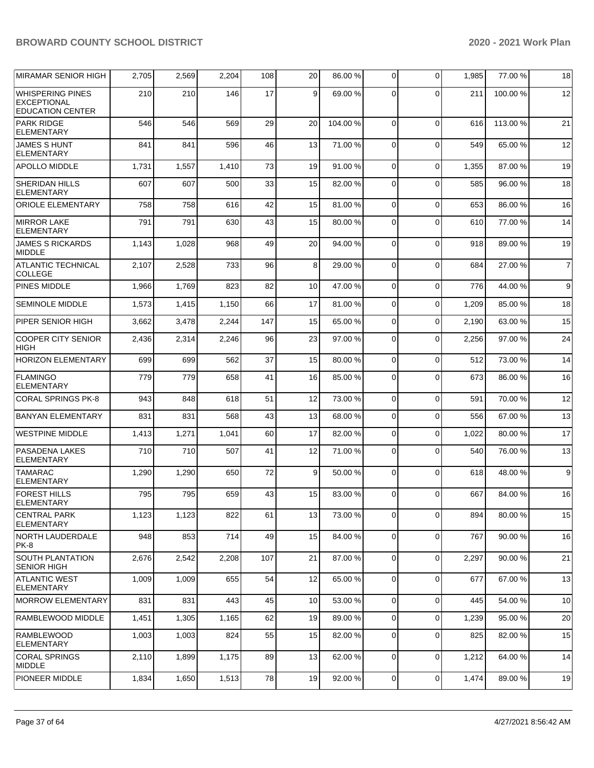| <b>MIRAMAR SENIOR HIGH</b>                                               | 2,705 | 2,569 | 2,204 | 108        | 20 | 86.00 % | $\mathbf 0$ | $\Omega$    | 1,985 | 77.00 %  | 18             |
|--------------------------------------------------------------------------|-------|-------|-------|------------|----|---------|-------------|-------------|-------|----------|----------------|
| <b>WHISPERING PINES</b><br><b>EXCEPTIONAL</b><br><b>EDUCATION CENTER</b> | 210   | 210   | 146   | 17         | 9  | 69.00 % | 0           | $\Omega$    | 211   | 100.00%  | 12             |
| <b>PARK RIDGE</b><br><b>ELEMENTARY</b>                                   | 546   | 546   | 569   | 29         | 20 | 104.00% | 0           | $\Omega$    | 616   | 113.00 % | 21             |
| <b>JAMES S HUNT</b><br><b>ELEMENTARY</b>                                 | 841   | 841   | 596   | 46         | 13 | 71.00 % | $\Omega$    | $\mathbf 0$ | 549   | 65.00 %  | 12             |
| <b>APOLLO MIDDLE</b>                                                     | 1,731 | 1,557 | 1,410 | 73         | 19 | 91.00 % | $\Omega$    | $\mathbf 0$ | 1,355 | 87.00 %  | 19             |
| <b>SHERIDAN HILLS</b><br><b>ELEMENTARY</b>                               | 607   | 607   | 500   | 33         | 15 | 82.00 % | $\Omega$    | $\Omega$    | 585   | 96.00 %  | 18             |
| <b>ORIOLE ELEMENTARY</b>                                                 | 758   | 758   | 616   | 42         | 15 | 81.00%  | $\mathbf 0$ | $\mathbf 0$ | 653   | 86.00 %  | 16             |
| <b>MIRROR LAKE</b><br><b>ELEMENTARY</b>                                  | 791   | 791   | 630   | 43         | 15 | 80.00 % | 0           | $\Omega$    | 610   | 77.00 %  | 14             |
| <b>JAMES S RICKARDS</b><br><b>MIDDLE</b>                                 | 1,143 | 1,028 | 968   | 49         | 20 | 94.00 % | $\Omega$    | $\mathbf 0$ | 918   | 89.00 %  | 19             |
| <b>ATLANTIC TECHNICAL</b><br><b>COLLEGE</b>                              | 2,107 | 2,528 | 733   | 96         | 8  | 29.00 % | $\Omega$    | $\Omega$    | 684   | 27.00 %  | $\overline{7}$ |
| <b>PINES MIDDLE</b>                                                      | 1,966 | 1,769 | 823   | 82         | 10 | 47.00 % | $\mathbf 0$ | $\mathbf 0$ | 776   | 44.00 %  | 9              |
| <b>SEMINOLE MIDDLE</b>                                                   | 1,573 | 1,415 | 1,150 | 66         | 17 | 81.00%  | $\mathbf 0$ | $\Omega$    | 1,209 | 85.00 %  | 18             |
| PIPER SENIOR HIGH                                                        | 3,662 | 3,478 | 2,244 | 147        | 15 | 65.00 % | $\mathbf 0$ | $\Omega$    | 2,190 | 63.00 %  | 15             |
| <b>COOPER CITY SENIOR</b><br><b>HIGH</b>                                 | 2,436 | 2,314 | 2,246 | 96         | 23 | 97.00 % | 0           | $\Omega$    | 2,256 | 97.00 %  | 24             |
| <b>HORIZON ELEMENTARY</b>                                                | 699   | 699   | 562   | 37         | 15 | 80.00 % | $\Omega$    | $\mathbf 0$ | 512   | 73.00 %  | 14             |
| <b>FLAMINGO</b><br><b>ELEMENTARY</b>                                     | 779   | 779   | 658   | 41         | 16 | 85.00 % | $\Omega$    | $\mathbf 0$ | 673   | 86.00 %  | 16             |
| <b>CORAL SPRINGS PK-8</b>                                                | 943   | 848   | 618   | 51         | 12 | 73.00 % | 0           | $\mathbf 0$ | 591   | 70.00 %  | 12             |
| <b>BANYAN ELEMENTARY</b>                                                 | 831   | 831   | 568   | 43         | 13 | 68.00 % | $\mathbf 0$ | $\mathbf 0$ | 556   | 67.00%   | 13             |
| <b>WESTPINE MIDDLE</b>                                                   | 1,413 | 1,271 | 1,041 | 60         | 17 | 82.00 % | 0           | $\mathbf 0$ | 1,022 | 80.00 %  | 17             |
| PASADENA LAKES<br><b>ELEMENTARY</b>                                      | 710   | 710   | 507   | 41         | 12 | 71.00%  | $\Omega$    | $\Omega$    | 540   | 76.00 %  | 13             |
| <b>TAMARAC</b><br><b>ELEMENTARY</b>                                      | 1,290 | 1,290 | 650   | 72         | 9  | 50.00 % | $\mathbf 0$ | $\mathbf 0$ | 618   | 48.00 %  | 9              |
| <b>FOREST HILLS</b><br><b>ELEMENTARY</b>                                 | 795   | 795   | 659   | 43         | 15 | 83.00 % | $\Omega$    | $\Omega$    | 667   | 84.00%   | 16             |
| <b>CENTRAL PARK</b><br><b>ELEMENTARY</b>                                 | 1,123 | 1,123 | 822   | 61         | 13 | 73.00 % | $\mathbf 0$ | $\mathbf 0$ | 894   | 80.00%   | 15             |
| <b>NORTH LAUDERDALE</b><br>PK-8                                          | 948   | 853   | 714   | 49         | 15 | 84.00 % | $\mathbf 0$ | $\mathbf 0$ | 767   | 90.00 %  | 16             |
| <b>SOUTH PLANTATION</b><br><b>SENIOR HIGH</b>                            | 2,676 | 2,542 | 2,208 | 107        | 21 | 87.00 % | $\mathbf 0$ | $\mathbf 0$ | 2,297 | 90.00%   | 21             |
| <b>ATLANTIC WEST</b><br><b>ELEMENTARY</b>                                | 1,009 | 1,009 | 655   | 54         | 12 | 65.00 % | $\mathbf 0$ | $\mathbf 0$ | 677   | 67.00 %  | 13             |
| <b>MORROW ELEMENTARY</b>                                                 | 831   | 831   | 443   | 45         | 10 | 53.00 % | 0           | $\mathbf 0$ | 445   | 54.00 %  | 10             |
| RAMBLEWOOD MIDDLE                                                        | 1,451 | 1,305 | 1,165 | 62         | 19 | 89.00 % | $\mathbf 0$ | $\mathbf 0$ | 1,239 | 95.00 %  | 20             |
| <b>RAMBLEWOOD</b><br><b>ELEMENTARY</b>                                   | 1,003 | 1,003 | 824   | 55         | 15 | 82.00 % | 0           | $\mathbf 0$ | 825   | 82.00 %  | 15             |
| <b>CORAL SPRINGS</b><br><b>MIDDLE</b>                                    | 2,110 | 1,899 | 1,175 | 89         | 13 | 62.00 % | $\mathbf 0$ | $\mathbf 0$ | 1,212 | 64.00 %  | 14             |
| PIONEER MIDDLE                                                           | 1,834 | 1,650 | 1,513 | ${\bf 78}$ | 19 | 92.00 % | 0           | $\mathbf 0$ | 1,474 | 89.00 %  | 19             |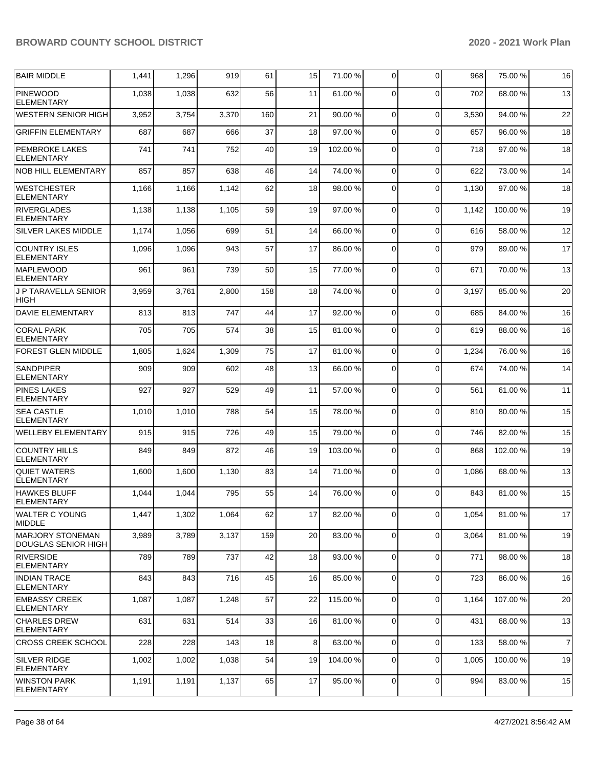| <b>BAIR MIDDLE</b>                             | 1,441 | 1,296 | 919   | 61  | 15 | 71.00 %  | 0           | $\Omega$    | 968   | 75.00 %  | 16             |
|------------------------------------------------|-------|-------|-------|-----|----|----------|-------------|-------------|-------|----------|----------------|
| <b>PINEWOOD</b><br><b>ELEMENTARY</b>           | 1,038 | 1,038 | 632   | 56  | 11 | 61.00%   | 0           | $\Omega$    | 702   | 68.00 %  | 13             |
| WESTERN SENIOR HIGH                            | 3,952 | 3,754 | 3,370 | 160 | 21 | 90.00 %  | $\mathbf 0$ | $\mathbf 0$ | 3,530 | 94.00 %  | 22             |
| <b>GRIFFIN ELEMENTARY</b>                      | 687   | 687   | 666   | 37  | 18 | 97.00 %  | 0           | $\Omega$    | 657   | 96.00%   | 18             |
| <b>PEMBROKE LAKES</b><br><b>ELEMENTARY</b>     | 741   | 741   | 752   | 40  | 19 | 102.00%  | 0           | $\Omega$    | 718   | 97.00 %  | 18             |
| NOB HILL ELEMENTARY                            | 857   | 857   | 638   | 46  | 14 | 74.00 %  | $\Omega$    | $\Omega$    | 622   | 73.00 %  | 14             |
| <b>WESTCHESTER</b><br><b>ELEMENTARY</b>        | 1,166 | 1,166 | 1,142 | 62  | 18 | 98.00 %  | $\mathbf 0$ | $\Omega$    | 1,130 | 97.00 %  | 18             |
| <b>RIVERGLADES</b><br><b>ELEMENTARY</b>        | 1,138 | 1,138 | 1,105 | 59  | 19 | 97.00 %  | 0           | $\Omega$    | 1,142 | 100.00 % | 19             |
| <b>SILVER LAKES MIDDLE</b>                     | 1,174 | 1,056 | 699   | 51  | 14 | 66.00 %  | $\mathbf 0$ | $\mathbf 0$ | 616   | 58.00 %  | 12             |
| <b>COUNTRY ISLES</b><br><b>ELEMENTARY</b>      | 1,096 | 1,096 | 943   | 57  | 17 | 86.00 %  | 0           | $\Omega$    | 979   | 89.00 %  | 17             |
| <b>MAPLEWOOD</b><br><b>ELEMENTARY</b>          | 961   | 961   | 739   | 50  | 15 | 77.00 %  | $\mathbf 0$ | $\Omega$    | 671   | 70.00%   | 13             |
| <b>J P TARAVELLA SENIOR</b><br><b>HIGH</b>     | 3,959 | 3,761 | 2,800 | 158 | 18 | 74.00 %  | 0           | $\Omega$    | 3,197 | 85.00 %  | 20             |
| DAVIE ELEMENTARY                               | 813   | 813   | 747   | 44  | 17 | 92.00 %  | $\mathbf 0$ | $\Omega$    | 685   | 84.00%   | 16             |
| <b>CORAL PARK</b><br><b>ELEMENTARY</b>         | 705   | 705   | 574   | 38  | 15 | 81.00%   | 0           | $\Omega$    | 619   | 88.00 %  | 16             |
| <b>FOREST GLEN MIDDLE</b>                      | 1,805 | 1,624 | 1,309 | 75  | 17 | 81.00 %  | $\Omega$    | $\Omega$    | 1,234 | 76.00 %  | 16             |
| <b>SANDPIPER</b><br><b>ELEMENTARY</b>          | 909   | 909   | 602   | 48  | 13 | 66.00 %  | $\mathbf 0$ | $\Omega$    | 674   | 74.00 %  | 14             |
| <b>PINES LAKES</b><br><b>ELEMENTARY</b>        | 927   | 927   | 529   | 49  | 11 | 57.00 %  | 0           | $\Omega$    | 561   | 61.00 %  | 11             |
| <b>SEA CASTLE</b><br><b>ELEMENTARY</b>         | 1,010 | 1,010 | 788   | 54  | 15 | 78.00 %  | $\mathbf 0$ | $\Omega$    | 810   | 80.00 %  | 15             |
| <b>WELLEBY ELEMENTARY</b>                      | 915   | 915   | 726   | 49  | 15 | 79.00 %  | $\Omega$    | $\Omega$    | 746   | 82.00%   | 15             |
| <b>COUNTRY HILLS</b><br><b>ELEMENTARY</b>      | 849   | 849   | 872   | 46  | 19 | 103.00%  | $\mathbf 0$ | $\Omega$    | 868   | 102.00%  | 19             |
| <b>QUIET WATERS</b><br><b>ELEMENTARY</b>       | 1,600 | 1,600 | 1,130 | 83  | 14 | 71.00 %  | 0           | $\Omega$    | 1,086 | 68.00 %  | 13             |
| <b>HAWKES BLUFF</b><br><b>ELEMENTARY</b>       | 1,044 | 1,044 | 795   | 55  | 14 | 76.00 %  | $\Omega$    | $\Omega$    | 843   | 81.00%   | 15             |
| <b>WALTER C YOUNG</b><br><b>MIDDLE</b>         | 1,447 | 1,302 | 1,064 | 62  | 17 | 82.00 %  | $\mathbf 0$ | $\Omega$    | 1,054 | 81.00 %  | 17             |
| <b>MARJORY STONEMAN</b><br>DOUGLAS SENIOR HIGH | 3,989 | 3,789 | 3,137 | 159 | 20 | 83.00 %  | 0           | $\Omega$    | 3,064 | 81.00 %  | 19             |
| <b>RIVERSIDE</b><br><b>ELEMENTARY</b>          | 789   | 789   | 737   | 42  | 18 | 93.00 %  | 0           | $\mathbf 0$ | 771   | 98.00 %  | 18             |
| <b>INDIAN TRACE</b><br><b>ELEMENTARY</b>       | 843   | 843   | 716   | 45  | 16 | 85.00 %  | $\mathbf 0$ | $\mathbf 0$ | 723   | 86.00 %  | 16             |
| <b>EMBASSY CREEK</b><br><b>ELEMENTARY</b>      | 1,087 | 1,087 | 1,248 | 57  | 22 | 115.00 % | 0           | $\mathbf 0$ | 1,164 | 107.00 % | 20             |
| <b>CHARLES DREW</b><br><b>ELEMENTARY</b>       | 631   | 631   | 514   | 33  | 16 | 81.00%   | 0           | $\mathbf 0$ | 431   | 68.00%   | 13             |
| <b>CROSS CREEK SCHOOL</b>                      | 228   | 228   | 143   | 18  | 8  | 63.00 %  | $\mathbf 0$ | $\mathbf 0$ | 133   | 58.00 %  | $\overline{7}$ |
| SILVER RIDGE<br><b>ELEMENTARY</b>              | 1,002 | 1,002 | 1,038 | 54  | 19 | 104.00 % | $\mathbf 0$ | $\mathbf 0$ | 1,005 | 100.00 % | 19             |
| <b>WINSTON PARK</b><br>ELEMENTARY              | 1,191 | 1,191 | 1,137 | 65  | 17 | 95.00 %  | 0           | 0           | 994   | 83.00 %  | 15             |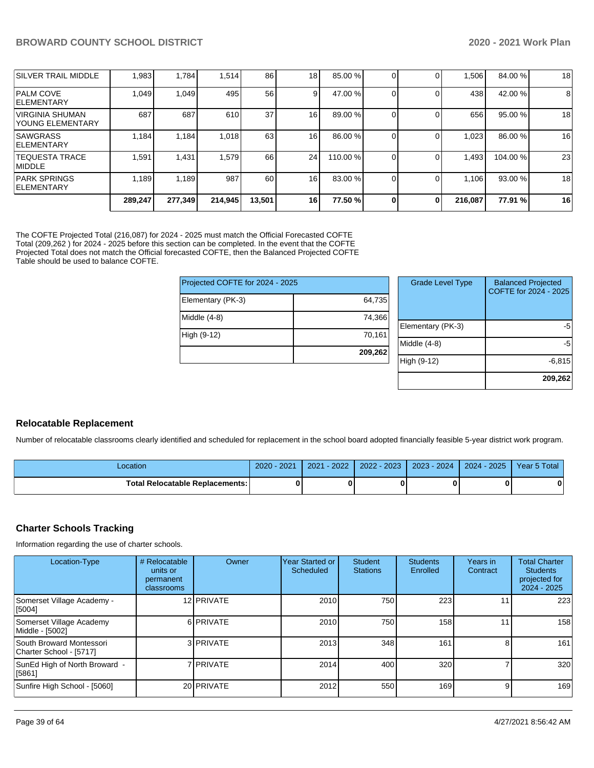|                                           | 289,247 | 277,349 | 214,945 | 13,501          | 16 | 77.50 % | 0 | 0 | 216,087 | 77.91 %  | 16 |
|-------------------------------------------|---------|---------|---------|-----------------|----|---------|---|---|---------|----------|----|
| <b>PARK SPRINGS</b><br><b>IELEMENTARY</b> | 1.189   | 1,189   | 987     | 60              | 16 | 83.00 % |   |   | 1,106   | 93.00 %  | 18 |
| ITEQUESTA TRACE<br><b>IMIDDLE</b>         | .591    | 1,431   | 1,579   | 66              | 24 | 110.00% |   |   | 1,493   | 104.00 % | 23 |
| <b>SAWGRASS</b><br><b>IELEMENTARY</b>     | 1,184   | 1,184   | 1,018   | 63              | 16 | 86.00 % |   |   | 1,023   | 86.00 %  | 16 |
| IVIRGINIA SHUMAN<br>IYOUNG ELEMENTARY     | 687     | 687     | 610     | 37 <sup>l</sup> | 16 | 89.00 % |   |   | 656     | 95.00 %  | 18 |
| <b>IPALM COVE</b><br><b>IELEMENTARY</b>   | 1,049   | 1,049   | 495     | 56              | 9  | 47.00 % |   |   | 438     | 42.00 %  | 8  |
| <b>SILVER TRAIL MIDDLE</b>                | 1,983   | 1,784   | 1,514   | 86              | 18 | 85.00 % |   |   | 1,506   | 84.00 %  | 18 |

The COFTE Projected Total (216,087) for 2024 - 2025 must match the Official Forecasted COFTE Total (209,262 ) for 2024 - 2025 before this section can be completed. In the event that the COFTE Projected Total does not match the Official forecasted COFTE, then the Balanced Projected COFTE Table should be used to balance COFTE.

| Projected COFTE for 2024 - 2025 | Grade   |            |
|---------------------------------|---------|------------|
| Elementary (PK-3)               | 64,735  |            |
| Middle (4-8)                    | 74,366  | Elementa   |
| High (9-12)                     | 70,161  | Middle (4  |
|                                 | 209,262 |            |
|                                 |         | High (9-1) |

| <b>Grade Level Type</b> | <b>Balanced Projected</b><br>COFTE for 2024 - 2025 |
|-------------------------|----------------------------------------------------|
| Elementary (PK-3)       | -5                                                 |
| Middle (4-8)            | -5                                                 |
| High (9-12)             | $-6,815$                                           |
|                         | 209,262                                            |

## **Relocatable Replacement**

Number of relocatable classrooms clearly identified and scheduled for replacement in the school board adopted financially feasible 5-year district work program.

| _ocation                                 | 2021<br>$2020 -$ | 2022<br>2021 | $-2023$<br>2022 | $2023 - 2024$ | $2024 - 2025$ | Year 5 Total |
|------------------------------------------|------------------|--------------|-----------------|---------------|---------------|--------------|
| <b>Total Relocatable Replacements: I</b> |                  |              |                 |               |               | 0            |

## **Charter Schools Tracking**

Information regarding the use of charter schools.

| Location-Type                                       | # Relocatable<br>units or<br>permanent<br>classrooms | Owner       | <b>Year Started or</b><br>Scheduled | <b>Student</b><br><b>Stations</b> | <b>Students</b><br>Enrolled | Years in<br>Contract | <b>Total Charter</b><br><b>Students</b><br>projected for<br>$2024 - 2025$ |
|-----------------------------------------------------|------------------------------------------------------|-------------|-------------------------------------|-----------------------------------|-----------------------------|----------------------|---------------------------------------------------------------------------|
| Somerset Village Academy -<br>[5004]                |                                                      | 12 PRIVATE  | 2010                                | 750                               | 223                         | 11                   | 223                                                                       |
| Somerset Village Academy<br>Middle - [5002]         |                                                      | 6 PRIVATE   | 2010                                | 750                               | 158 <sup>1</sup>            | 11                   | 158                                                                       |
| South Broward Montessori<br>Charter School - [5717] |                                                      | 3 PRIVATE   | 2013                                | 348                               | 161                         | 81                   | 161                                                                       |
| SunEd High of North Broward -<br>[5861]             |                                                      | 7 I PRIVATE | 2014                                | 400                               | 320                         |                      | 320                                                                       |
| Sunfire High School - [5060]                        |                                                      | 20 PRIVATE  | 2012                                | 550                               | 169 I                       | 9                    | 169                                                                       |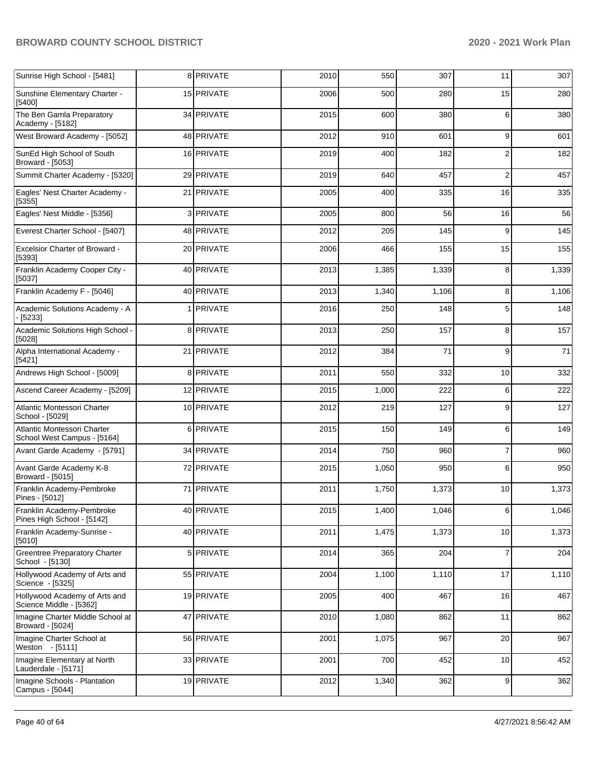| Sunrise High School - [5481]                               | 8 PRIVATE  | 2010 | 550   | 307   | 11             | 307   |
|------------------------------------------------------------|------------|------|-------|-------|----------------|-------|
| Sunshine Elementary Charter -<br>[5400]                    | 15 PRIVATE | 2006 | 500   | 280   | 15             | 280   |
| The Ben Gamla Preparatory<br>Academy - [5182]              | 34 PRIVATE | 2015 | 600   | 380   | 6              | 380   |
| West Broward Academy - [5052]                              | 48 PRIVATE | 2012 | 910   | 601   | 9              | 601   |
| SunEd High School of South<br>Broward - [5053]             | 16 PRIVATE | 2019 | 400   | 182   | $\overline{2}$ | 182   |
| Summit Charter Academy - [5320]                            | 29 PRIVATE | 2019 | 640   | 457   | 2              | 457   |
| Eagles' Nest Charter Academy -<br>[5355]                   | 21 PRIVATE | 2005 | 400   | 335   | 16             | 335   |
| Eagles' Nest Middle - [5356]                               | 3 PRIVATE  | 2005 | 800   | 56    | 16             | 56    |
| Everest Charter School - [5407]                            | 48 PRIVATE | 2012 | 205   | 145   | 9              | 145   |
| <b>Excelsior Charter of Broward -</b><br>[5393]            | 20 PRIVATE | 2006 | 466   | 155   | 15             | 155   |
| Franklin Academy Cooper City -<br>[5037]                   | 40 PRIVATE | 2013 | 1,385 | 1,339 | 8              | 1,339 |
| Franklin Academy F - [5046]                                | 40 PRIVATE | 2013 | 1,340 | 1,106 | 8              | 1,106 |
| Academic Solutions Academy - A<br>$-[5233]$                | 1 PRIVATE  | 2016 | 250   | 148   | 5              | 148   |
| Academic Solutions High School -<br>[5028]                 | 8 PRIVATE  | 2013 | 250   | 157   | 8              | 157   |
| Alpha International Academy -<br>[5421]                    | 21 PRIVATE | 2012 | 384   | 71    | 9              | 71    |
| Andrews High School - [5009]                               | 8 PRIVATE  | 2011 | 550   | 332   | 10             | 332   |
| Ascend Career Academy - [5209]                             | 12 PRIVATE | 2015 | 1,000 | 222   | 6              | 222   |
| Atlantic Montessori Charter<br>School - [5029]             | 10 PRIVATE | 2012 | 219   | 127   | 9              | 127   |
| Atlantic Montessori Charter<br>School West Campus - [5164] | 6 PRIVATE  | 2015 | 150   | 149   | 6              | 149   |
| Avant Garde Academy - [5791]                               | 34 PRIVATE | 2014 | 750   | 960   | 7              | 960   |
| Avant Garde Academy K-8<br>Broward - [5015]                | 72 PRIVATE | 2015 | 1,050 | 950   | 6              | 950   |
| Franklin Academy-Pembroke<br>Pines - [5012]                | 71 PRIVATE | 2011 | 1,750 | 1,373 | 10             | 1,373 |
| Franklin Academy-Pembroke<br>Pines High School - [5142]    | 40 PRIVATE | 2015 | 1,400 | 1,046 | 6              | 1,046 |
| Franklin Academy-Sunrise -<br>[5010]                       | 40 PRIVATE | 2011 | 1,475 | 1,373 | 10             | 1,373 |
| <b>Greentree Preparatory Charter</b><br>School - [5130]    | 5 PRIVATE  | 2014 | 365   | 204   | $\overline{7}$ | 204   |
| Hollywood Academy of Arts and<br>Science - [5325]          | 55 PRIVATE | 2004 | 1,100 | 1,110 | 17             | 1,110 |
| Hollywood Academy of Arts and<br>Science Middle - [5362]   | 19 PRIVATE | 2005 | 400   | 467   | 16             | 467   |
| Imagine Charter Middle School at<br>Broward - [5024]       | 47 PRIVATE | 2010 | 1,080 | 862   | 11             | 862   |
| Imagine Charter School at<br>Weston - [5111]               | 56 PRIVATE | 2001 | 1,075 | 967   | 20             | 967   |
| Imagine Elementary at North<br>Lauderdale - [5171]         | 33 PRIVATE | 2001 | 700   | 452   | 10             | 452   |
| Imagine Schools - Plantation<br>Campus - [5044]            | 19 PRIVATE | 2012 | 1,340 | 362   | 9              | 362   |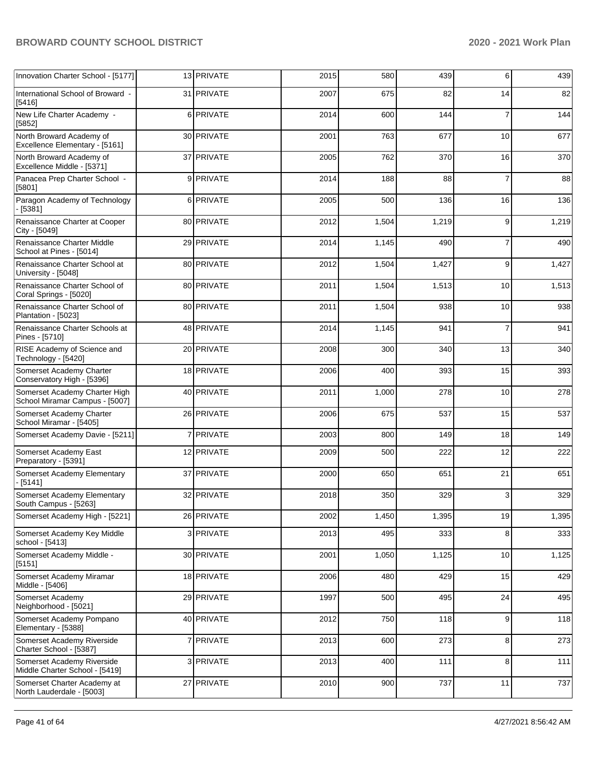| Innovation Charter School - [5177]                              | 13 PRIVATE | 2015 | 580   | 439   | 6              | 439   |
|-----------------------------------------------------------------|------------|------|-------|-------|----------------|-------|
| International School of Broward -<br>[5416]                     | 31 PRIVATE | 2007 | 675   | 82    | 14             | 82    |
| New Life Charter Academy -<br>[5852]                            | 6 PRIVATE  | 2014 | 600   | 144   | $\overline{7}$ | 144   |
| North Broward Academy of<br>Excellence Elementary - [5161]      | 30 PRIVATE | 2001 | 763   | 677   | 10             | 677   |
| North Broward Academy of<br>Excellence Middle - [5371]          | 37 PRIVATE | 2005 | 762   | 370   | 16             | 370   |
| Panacea Prep Charter School -<br>[5801]                         | 9 PRIVATE  | 2014 | 188   | 88    | $\overline{7}$ | 88    |
| Paragon Academy of Technology<br>[5381]                         | 6 PRIVATE  | 2005 | 500   | 136   | 16             | 136   |
| Renaissance Charter at Cooper<br>City - [5049]                  | 80 PRIVATE | 2012 | 1,504 | 1,219 | 9              | 1,219 |
| Renaissance Charter Middle<br>School at Pines - [5014]          | 29 PRIVATE | 2014 | 1,145 | 490   | $\overline{7}$ | 490   |
| Renaissance Charter School at<br>University - [5048]            | 80 PRIVATE | 2012 | 1,504 | 1,427 | 9              | 1,427 |
| Renaissance Charter School of<br>Coral Springs - [5020]         | 80 PRIVATE | 2011 | 1,504 | 1,513 | 10             | 1,513 |
| Renaissance Charter School of<br>Plantation - [5023]            | 80 PRIVATE | 2011 | 1,504 | 938   | 10             | 938   |
| Renaissance Charter Schools at<br>Pines - [5710]                | 48 PRIVATE | 2014 | 1,145 | 941   | $\overline{7}$ | 941   |
| RISE Academy of Science and<br>Technology - [5420]              | 20 PRIVATE | 2008 | 300   | 340   | 13             | 340   |
| Somerset Academy Charter<br>Conservatory High - [5396]          | 18 PRIVATE | 2006 | 400   | 393   | 15             | 393   |
| Somerset Academy Charter High<br>School Miramar Campus - [5007] | 40 PRIVATE | 2011 | 1,000 | 278   | 10             | 278   |
| Somerset Academy Charter<br>School Miramar - [5405]             | 26 PRIVATE | 2006 | 675   | 537   | 15             | 537   |
| Somerset Academy Davie - [5211]                                 | 7 PRIVATE  | 2003 | 800   | 149   | 18             | 149   |
| Somerset Academy East<br>Preparatory - [5391]                   | 12 PRIVATE | 2009 | 500   | 222   | 12             | 222   |
| Somerset Academy Elementary<br>[5141]                           | 37 PRIVATE | 2000 | 650   | 651   | 21             | 651   |
| Somerset Academy Elementary<br>South Campus - [5263]            | 32 PRIVATE | 2018 | 350   | 329   | 3              | 329   |
| Somerset Academy High - [5221]                                  | 26 PRIVATE | 2002 | 1,450 | 1,395 | 19             | 1,395 |
| Somerset Academy Key Middle<br>school - [5413]                  | 3 PRIVATE  | 2013 | 495   | 333   | 8              | 333   |
| Somerset Academy Middle -<br>[5151]                             | 30 PRIVATE | 2001 | 1,050 | 1,125 | 10             | 1,125 |
| Somerset Academy Miramar<br>Middle - [5406]                     | 18 PRIVATE | 2006 | 480   | 429   | 15             | 429   |
| Somerset Academy<br>Neighborhood - [5021]                       | 29 PRIVATE | 1997 | 500   | 495   | 24             | 495   |
| Somerset Academy Pompano<br>Elementary - [5388]                 | 40 PRIVATE | 2012 | 750   | 118   | 9              | 118   |
| Somerset Academy Riverside<br>Charter School - [5387]           | 7 PRIVATE  | 2013 | 600   | 273   | 8              | 273   |
| Somerset Academy Riverside<br>Middle Charter School - [5419]    | 3 PRIVATE  | 2013 | 400   | 111   | 8              | 111   |
| Somerset Charter Academy at<br>North Lauderdale - [5003]        | 27 PRIVATE | 2010 | 900   | 737   | 11             | 737   |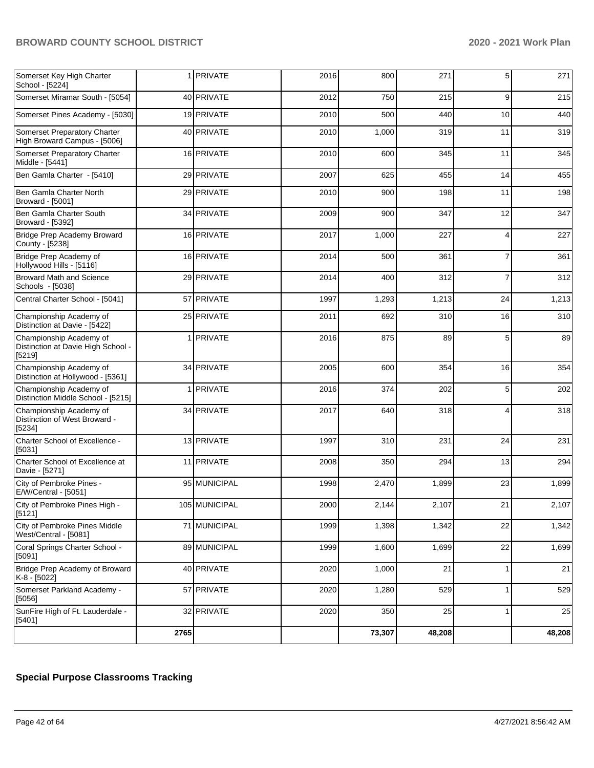|                                                                         | 2765 |                  |      | 73,307 | 48,208 |                | 48,208 |
|-------------------------------------------------------------------------|------|------------------|------|--------|--------|----------------|--------|
| SunFire High of Ft. Lauderdale -<br>[5401]                              |      | 32 PRIVATE       | 2020 | 350    | 25     | 1              | 25     |
| Somerset Parkland Academy -<br>[5056]                                   |      | 57 PRIVATE       | 2020 | 1,280  | 529    | 1              | 529    |
| Bridge Prep Academy of Broward<br>K-8 - [5022]                          |      | 40 PRIVATE       | 2020 | 1,000  | 21     | 1              | 21     |
| Coral Springs Charter School -<br>[5091]                                |      | 89 MUNICIPAL     | 1999 | 1,600  | 1,699  | 22             | 1,699  |
| City of Pembroke Pines Middle<br>West/Central - [5081]                  |      | 71 MUNICIPAL     | 1999 | 1,398  | 1,342  | 22             | 1,342  |
| City of Pembroke Pines High -<br>[5121]                                 |      | 105 MUNICIPAL    | 2000 | 2.144  | 2,107  | 21             | 2,107  |
| City of Pembroke Pines -<br>E/W/Central - [5051]                        |      | 95 MUNICIPAL     | 1998 | 2,470  | 1,899  | 23             | 1,899  |
| Charter School of Excellence at<br>Davie - [5271]                       |      | 11 PRIVATE       | 2008 | 350    | 294    | 13             | 294    |
| Charter School of Excellence -<br>[5031]                                |      | 13 PRIVATE       | 1997 | 310    | 231    | 24             | 231    |
| Championship Academy of<br>Distinction of West Broward -<br>[5234]      |      | 34 PRIVATE       | 2017 | 640    | 318    | 4              | 318    |
| Championship Academy of<br>Distinction Middle School - [5215]           |      | 1 <b>PRIVATE</b> | 2016 | 374    | 202    | 5              | 202    |
| Championship Academy of<br>Distinction at Hollywood - [5361]            |      | 34 PRIVATE       | 2005 | 600    | 354    | 16             | 354    |
| Championship Academy of<br>Distinction at Davie High School -<br>[5219] |      | 1 PRIVATE        | 2016 | 875    | 89     | 5              | 89     |
| Championship Academy of<br>Distinction at Davie - [5422]                |      | 25 PRIVATE       | 2011 | 692    | 310    | 16             | 310    |
| Central Charter School - [5041]                                         |      | 57 PRIVATE       | 1997 | 1,293  | 1,213  | 24             | 1,213  |
| <b>Broward Math and Science</b><br>Schools - [5038]                     |      | 29 PRIVATE       | 2014 | 400    | 312    | $\overline{7}$ | 312    |
| Bridge Prep Academy of<br>Hollywood Hills - [5116]                      |      | 16 PRIVATE       | 2014 | 500    | 361    | $\overline{7}$ | 361    |
| Bridge Prep Academy Broward<br>County - [5238]                          |      | 16 PRIVATE       | 2017 | 1,000  | 227    | 4              | 227    |
| Ben Gamla Charter South<br>Broward - [5392]                             |      | 34 PRIVATE       | 2009 | 900    | 347    | 12             | 347    |
| Ben Gamla Charter North<br>Broward - [5001]                             |      | 29 PRIVATE       | 2010 | 900    | 198    | 11             | 198    |
| Ben Gamla Charter - [5410]                                              |      | 29 PRIVATE       | 2007 | 625    | 455    | 14             | 455    |
| Somerset Preparatory Charter<br>Middle - [5441]                         |      | 16 PRIVATE       | 2010 | 600    | 345    | 11             | 345    |
| Somerset Preparatory Charter<br>High Broward Campus - [5006]            |      | 40 PRIVATE       | 2010 | 1,000  | 319    | 11             | 319    |
| Somerset Pines Academy - [5030]                                         |      | 19 PRIVATE       | 2010 | 500    | 440    | 10             | 440    |
| Somerset Miramar South - [5054]                                         |      | 40 PRIVATE       | 2012 | 750    | 215    | 9              | 215    |
| Somerset Key High Charter<br>School - [5224]                            |      | 1 <b>PRIVATE</b> | 2016 | 800    | 271    | 5              | 271    |

# **Special Purpose Classrooms Tracking**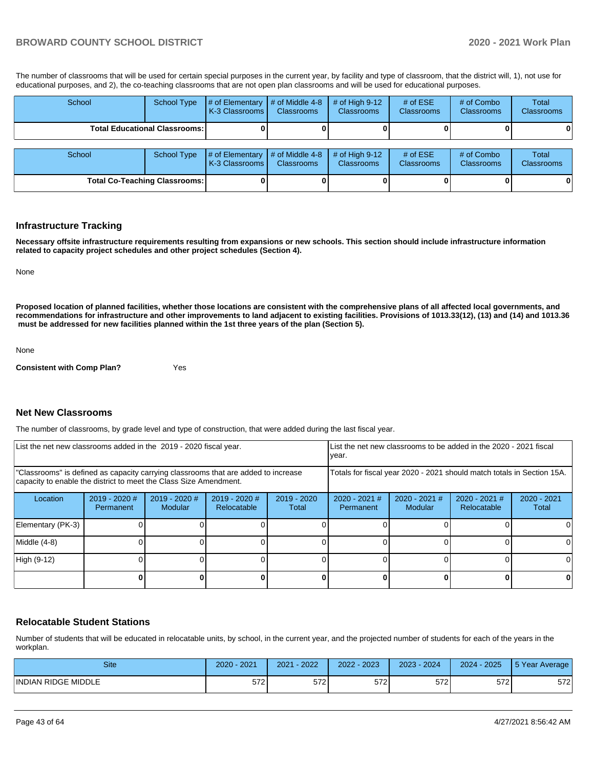The number of classrooms that will be used for certain special purposes in the current year, by facility and type of classroom, that the district will, 1), not use for educational purposes, and 2), the co-teaching classrooms that are not open plan classrooms and will be used for educational purposes.

| School                               | School Type        | # of Elementary<br><b>K-3 Classrooms</b>        | # of Middle 4-8<br><b>Classrooms</b> | $#$ of High 9-12<br><b>Classrooms</b> | # of $ESE$<br><b>Classrooms</b> | # of Combo<br>Classrooms        | Total<br><b>Classrooms</b> |
|--------------------------------------|--------------------|-------------------------------------------------|--------------------------------------|---------------------------------------|---------------------------------|---------------------------------|----------------------------|
| <b>Total Educational Classrooms:</b> |                    |                                                 |                                      |                                       |                                 |                                 | 01                         |
| School                               | <b>School Type</b> | $\sharp$ of Elementary<br><b>K-3 Classrooms</b> | # of Middle 4-8<br><b>Classrooms</b> | $#$ of High 9-12<br><b>Classrooms</b> | # of $ESE$<br><b>Classrooms</b> | # of Combo<br><b>Classrooms</b> | <b>Total</b><br>Classrooms |
| <b>Total Co-Teaching Classrooms:</b> |                    |                                                 |                                      |                                       |                                 |                                 | 0                          |

#### **Infrastructure Tracking**

**Necessary offsite infrastructure requirements resulting from expansions or new schools. This section should include infrastructure information related to capacity project schedules and other project schedules (Section 4).** 

None

**Proposed location of planned facilities, whether those locations are consistent with the comprehensive plans of all affected local governments, and recommendations for infrastructure and other improvements to land adjacent to existing facilities. Provisions of 1013.33(12), (13) and (14) and 1013.36 must be addressed for new facilities planned within the 1st three years of the plan (Section 5).** 

None

**Consistent with Comp Plan?** Yes

## **Net New Classrooms**

The number of classrooms, by grade level and type of construction, that were added during the last fiscal year.

| List the net new classrooms added in the 2019 - 2020 fiscal year.                                                                                       |                              |                            |                                                                        | List the net new classrooms to be added in the 2020 - 2021 fiscal<br>year. |                              |                          |                                |                        |
|---------------------------------------------------------------------------------------------------------------------------------------------------------|------------------------------|----------------------------|------------------------------------------------------------------------|----------------------------------------------------------------------------|------------------------------|--------------------------|--------------------------------|------------------------|
| "Classrooms" is defined as capacity carrying classrooms that are added to increase<br>capacity to enable the district to meet the Class Size Amendment. |                              |                            | Totals for fiscal year 2020 - 2021 should match totals in Section 15A. |                                                                            |                              |                          |                                |                        |
| Location                                                                                                                                                | $2019 - 2020$ #<br>Permanent | $2019 - 2020$ #<br>Modular | $2019 - 2020$ #<br>Relocatable                                         | $2019 - 2020$<br>Total                                                     | $2020 - 2021$ #<br>Permanent | 2020 - 2021 #<br>Modular | $2020 - 2021$ #<br>Relocatable | $2020 - 2021$<br>Total |
| Elementary (PK-3)                                                                                                                                       |                              |                            |                                                                        |                                                                            |                              |                          |                                |                        |
| Middle (4-8)                                                                                                                                            |                              |                            |                                                                        |                                                                            |                              |                          |                                | ΩI                     |
| High (9-12)                                                                                                                                             |                              |                            |                                                                        |                                                                            |                              |                          |                                |                        |
|                                                                                                                                                         |                              |                            |                                                                        |                                                                            |                              |                          | 0                              | 0                      |

## **Relocatable Student Stations**

Number of students that will be educated in relocatable units, by school, in the current year, and the projected number of students for each of the years in the workplan.

| <b>Site</b>         | 2021<br>2020 | 2022<br>2021 | 2023<br>2022 | 2024<br>$2023 -$ | 2024 - 2025 | 5 Year Average |
|---------------------|--------------|--------------|--------------|------------------|-------------|----------------|
| INDIAN RIDGE MIDDLE | $-7$<br>57ZI | 572          | 572          | 572              | 572         | 572            |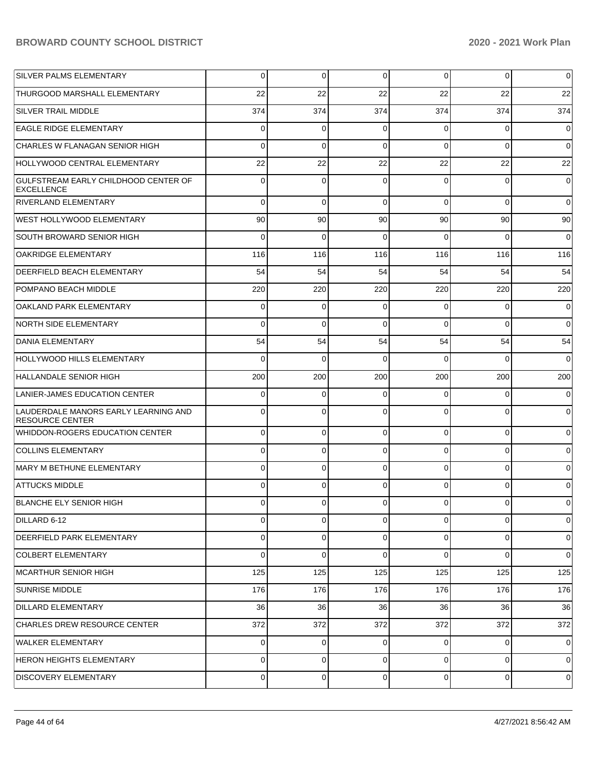| SILVER PALMS ELEMENTARY                                        | 0        | 0        | $\overline{0}$ | $\overline{0}$ | $\overline{0}$ | $\mathbf 0$    |
|----------------------------------------------------------------|----------|----------|----------------|----------------|----------------|----------------|
| THURGOOD MARSHALL ELEMENTARY                                   | 22       | 22       | 22             | 22             | 22             | 22             |
| <b>SILVER TRAIL MIDDLE</b>                                     | 374      | 374      | 374            | 374            | 374            | 374            |
| <b>EAGLE RIDGE ELEMENTARY</b>                                  | 0        | 0        | 0              | 0              | $\overline{0}$ | $\mathbf 0$    |
| CHARLES W FLANAGAN SENIOR HIGH                                 | 0        | 0        | $\Omega$       | 0              | $\overline{0}$ | $\overline{0}$ |
| HOLLYWOOD CENTRAL ELEMENTARY                                   | 22       | 22       | 22             | 22             | 22             | 22             |
| GULFSTREAM EARLY CHILDHOOD CENTER OF<br>EXCELLENCE             | 0        | 0        | $\Omega$       | 0              | $\overline{0}$ | $\overline{0}$ |
| RIVERLAND ELEMENTARY                                           | $\Omega$ | $\Omega$ | $\Omega$       | $\Omega$       | $\overline{0}$ | $\overline{0}$ |
| WEST HOLLYWOOD ELEMENTARY                                      | 90       | 90       | 90             | 90             | 90             | 90             |
| SOUTH BROWARD SENIOR HIGH                                      | $\Omega$ | $\Omega$ | $\Omega$       | $\Omega$       | $\overline{0}$ | $\overline{0}$ |
| <b>OAKRIDGE ELEMENTARY</b>                                     | 116      | 116      | 116            | 116            | 116            | 116            |
| DEERFIELD BEACH ELEMENTARY                                     | 54       | 54       | 54             | 54             | 54             | 54             |
| POMPANO BEACH MIDDLE                                           | 220      | 220      | 220            | 220            | 220            | 220            |
| OAKLAND PARK ELEMENTARY                                        | 0        | $\Omega$ | $\Omega$       | $\Omega$       | $\overline{0}$ | $\overline{0}$ |
| NORTH SIDE ELEMENTARY                                          | 0        | $\Omega$ | $\Omega$       | $\Omega$       | $\overline{0}$ | $\overline{0}$ |
| <b>DANIA ELEMENTARY</b>                                        | 54       | 54       | 54             | 54             | 54             | 54             |
| HOLLYWOOD HILLS ELEMENTARY                                     | $\Omega$ | $\Omega$ | $\Omega$       | $\Omega$       | $\overline{0}$ | $\overline{0}$ |
| HALLANDALE SENIOR HIGH                                         | 200      | 200      | 200            | 200            | 200            | 200            |
| LANIER-JAMES EDUCATION CENTER                                  | 0        | $\Omega$ | $\Omega$       | 0              | $\overline{0}$ | $\overline{0}$ |
| LAUDERDALE MANORS EARLY LEARNING AND<br><b>RESOURCE CENTER</b> | $\Omega$ | 0        | $\Omega$       | $\Omega$       | $\overline{0}$ | $\overline{0}$ |
| WHIDDON-ROGERS EDUCATION CENTER                                | 0        | 0        | $\Omega$       | 0              | $\overline{0}$ | $\overline{0}$ |
| <b>COLLINS ELEMENTARY</b>                                      | 0        | 0        | $\Omega$       | 0              | 0              | $\overline{0}$ |
| MARY M BETHUNE ELEMENTARY                                      | 0        | 0        | $\Omega$       | 0              | 0              | $\overline{0}$ |
| <b>ATTUCKS MIDDLE</b>                                          | 0        | 0        | $\Omega$       | 0              | 0              | $\overline{0}$ |
| BLANCHE ELY SENIOR HIGH                                        | 0        | 0        | $\Omega$       | $\Omega$       | $\Omega$       | $\Omega$       |
| DILLARD 6-12                                                   | 0        | 0        | $\Omega$       | 0              | 0              | $\overline{0}$ |
| DEERFIELD PARK ELEMENTARY                                      | 0        | 0        | $\Omega$       | 0              | 0              | $\overline{0}$ |
| <b>COLBERT ELEMENTARY</b>                                      | 0        | 0        | $\Omega$       | 0              | 0              | $\overline{0}$ |
| MCARTHUR SENIOR HIGH                                           | 125      | 125      | 125            | 125            | 125            | 125            |
| <b>SUNRISE MIDDLE</b>                                          | 176      | 176      | 176            | 176            | 176            | 176            |
| <b>DILLARD ELEMENTARY</b>                                      | 36       | 36       | 36             | 36             | 36             | 36             |
| CHARLES DREW RESOURCE CENTER                                   | 372      | 372      | 372            | 372            | 372            | 372            |
| WALKER ELEMENTARY                                              | 0        | 0        | $\Omega$       | 0              | $\overline{0}$ | $\overline{0}$ |
| <b>HERON HEIGHTS ELEMENTARY</b>                                | 0        | 0        | $\Omega$       | 0              | $\overline{0}$ | $\overline{0}$ |
| <b>DISCOVERY ELEMENTARY</b>                                    | 0        | 0        | 0              | 0              | 0              | $\overline{0}$ |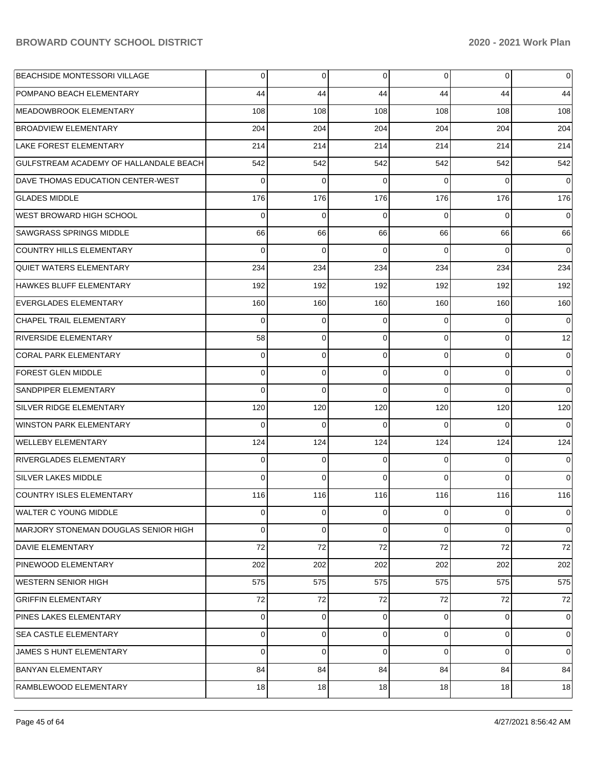| <b>BEACHSIDE MONTESSORI VILLAGE</b>    | 0        | 0   | 0              | 0        | $\overline{0}$ | $\mathbf 0$    |
|----------------------------------------|----------|-----|----------------|----------|----------------|----------------|
| POMPANO BEACH ELEMENTARY               | 44       | 44  | 44             | 44       | 44             | 44             |
| MEADOWBROOK ELEMENTARY                 | 108      | 108 | 108            | 108      | 108            | 108            |
| <b>BROADVIEW ELEMENTARY</b>            | 204      | 204 | 204            | 204      | 204            | 204            |
| <b>LAKE FOREST ELEMENTARY</b>          | 214      | 214 | 214            | 214      | 214            | 214            |
| GULFSTREAM ACADEMY OF HALLANDALE BEACH | 542      | 542 | 542            | 542      | 542            | 542            |
| DAVE THOMAS EDUCATION CENTER-WEST      | 0        | 0   | $\Omega$       | 0        | $\overline{0}$ | $\overline{0}$ |
| <b>GLADES MIDDLE</b>                   | 176      | 176 | 176            | 176      | 176            | 176            |
| WEST BROWARD HIGH SCHOOL               | 0        | 0   | $\Omega$       | 0        | $\overline{0}$ | $\mathbf 0$    |
| SAWGRASS SPRINGS MIDDLE                | 66       | 66  | 66             | 66       | 66             | 66             |
| COUNTRY HILLS ELEMENTARY               | 0        | 0   | $\Omega$       | 0        | $\overline{0}$ | $\overline{0}$ |
| <b>QUIET WATERS ELEMENTARY</b>         | 234      | 234 | 234            | 234      | 234            | 234            |
| HAWKES BLUFF ELEMENTARY                | 192      | 192 | 192            | 192      | 192            | 192            |
| <b>EVERGLADES ELEMENTARY</b>           | 160      | 160 | 160            | 160      | 160            | 160            |
| <b>CHAPEL TRAIL ELEMENTARY</b>         | 0        | 0   | $\Omega$       | 0        | $\overline{0}$ | $\overline{0}$ |
| <b>RIVERSIDE ELEMENTARY</b>            | 58       | 0   | 0              | 0        | $\overline{0}$ | 12             |
| <b>CORAL PARK ELEMENTARY</b>           | 0        | 0   | $\Omega$       | 0        | $\overline{0}$ | $\overline{0}$ |
| <b>FOREST GLEN MIDDLE</b>              | 0        | 0   | 0              | 0        | $\overline{0}$ | $\overline{0}$ |
| <b>SANDPIPER ELEMENTARY</b>            | $\Omega$ | 0   | $\Omega$       | $\Omega$ | $\Omega$       | $\overline{0}$ |
| SILVER RIDGE ELEMENTARY                | 120      | 120 | 120            | 120      | 120            | 120            |
| <b>WINSTON PARK ELEMENTARY</b>         | 0        | 0   | $\Omega$       | 0        | $\Omega$       | $\overline{0}$ |
| <b>WELLEBY ELEMENTARY</b>              | 124      | 124 | 124            | 124      | 124            | 124            |
| <b>RIVERGLADES ELEMENTARY</b>          | 0        | 0   | $\Omega$       | 0        | $\overline{0}$ | $\overline{0}$ |
| <b>SILVER LAKES MIDDLE</b>             | $\Omega$ | 0   | $\Omega$       | $\Omega$ | $\overline{0}$ | $\overline{0}$ |
| COUNTRY ISLES ELEMENTARY               | 116      | 116 | 116            | 116      | 116            | 116            |
| <b>WALTER C YOUNG MIDDLE</b>           | 0        | 0   | $\overline{0}$ | 0        | $\overline{0}$ | $\mathbf 0$    |
| MARJORY STONEMAN DOUGLAS SENIOR HIGH   | 0        | 0   | 0              | 0        | $\overline{0}$ | $\mathbf 0$    |
| DAVIE ELEMENTARY                       | 72       | 72  | 72             | 72       | 72             | 72             |
| PINEWOOD ELEMENTARY                    | 202      | 202 | 202            | 202      | 202            | 202            |
| WESTERN SENIOR HIGH                    | 575      | 575 | 575            | 575      | 575            | 575            |
| <b>GRIFFIN ELEMENTARY</b>              | 72       | 72  | 72             | 72       | 72             | 72             |
| PINES LAKES ELEMENTARY                 | 0        | 0   | $\Omega$       | 0        | $\overline{0}$ | $\mathbf 0$    |
| SEA CASTLE ELEMENTARY                  | 0        | 0   | 0              | 0        | $\overline{0}$ | $\overline{0}$ |
| JAMES S HUNT ELEMENTARY                | 0        | 0   | $\Omega$       | 0        | $\overline{0}$ | $\overline{0}$ |
| <b>BANYAN ELEMENTARY</b>               | 84       | 84  | 84             | 84       | 84             | 84             |
| RAMBLEWOOD ELEMENTARY                  | 18       | 18  | 18             | 18       | 18             | 18             |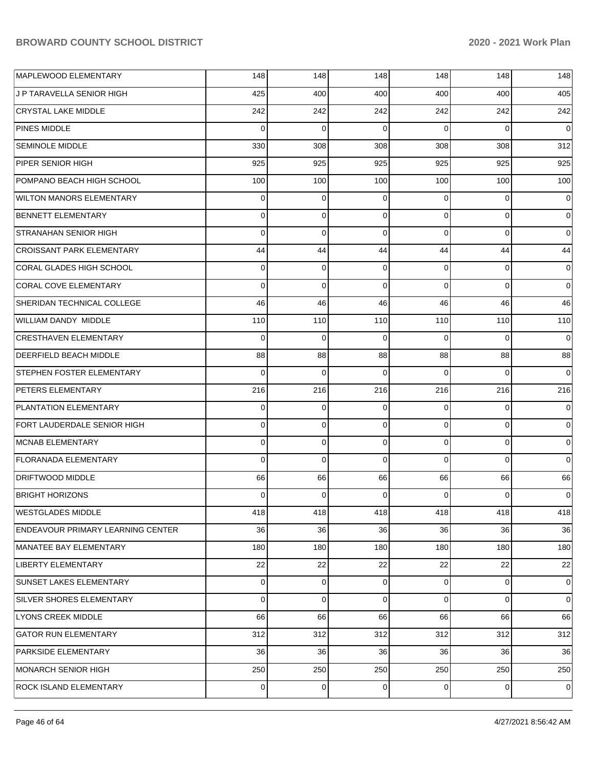| MAPLEWOOD ELEMENTARY                     | 148         | 148         | 148         | 148         | 148         | 148         |
|------------------------------------------|-------------|-------------|-------------|-------------|-------------|-------------|
| J P TARAVELLA SENIOR HIGH                | 425         | 400         | 400         | 400         | 400         | 405         |
| <b>CRYSTAL LAKE MIDDLE</b>               | 242         | 242         | 242         | 242         | 242         | 242         |
| <b>PINES MIDDLE</b>                      | $\Omega$    | $\Omega$    | $\Omega$    | $\Omega$    | $\Omega$    | $\mathbf 0$ |
| <b>SEMINOLE MIDDLE</b>                   | 330         | 308         | 308         | 308         | 308         | 312         |
| PIPER SENIOR HIGH                        | 925         | 925         | 925         | 925         | 925         | 925         |
| POMPANO BEACH HIGH SCHOOL                | 100         | 100         | 100         | 100         | 100         | 100         |
| <b>WILTON MANORS ELEMENTARY</b>          | $\mathbf 0$ | $\mathbf 0$ | $\Omega$    | $\Omega$    | 0           | $\mathbf 0$ |
| BENNETT ELEMENTARY                       | $\mathbf 0$ | $\mathbf 0$ | $\Omega$    | $\Omega$    | $\Omega$    | $\mathbf 0$ |
| <b>STRANAHAN SENIOR HIGH</b>             | $\mathbf 0$ | $\mathbf 0$ | $\Omega$    | $\Omega$    | $\Omega$    | $\mathbf 0$ |
| <b>CROISSANT PARK ELEMENTARY</b>         | 44          | 44          | 44          | 44          | 44          | 44          |
| CORAL GLADES HIGH SCHOOL                 | $\mathbf 0$ | $\mathbf 0$ | $\Omega$    | $\Omega$    | 0           | $\mathbf 0$ |
| CORAL COVE ELEMENTARY                    | $\Omega$    | $\Omega$    | $\Omega$    | $\Omega$    | $\Omega$    | $\mathbf 0$ |
| SHERIDAN TECHNICAL COLLEGE               | 46          | 46          | 46          | 46          | 46          | 46          |
| WILLIAM DANDY MIDDLE                     | 110         | 110         | 110         | 110         | 110         | 110         |
| <b>CRESTHAVEN ELEMENTARY</b>             | $\mathbf 0$ | $\mathbf 0$ | $\Omega$    | $\Omega$    | $\Omega$    | $\mathbf 0$ |
| <b>DEERFIELD BEACH MIDDLE</b>            | 88          | 88          | 88          | 88          | 88          | 88          |
| <b>STEPHEN FOSTER ELEMENTARY</b>         | $\Omega$    | $\Omega$    | $\Omega$    | $\Omega$    | $\Omega$    | $\mathbf 0$ |
| <b>PETERS ELEMENTARY</b>                 | 216         | 216         | 216         | 216         | 216         | 216         |
| <b>PLANTATION ELEMENTARY</b>             | $\mathbf 0$ | $\mathbf 0$ | $\Omega$    | $\Omega$    | 0           | $\mathbf 0$ |
| FORT LAUDERDALE SENIOR HIGH              | $\mathbf 0$ | $\mathbf 0$ | $\Omega$    | $\Omega$    | 0           | $\mathbf 0$ |
| MCNAB ELEMENTARY                         | $\mathbf 0$ | 0           | $\Omega$    | $\Omega$    | 0           | $\mathbf 0$ |
| <b>FLORANADA ELEMENTARY</b>              | $\Omega$    | $\Omega$    | $\Omega$    | $\Omega$    | $\Omega$    | $\mathbf 0$ |
| DRIFTWOOD MIDDLE                         | 66          | 66          | 66          | 66          | 66          | 66          |
| <b>BRIGHT HORIZONS</b>                   | 0           | 0           | $\Omega$    | $\Omega$    | 0           | $\mathbf 0$ |
| <b>WESTGLADES MIDDLE</b>                 | 418         | 418         | 418         | 418         | 418         | 418         |
| <b>ENDEAVOUR PRIMARY LEARNING CENTER</b> | 36          | 36          | 36          | 36          | 36          | 36          |
| MANATEE BAY ELEMENTARY                   | 180         | 180         | 180         | 180         | 180         | 180         |
| LIBERTY ELEMENTARY                       | 22          | 22          | 22          | 22          | 22          | 22          |
| SUNSET LAKES ELEMENTARY                  | $\mathbf 0$ | $\mathbf 0$ | $\mathbf 0$ | $\mathbf 0$ | 0           | 0           |
| SILVER SHORES ELEMENTARY                 | $\mathbf 0$ | $\mathbf 0$ | $\Omega$    | $\mathbf 0$ | 0           | $\mathbf 0$ |
| <b>LYONS CREEK MIDDLE</b>                | 66          | 66          | 66          | 66          | 66          | 66          |
| <b>GATOR RUN ELEMENTARY</b>              | 312         | 312         | 312         | 312         | 312         | 312         |
| <b>PARKSIDE ELEMENTARY</b>               | 36          | 36          | 36          | 36          | 36          | 36          |
| MONARCH SENIOR HIGH                      | 250         | 250         | 250         | 250         | 250         | 250         |
| <b>ROCK ISLAND ELEMENTARY</b>            | 0           | $\mathbf 0$ | 0           | 0           | $\mathbf 0$ | $\mathbf 0$ |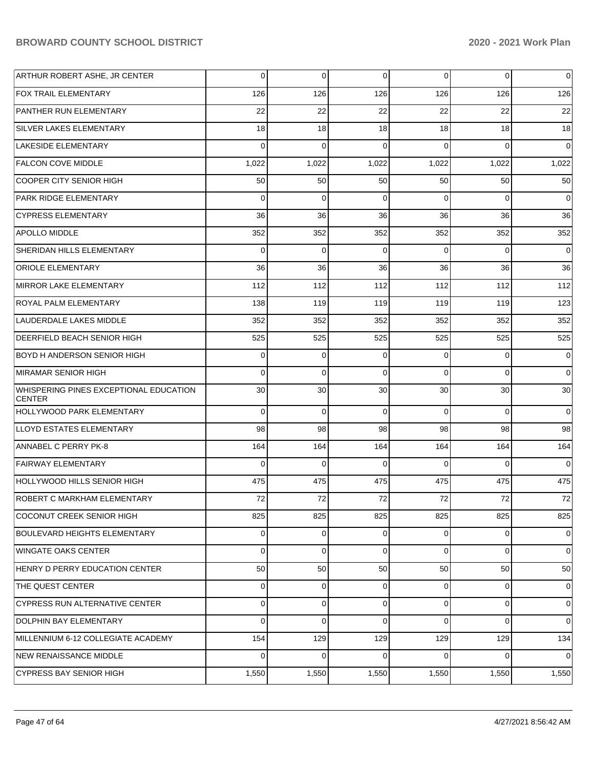| ARTHUR ROBERT ASHE, JR CENTER                           | 0        | $\overline{0}$ | 0        | $\Omega$    | 0           | 0           |
|---------------------------------------------------------|----------|----------------|----------|-------------|-------------|-------------|
| <b>FOX TRAIL ELEMENTARY</b>                             | 126      | 126            | 126      | 126         | 126         | 126         |
| <b>PANTHER RUN ELEMENTARY</b>                           | 22       | 22             | 22       | 22          | 22          | 22          |
| <b>SILVER LAKES ELEMENTARY</b>                          | 18       | 18             | 18       | 18          | 18          | 18          |
| <b>LAKESIDE ELEMENTARY</b>                              | $\Omega$ | $\Omega$       | $\Omega$ | 0           | $\Omega$    | $\Omega$    |
| <b>FALCON COVE MIDDLE</b>                               | 1,022    | 1,022          | 1,022    | 1,022       | 1,022       | 1,022       |
| <b>COOPER CITY SENIOR HIGH</b>                          | 50       | 50             | 50       | 50          | 50          | 50          |
| <b>PARK RIDGE ELEMENTARY</b>                            | $\Omega$ | $\mathbf 0$    | $\Omega$ | $\Omega$    | $\Omega$    | $\mathbf 0$ |
| <b>CYPRESS ELEMENTARY</b>                               | 36       | 36             | 36       | 36          | 36          | 36          |
| <b>APOLLO MIDDLE</b>                                    | 352      | 352            | 352      | 352         | 352         | 352         |
| SHERIDAN HILLS ELEMENTARY                               | $\Omega$ | $\Omega$       | $\Omega$ | $\Omega$    | $\Omega$    | $\mathbf 0$ |
| <b>ORIOLE ELEMENTARY</b>                                | 36       | 36             | 36       | 36          | 36          | 36          |
| <b>MIRROR LAKE ELEMENTARY</b>                           | 112      | 112            | 112      | 112         | 112         | 112         |
| <b>ROYAL PALM ELEMENTARY</b>                            | 138      | 119            | 119      | 119         | 119         | 123         |
| LAUDERDALE LAKES MIDDLE                                 | 352      | 352            | 352      | 352         | 352         | 352         |
| <b>DEERFIELD BEACH SENIOR HIGH</b>                      | 525      | 525            | 525      | 525         | 525         | 525         |
| <b>BOYD H ANDERSON SENIOR HIGH</b>                      | 0        | 0              | $\Omega$ | 0           | 0           | 0           |
| <b>MIRAMAR SENIOR HIGH</b>                              | $\Omega$ | $\mathbf 0$    | $\Omega$ | $\Omega$    | $\Omega$    | $\mathbf 0$ |
| WHISPERING PINES EXCEPTIONAL EDUCATION<br><b>CENTER</b> | 30       | 30             | 30       | 30          | 30          | 30          |
| <b>HOLLYWOOD PARK ELEMENTARY</b>                        | 0        | $\mathbf 0$    | $\Omega$ | $\Omega$    | $\Omega$    | $\mathbf 0$ |
| LLOYD ESTATES ELEMENTARY                                | 98       | 98             | 98       | 98          | 98          | 98          |
| <b>ANNABEL C PERRY PK-8</b>                             | 164      | 164            | 164      | 164         | 164         | 164         |
| <b>FAIRWAY ELEMENTARY</b>                               | $\Omega$ | 0              | 0        | $\Omega$    | $\Omega$    | $\mathbf 0$ |
| HOLLYWOOD HILLS SENIOR HIGH                             | 475      | 475            | 475      | 475         | 475         | 475         |
| ROBERT C MARKHAM ELEMENTARY                             | 72       | 72             | 72       | 72          | 72          | 72          |
| COCONUT CREEK SENIOR HIGH                               | 825      | 825            | 825      | 825         | 825         | 825         |
| <b>BOULEVARD HEIGHTS ELEMENTARY</b>                     | 0        | 0              | 0        | 0           | $\mathbf 0$ | 0           |
| <b>WINGATE OAKS CENTER</b>                              | 0        | $\mathbf 0$    | 0        | $\Omega$    | $\Omega$    | $\mathbf 0$ |
| HENRY D PERRY EDUCATION CENTER                          | 50       | 50             | 50       | 50          | 50          | 50          |
| THE QUEST CENTER                                        | 0        | $\mathbf 0$    | 0        | 0           | $\mathbf 0$ | 0           |
| <b>CYPRESS RUN ALTERNATIVE CENTER</b>                   | 0        | 0              | 0        | $\mathbf 0$ | $\mathbf 0$ | 0           |
| <b>DOLPHIN BAY ELEMENTARY</b>                           | 0        | $\mathbf 0$    | $\Omega$ | 0           | $\Omega$    | $\mathbf 0$ |
| MILLENNIUM 6-12 COLLEGIATE ACADEMY                      | 154      | 129            | 129      | 129         | 129         | 134         |
| <b>NEW RENAISSANCE MIDDLE</b>                           | 0        | $\mathbf 0$    | $\Omega$ | $\Omega$    | $\Omega$    | $\mathbf 0$ |
| <b>CYPRESS BAY SENIOR HIGH</b>                          | 1,550    | 1,550          | 1,550    | 1,550       | 1,550       | 1,550       |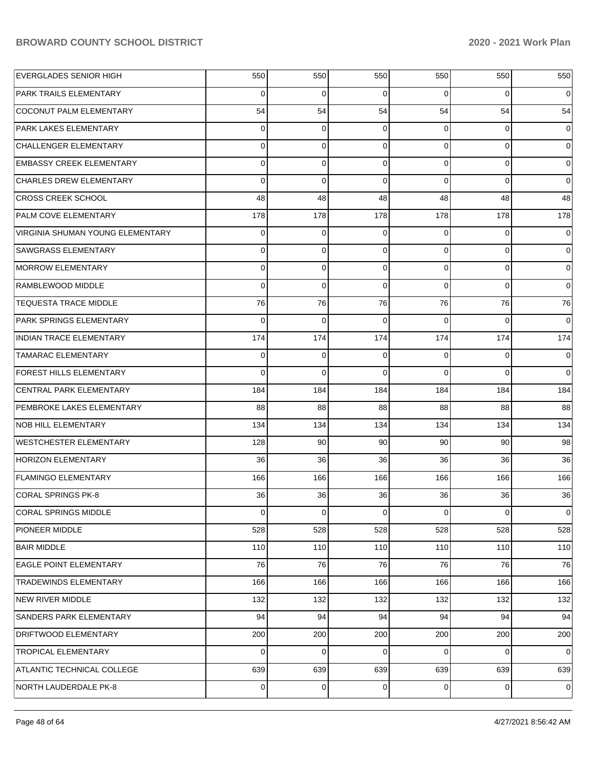| <b>EVERGLADES SENIOR HIGH</b>    | 550      | 550         | 550            | 550            | 550            | 550            |
|----------------------------------|----------|-------------|----------------|----------------|----------------|----------------|
| <b>PARK TRAILS ELEMENTARY</b>    | 0        | 0           | $\Omega$       | $\Omega$       | $\Omega$       | $\overline{0}$ |
| COCONUT PALM ELEMENTARY          | 54       | 54          | 54             | 54             | 54             | 54             |
| <b>PARK LAKES ELEMENTARY</b>     | $\Omega$ | 0           | $\overline{0}$ | $\Omega$       | $\Omega$       | $\overline{0}$ |
| <b>CHALLENGER ELEMENTARY</b>     | $\Omega$ | 0           | $\Omega$       | $\Omega$       | $\Omega$       | $\Omega$       |
| <b>EMBASSY CREEK ELEMENTARY</b>  | $\Omega$ | $\mathbf 0$ | $\Omega$       | $\Omega$       | $\Omega$       | $\overline{0}$ |
| <b>CHARLES DREW ELEMENTARY</b>   | $\Omega$ | $\Omega$    | $\Omega$       | $\Omega$       | $\Omega$       | $\Omega$       |
| <b>CROSS CREEK SCHOOL</b>        | 48       | 48          | 48             | 48             | 48             | 48             |
| <b>PALM COVE ELEMENTARY</b>      | 178      | 178         | 178            | 178            | 178            | 178            |
| VIRGINIA SHUMAN YOUNG ELEMENTARY | $\Omega$ | $\mathbf 0$ | $\overline{0}$ | $\Omega$       | $\Omega$       | $\overline{0}$ |
| <b>SAWGRASS ELEMENTARY</b>       | $\Omega$ | 0           | $\Omega$       | $\Omega$       | $\Omega$       | $\Omega$       |
| <b>MORROW ELEMENTARY</b>         | $\Omega$ | $\mathbf 0$ | $\Omega$       | $\Omega$       | $\Omega$       | 0              |
| RAMBLEWOOD MIDDLE                | $\Omega$ | $\Omega$    | $\Omega$       | $\Omega$       | $\Omega$       | $\Omega$       |
| <b>TEQUESTA TRACE MIDDLE</b>     | 76       | 76          | 76             | 76             | 76             | 76             |
| <b>PARK SPRINGS ELEMENTARY</b>   | $\Omega$ | $\Omega$    | $\Omega$       | $\Omega$       | $\Omega$       | $\Omega$       |
| <b>INDIAN TRACE ELEMENTARY</b>   | 174      | 174         | 174            | 174            | 174            | 174            |
| <b>TAMARAC ELEMENTARY</b>        | $\Omega$ | 0           | $\Omega$       | $\Omega$       | $\Omega$       | $\Omega$       |
| FOREST HILLS ELEMENTARY          | $\Omega$ | $\Omega$    | $\Omega$       | $\Omega$       | $\Omega$       | $\Omega$       |
| CENTRAL PARK ELEMENTARY          | 184      | 184         | 184            | 184            | 184            | 184            |
| PEMBROKE LAKES ELEMENTARY        | 88       | 88          | 88             | 88             | 88             | 88             |
| <b>NOB HILL ELEMENTARY</b>       | 134      | 134         | 134            | 134            | 134            | 134            |
| <b>WESTCHESTER ELEMENTARY</b>    | 128      | 90          | 90             | 90             | 90             | 98             |
| <b>HORIZON ELEMENTARY</b>        | 36       | 36          | 36             | 36             | 36             | 36             |
| <b>FLAMINGO ELEMENTARY</b>       | 166      | 166         | 166            | 166            | 166            | 166            |
| <b>CORAL SPRINGS PK-8</b>        | 36       | 36          | 36             | 36             | 36             | 36             |
| <b>CORAL SPRINGS MIDDLE</b>      | 0        | $\mathbf 0$ | $\overline{0}$ | $\overline{0}$ | $\overline{0}$ | 0              |
| PIONEER MIDDLE                   | 528      | 528         | 528            | 528            | 528            | 528            |
| <b>BAIR MIDDLE</b>               | 110      | 110         | 110            | 110            | 110            | 110            |
| EAGLE POINT ELEMENTARY           | 76       | 76          | 76             | 76             | 76             | 76             |
| TRADEWINDS ELEMENTARY            | 166      | 166         | 166            | 166            | 166            | 166            |
| NEW RIVER MIDDLE                 | 132      | 132         | 132            | 132            | 132            | 132            |
| SANDERS PARK ELEMENTARY          | 94       | 94          | 94             | 94             | 94             | 94             |
| DRIFTWOOD ELEMENTARY             | 200      | 200         | 200            | 200            | 200            | 200            |
| <b>TROPICAL ELEMENTARY</b>       | 0        | $\mathbf 0$ | 0              | $\Omega$       | 0              | $\overline{0}$ |
| ATLANTIC TECHNICAL COLLEGE       | 639      | 639         | 639            | 639            | 639            | 639            |
| NORTH LAUDERDALE PK-8            | 0        | $\mathbf 0$ | $\overline{0}$ | $\overline{0}$ | $\overline{0}$ | 0              |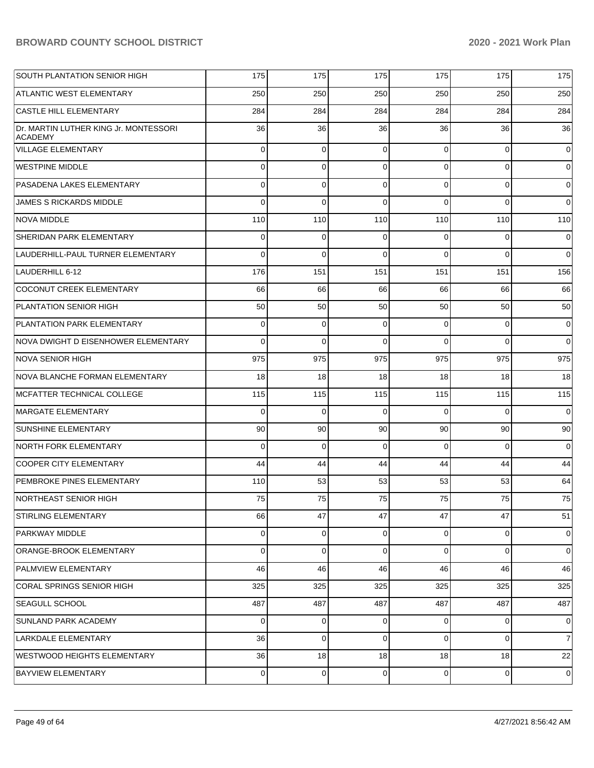| <b>SOUTH PLANTATION SENIOR HIGH</b>                     | 175            | 175            | 175            | 175            | 175            | 175            |
|---------------------------------------------------------|----------------|----------------|----------------|----------------|----------------|----------------|
| <b>ATLANTIC WEST ELEMENTARY</b>                         | 250            | 250            | 250            | 250            | 250            | 250            |
| <b>CASTLE HILL ELEMENTARY</b>                           | 284            | 284            | 284            | 284            | 284            | 284            |
| Dr. MARTIN LUTHER KING Jr. MONTESSORI<br><b>ACADEMY</b> | 36             | 36             | 36             | 36             | 36             | 36             |
| VILLAGE ELEMENTARY                                      | $\Omega$       | $\mathbf 0$    | $\Omega$       | $\Omega$       | $\Omega$       | $\overline{0}$ |
| <b>WESTPINE MIDDLE</b>                                  | $\Omega$       | $\mathbf 0$    | $\Omega$       | $\Omega$       | $\Omega$       | $\overline{0}$ |
| PASADENA LAKES ELEMENTARY                               | $\Omega$       | $\mathbf 0$    | $\Omega$       | $\Omega$       | $\Omega$       | $\overline{0}$ |
| <b>JAMES S RICKARDS MIDDLE</b>                          | $\Omega$       | $\Omega$       | $\Omega$       | $\Omega$       | $\Omega$       | $\overline{0}$ |
| <b>NOVA MIDDLE</b>                                      | 110            | 110            | 110            | 110            | 110            | 110            |
| SHERIDAN PARK ELEMENTARY                                | $\Omega$       | $\mathbf 0$    | $\Omega$       | $\Omega$       | $\Omega$       | $\overline{0}$ |
| LAUDERHILL-PAUL TURNER ELEMENTARY                       | $\Omega$       | $\Omega$       | $\Omega$       | $\Omega$       | $\Omega$       | $\Omega$       |
| LAUDERHILL 6-12                                         | 176            | 151            | 151            | 151            | 151            | 156            |
| COCONUT CREEK ELEMENTARY                                | 66             | 66             | 66             | 66             | 66             | 66             |
| PLANTATION SENIOR HIGH                                  | 50             | 50             | 50             | 50             | 50             | 50             |
| PLANTATION PARK ELEMENTARY                              | $\Omega$       | $\mathbf 0$    | $\Omega$       | $\Omega$       | $\Omega$       | $\overline{0}$ |
| NOVA DWIGHT D EISENHOWER ELEMENTARY                     | $\Omega$       | $\Omega$       | $\Omega$       | $\Omega$       | $\Omega$       | $\Omega$       |
| <b>NOVA SENIOR HIGH</b>                                 | 975            | 975            | 975            | 975            | 975            | 975            |
| NOVA BLANCHE FORMAN ELEMENTARY                          | 18             | 18             | 18             | 18             | 18             | 18             |
| MCFATTER TECHNICAL COLLEGE                              | 115            | 115            | 115            | 115            | 115            | 115            |
| <b>MARGATE ELEMENTARY</b>                               | $\Omega$       | $\Omega$       | $\Omega$       | $\Omega$       | $\Omega$       | $\overline{0}$ |
| SUNSHINE ELEMENTARY                                     | 90             | 90             | 90             | 90             | 90             | 90             |
| NORTH FORK ELEMENTARY                                   | $\Omega$       | $\Omega$       | $\Omega$       | $\Omega$       | $\Omega$       | $\overline{0}$ |
| <b>COOPER CITY ELEMENTARY</b>                           | 44             | 44             | 44             | 44             | 44             | 44             |
| <b>PEMBROKE PINES ELEMENTARY</b>                        | 110            | 53             | 53             | 53             | 53             | 64             |
| NORTHEAST SENIOR HIGH                                   | 75             | 75             | 75             | 75             | 75             | 75             |
| <b>STIRLING ELEMENTARY</b>                              | 66             | 47             | 47             | 47             | 47             | 51             |
| PARKWAY MIDDLE                                          | 0              | $\mathbf 0$    | $\overline{0}$ | $\overline{0}$ | $\mathbf 0$    | 0              |
| ORANGE-BROOK ELEMENTARY                                 | $\mathbf 0$    | $\mathbf 0$    | $\Omega$       | $\Omega$       | $\mathbf 0$    | $\overline{0}$ |
| PALMVIEW ELEMENTARY                                     | 46             | 46             | 46             | 46             | 46             | 46             |
| CORAL SPRINGS SENIOR HIGH                               | 325            | 325            | 325            | 325            | 325            | 325            |
| SEAGULL SCHOOL                                          | 487            | 487            | 487            | 487            | 487            | 487            |
| SUNLAND PARK ACADEMY                                    | 0              | 0              | 0              | $\Omega$       | 0              | 0              |
| LARKDALE ELEMENTARY                                     | 36             | $\mathbf 0$    | $\overline{0}$ | $\overline{0}$ | $\mathbf 0$    | 7              |
| WESTWOOD HEIGHTS ELEMENTARY                             | 36             | 18             | 18             | 18             | 18             | 22             |
| BAYVIEW ELEMENTARY                                      | $\overline{0}$ | $\overline{0}$ | $\overline{0}$ | $\overline{0}$ | $\overline{0}$ | 0              |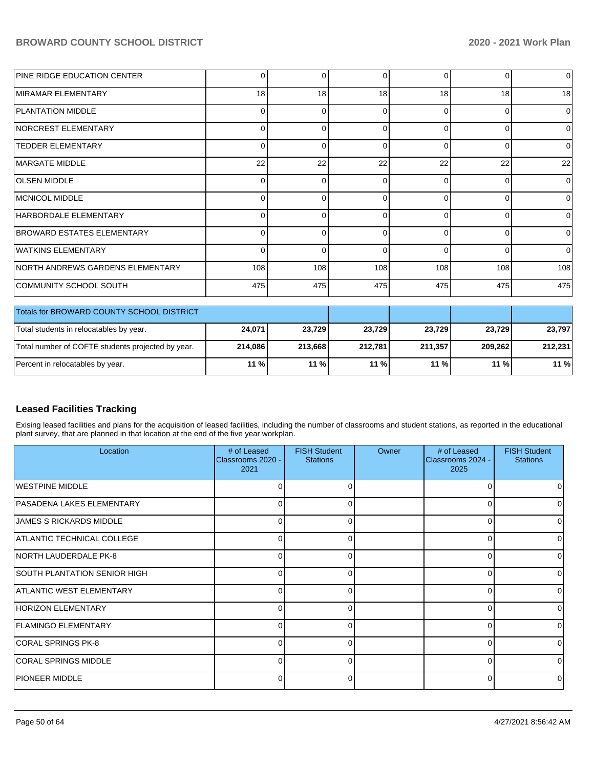| <b>PINE RIDGE EDUCATION CENTER</b>        | $\Omega$       |     | 0        | $\Omega$ | 0            | $\overline{0}$ |
|-------------------------------------------|----------------|-----|----------|----------|--------------|----------------|
| MIRAMAR ELEMENTARY                        | 18             | 18  | 18       | 18       | 18           | 18             |
| <b>PLANTATION MIDDLE</b>                  | $\Omega$       | U   | 0        | 0        | 0            | 0              |
| <b>INORCREST ELEMENTARY</b>               | 0              |     | 0        | $\Omega$ | 0            | $\Omega$       |
| <b>TEDDER ELEMENTARY</b>                  | $\Omega$       | ი   | 0        | $\Omega$ | 0            | 0              |
| <b>IMARGATE MIDDLE</b>                    | 22             | 22  | 22       | 22       | 22           | 22             |
| <b>OLSEN MIDDLE</b>                       | $\Omega$       | ∩   | $\Omega$ | $\Omega$ | $\Omega$     | $\Omega$       |
| MCNICOL MIDDLE                            | $\Omega$       | ი   | 0        | $\Omega$ | 0            | 0              |
| HARBORDALE ELEMENTARY                     | 0              | ∩   | $\Omega$ | $\Omega$ | 0            | $\Omega$       |
| <b>BROWARD ESTATES ELEMENTARY</b>         | $\overline{0}$ | ი   | 0        | $\Omega$ | 0            | 0              |
| <b>WATKINS ELEMENTARY</b>                 |                |     | O        | $\Omega$ | <sup>0</sup> | $\Omega$       |
| NORTH ANDREWS GARDENS ELEMENTARY          | 108            | 108 | 108      | 108      | 108          | 108            |
| COMMUNITY SCHOOL SOUTH                    | 475            | 475 | 475      | 475      | 475          | 475            |
| Totals for BROWARD COUNTY SCHOOL DISTRICT |                |     |          |          |              |                |
|                                           |                |     |          |          |              |                |

| <b>TO BROWARD COUNTY SCHOOL DISTRICT</b>          |         |         |         |         |         |         |
|---------------------------------------------------|---------|---------|---------|---------|---------|---------|
| Total students in relocatables by year.           | 24.071  | 23,729  | 23.729  | 23,729  | 23.729  | 23.797  |
| Total number of COFTE students projected by year. | 214.086 | 213.668 | 212.781 | 211,357 | 209.262 | 212.231 |
| Percent in relocatables by year.                  | $11 \%$ | $11\%$  | 11 %    | $11\%$  | $11\%$  | $11 \%$ |

# **Leased Facilities Tracking**

Exising leased facilities and plans for the acquisition of leased facilities, including the number of classrooms and student stations, as reported in the educational plant survey, that are planned in that location at the end of the five year workplan.

| Location                          | # of Leased<br>Classrooms 2020 -<br>2021 | <b>FISH Student</b><br><b>Stations</b> | Owner | # of Leased<br>Classrooms 2024 -<br>2025 | <b>FISH Student</b><br><b>Stations</b> |
|-----------------------------------|------------------------------------------|----------------------------------------|-------|------------------------------------------|----------------------------------------|
| WESTPINE MIDDLE                   | U                                        |                                        |       |                                          |                                        |
| PASADENA LAKES ELEMENTARY         | $\Omega$                                 | ი                                      |       | U                                        |                                        |
| <b>JAMES S RICKARDS MIDDLE</b>    | 0                                        |                                        |       | $\Omega$                                 |                                        |
| <b>ATLANTIC TECHNICAL COLLEGE</b> | $\Omega$                                 |                                        |       | U                                        | <sup>0</sup>                           |
| NORTH LAUDERDALE PK-8             | $\Omega$                                 | o                                      |       | $\Omega$                                 | 0                                      |
| SOUTH PLANTATION SENIOR HIGH      | $\overline{0}$                           |                                        |       | $\Omega$                                 |                                        |
| ATLANTIC WEST ELEMENTARY          | $\Omega$                                 |                                        |       | ∩                                        | $\Omega$                               |
| HORIZON ELEMENTARY                | $\Omega$                                 | 0                                      |       | $\Omega$                                 | U                                      |
| FLAMINGO ELEMENTARY               | $\Omega$                                 |                                        |       | $\Omega$                                 |                                        |
| CORAL SPRINGS PK-8                | $\Omega$                                 | ∩                                      |       | ∩                                        | $\Omega$                               |
| CORAL SPRINGS MIDDLE              | $\Omega$                                 | 0                                      |       | $\Omega$                                 | 0                                      |
| <b>PIONEER MIDDLE</b>             | $\Omega$                                 |                                        |       | $\Omega$                                 |                                        |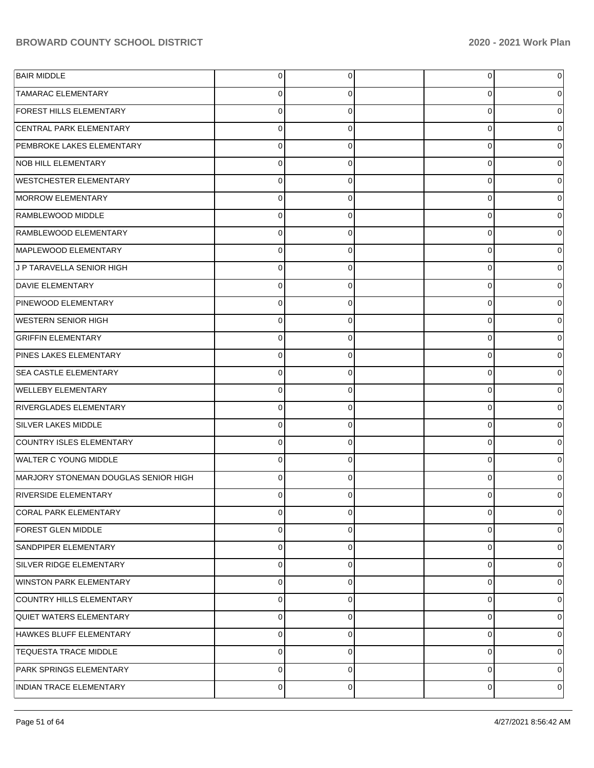| <b>BAIR MIDDLE</b>                   | $\overline{0}$ | 0           | 0        | 0              |
|--------------------------------------|----------------|-------------|----------|----------------|
| <b>TAMARAC ELEMENTARY</b>            | $\overline{0}$ | $\Omega$    | 0        | 0              |
| <b>FOREST HILLS ELEMENTARY</b>       | $\Omega$       | $\Omega$    | 0        | 0              |
| <b>CENTRAL PARK ELEMENTARY</b>       | $\overline{0}$ | $\Omega$    | 0        | 0              |
| PEMBROKE LAKES ELEMENTARY            | $\Omega$       | $\Omega$    | 0        | 0              |
| <b>NOB HILL ELEMENTARY</b>           | $\overline{0}$ | $\Omega$    | 0        | 0              |
| <b>WESTCHESTER ELEMENTARY</b>        | $\Omega$       | $\Omega$    | 0        | 0              |
| MORROW ELEMENTARY                    | $\overline{0}$ | $\Omega$    | 0        | 0              |
| RAMBLEWOOD MIDDLE                    | $\Omega$       | $\Omega$    | 0        | 0              |
| RAMBLEWOOD ELEMENTARY                | $\overline{0}$ | $\Omega$    | 0        | 0              |
| MAPLEWOOD ELEMENTARY                 | $\Omega$       | $\Omega$    | 0        | 0              |
| J P TARAVELLA SENIOR HIGH            | $\overline{0}$ | $\Omega$    | 0        | 0              |
| <b>DAVIE ELEMENTARY</b>              | $\Omega$       | $\Omega$    | 0        | 0              |
| <b>PINEWOOD ELEMENTARY</b>           | $\overline{0}$ | $\Omega$    | 0        | 0              |
| WESTERN SENIOR HIGH                  | $\Omega$       | $\Omega$    | 0        | 0              |
| <b>GRIFFIN ELEMENTARY</b>            | $\overline{0}$ | $\Omega$    | 0        | 0              |
| PINES LAKES ELEMENTARY               | $\Omega$       | $\Omega$    | 0        | 0              |
| <b>SEA CASTLE ELEMENTARY</b>         | $\overline{0}$ | $\Omega$    | 0        | 0              |
| <b>WELLEBY ELEMENTARY</b>            | $\Omega$       | $\Omega$    | 0        | 0              |
| <b>RIVERGLADES ELEMENTARY</b>        | $\overline{0}$ | $\Omega$    | $\Omega$ | 0              |
| <b>SILVER LAKES MIDDLE</b>           | $\Omega$       | $\Omega$    | 0        | 0              |
| COUNTRY ISLES ELEMENTARY             | $\overline{0}$ | $\Omega$    | $\Omega$ | 0              |
| <b>WALTER C YOUNG MIDDLE</b>         | $\Omega$       | $\Omega$    | 0        | 0              |
| MARJORY STONEMAN DOUGLAS SENIOR HIGH | $\Omega$       | $\Omega$    | 0        | 0              |
| <b>RIVERSIDE ELEMENTARY</b>          | $\Omega$       | $\Omega$    |          | 0              |
| CORAL PARK ELEMENTARY                | $\overline{0}$ | 0           | 0        | $\overline{0}$ |
| <b>FOREST GLEN MIDDLE</b>            | $\overline{0}$ | 0           | 0        | $\overline{0}$ |
| SANDPIPER ELEMENTARY                 | $\overline{0}$ | $\Omega$    | 0        | $\overline{0}$ |
| SILVER RIDGE ELEMENTARY              | $\overline{0}$ | 0           | 0        | $\overline{0}$ |
| WINSTON PARK ELEMENTARY              | $\overline{0}$ | $\Omega$    | 0        | $\overline{0}$ |
| COUNTRY HILLS ELEMENTARY             | $\overline{0}$ | 0           | 0        | $\overline{0}$ |
| <b>QUIET WATERS ELEMENTARY</b>       | $\overline{0}$ | $\Omega$    | 0        | $\overline{0}$ |
| HAWKES BLUFF ELEMENTARY              | $\overline{0}$ | 0           | 0        | $\overline{0}$ |
| <b>TEQUESTA TRACE MIDDLE</b>         | $\overline{0}$ | $\Omega$    | 0        | $\overline{0}$ |
| PARK SPRINGS ELEMENTARY              | $\overline{0}$ | 0           | 0        | $\overline{0}$ |
| INDIAN TRACE ELEMENTARY              | $\overline{0}$ | $\mathbf 0$ | 0        | 0              |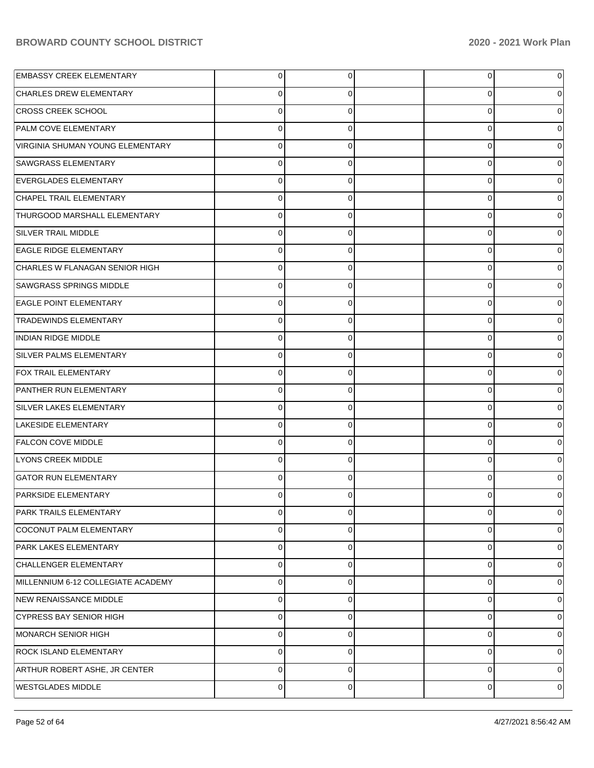| <b>EMBASSY CREEK ELEMENTARY</b>    | 0        | 0 | $\overline{0}$ |   |
|------------------------------------|----------|---|----------------|---|
| <b>CHARLES DREW ELEMENTARY</b>     | 0        | O | 0              |   |
| <b>CROSS CREEK SCHOOL</b>          | $\Omega$ | 0 | 0              |   |
| <b>PALM COVE ELEMENTARY</b>        | $\Omega$ | 0 | 0              |   |
| VIRGINIA SHUMAN YOUNG ELEMENTARY   | $\Omega$ | 0 | 0              |   |
| <b>SAWGRASS ELEMENTARY</b>         | $\Omega$ | 0 | 0              |   |
| EVERGLADES ELEMENTARY              | $\Omega$ | 0 | 0              |   |
| CHAPEL TRAIL ELEMENTARY            | $\Omega$ | 0 | 0              |   |
| THURGOOD MARSHALL ELEMENTARY       | $\Omega$ | 0 | 0              |   |
| <b>SILVER TRAIL MIDDLE</b>         | $\Omega$ | 0 | 0              |   |
| <b>EAGLE RIDGE ELEMENTARY</b>      | $\Omega$ | 0 | 0              |   |
| CHARLES W FLANAGAN SENIOR HIGH     | $\Omega$ | 0 | 0              |   |
| <b>SAWGRASS SPRINGS MIDDLE</b>     | $\Omega$ | 0 | 0              |   |
| <b>EAGLE POINT ELEMENTARY</b>      | $\Omega$ | 0 | 0              |   |
| <b>TRADEWINDS ELEMENTARY</b>       | $\Omega$ | 0 | 0              |   |
| <b>INDIAN RIDGE MIDDLE</b>         | $\Omega$ | 0 | 0              |   |
| SILVER PALMS ELEMENTARY            | $\Omega$ | 0 | 0              |   |
| <b>FOX TRAIL ELEMENTARY</b>        | $\Omega$ | 0 | 0              |   |
| PANTHER RUN ELEMENTARY             | $\Omega$ | 0 | 0              |   |
| SILVER LAKES ELEMENTARY            | $\Omega$ | 0 | 0              |   |
| LAKESIDE ELEMENTARY                | $\Omega$ | 0 | 0              |   |
| <b>FALCON COVE MIDDLE</b>          | $\Omega$ | 0 | 0              |   |
| <b>LYONS CREEK MIDDLE</b>          | $\Omega$ | 0 | 0              |   |
| <b>GATOR RUN ELEMENTARY</b>        | $\Omega$ | 0 | 0              |   |
| <b>PARKSIDE ELEMENTARY</b>         | O        |   | 0              |   |
| PARK TRAILS ELEMENTARY             | 0        | 0 | $\overline{0}$ | 0 |
| COCONUT PALM ELEMENTARY            | 0        | 0 | 0              | 0 |
| PARK LAKES ELEMENTARY              | 0        | 0 | 0              | 0 |
| CHALLENGER ELEMENTARY              | 0        | 0 | 0              | 0 |
| MILLENNIUM 6-12 COLLEGIATE ACADEMY | 0        | 0 | 0              | 0 |
| NEW RENAISSANCE MIDDLE             | 0        | 0 | 0              | 0 |
| <b>CYPRESS BAY SENIOR HIGH</b>     | 0        | 0 | 0              | 0 |
| MONARCH SENIOR HIGH                | 0        | 0 | 0              | 0 |
| <b>ROCK ISLAND ELEMENTARY</b>      | 0        | 0 | 0              | 0 |
| ARTHUR ROBERT ASHE, JR CENTER      | 0        | 0 | 0              | 0 |
| <b>WESTGLADES MIDDLE</b>           | 0        | 0 | $\mathbf 0$    | 0 |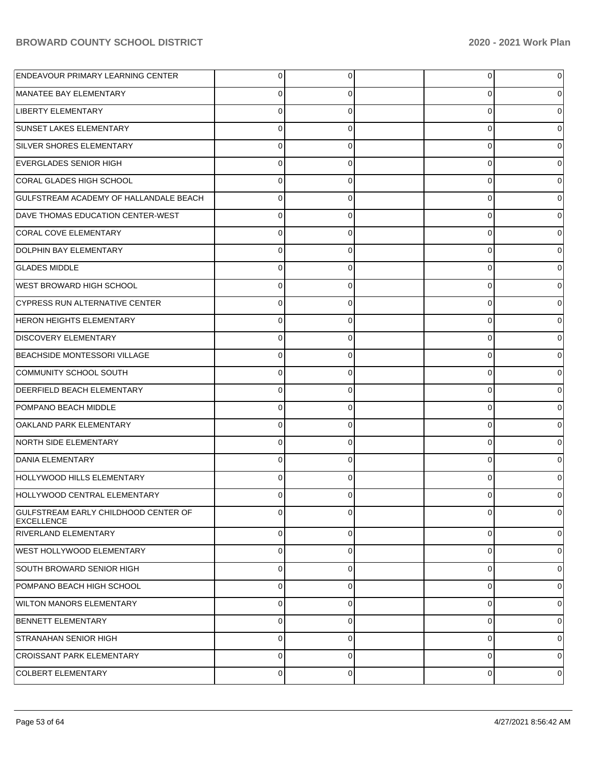| ENDEAVOUR PRIMARY LEARNING CENTER                         | 0              | 0              | 0           | 0           |
|-----------------------------------------------------------|----------------|----------------|-------------|-------------|
| MANATEE BAY ELEMENTARY                                    | 0              | 0              | 0           |             |
| <b>LIBERTY ELEMENTARY</b>                                 | $\Omega$       | 0              | 0           | 0           |
| <b>SUNSET LAKES ELEMENTARY</b>                            | 0              | 0              | 0           | 0           |
| <b>SILVER SHORES ELEMENTARY</b>                           | $\Omega$       | 0              | 0           | 0           |
| <b>EVERGLADES SENIOR HIGH</b>                             | 0              | 0              | 0           | 0           |
| CORAL GLADES HIGH SCHOOL                                  | $\Omega$       | 0              | 0           | 0           |
| GULFSTREAM ACADEMY OF HALLANDALE BEACH                    | 0              | 0              | 0           | 0           |
| DAVE THOMAS EDUCATION CENTER-WEST                         | 0              | 0              | 0           |             |
| CORAL COVE ELEMENTARY                                     | 0              | 0              | 0           | 0           |
| DOLPHIN BAY ELEMENTARY                                    | 0              | 0              | 0           | 0           |
| <b>GLADES MIDDLE</b>                                      | 0              | 0              | 0           | 0           |
| <b>WEST BROWARD HIGH SCHOOL</b>                           | 0              | 0              | 0           | 0           |
| <b>CYPRESS RUN ALTERNATIVE CENTER</b>                     | 0              | 0              | 0           | 0           |
| <b>HERON HEIGHTS ELEMENTARY</b>                           | 0              | 0              | 0           |             |
| <b>DISCOVERY ELEMENTARY</b>                               | 0              | 0              | 0           | 0           |
| <b>BEACHSIDE MONTESSORI VILLAGE</b>                       | 0              | 0              | 0           | 0           |
| COMMUNITY SCHOOL SOUTH                                    | 0              | 0              | 0           | 0           |
| <b>DEERFIELD BEACH ELEMENTARY</b>                         | 0              | 0              | 0           | 0           |
| POMPANO BEACH MIDDLE                                      | $\Omega$       | 0              | 0           | 0           |
| OAKLAND PARK ELEMENTARY                                   | 0              | 0              | 0           | 0           |
| NORTH SIDE ELEMENTARY                                     | 0              | 0              | 0           | 0           |
| <b>DANIA ELEMENTARY</b>                                   | $\Omega$       | 0              | 0           | 0           |
| HOLLYWOOD HILLS ELEMENTARY                                | 0              | $\Omega$       | 0           |             |
| HOLLYWOOD CENTRAL ELEMENTARY                              |                | 0              |             | 0           |
| GULFSTREAM EARLY CHILDHOOD CENTER OF<br><b>EXCELLENCE</b> | $\overline{0}$ | $\overline{0}$ | 0           | 0l          |
| <b>RIVERLAND ELEMENTARY</b>                               | 0              | $\overline{0}$ | 0           | $\mathbf 0$ |
| <b>WEST HOLLYWOOD ELEMENTARY</b>                          | 0              | $\Omega$       | $\mathbf 0$ | $\mathbf 0$ |
| SOUTH BROWARD SENIOR HIGH                                 | $\Omega$       | $\Omega$       | $\Omega$    | 0           |
| POMPANO BEACH HIGH SCHOOL                                 | $\Omega$       | $\mathbf 0$    | 0           | $\mathbf 0$ |
| <b>WILTON MANORS ELEMENTARY</b>                           | $\Omega$       | $\Omega$       | $\Omega$    | 0           |
| <b>BENNETT ELEMENTARY</b>                                 | $\Omega$       | $\Omega$       | 0           | $\mathbf 0$ |
| <b>STRANAHAN SENIOR HIGH</b>                              | $\Omega$       | $\Omega$       | $\Omega$    | 0           |
| <b>CROISSANT PARK ELEMENTARY</b>                          | $\Omega$       | $\Omega$       | $\mathbf 0$ | $\mathbf 0$ |
| COLBERT ELEMENTARY                                        | $\overline{0}$ | $\overline{0}$ | 0           | 0           |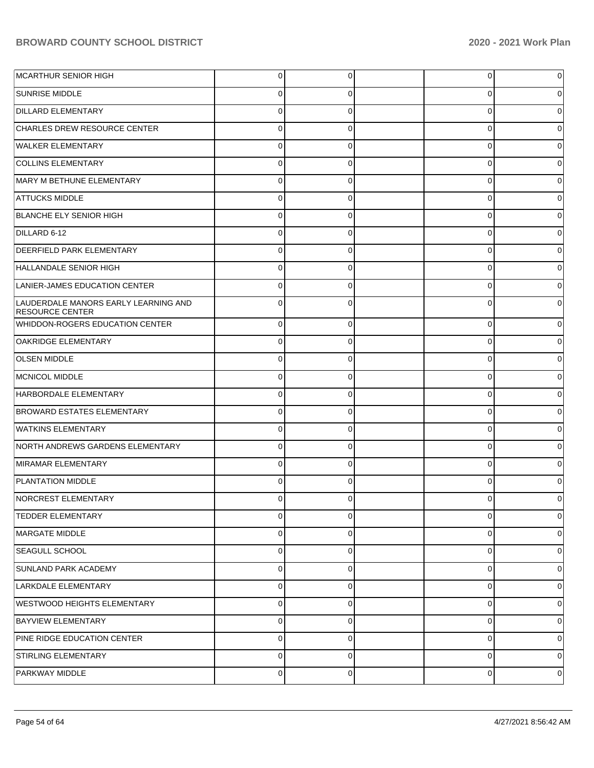| MCARTHUR SENIOR HIGH                                           | $\overline{0}$ | 0           | 0           | 0 |
|----------------------------------------------------------------|----------------|-------------|-------------|---|
| SUNRISE MIDDLE                                                 | 0              | 0           | 0           | 0 |
| <b>DILLARD ELEMENTARY</b>                                      | $\mathbf 0$    | 0           | 0           | 0 |
| CHARLES DREW RESOURCE CENTER                                   | $\mathbf 0$    | 0           | 0           | 0 |
| <b>WALKER ELEMENTARY</b>                                       | $\mathbf 0$    | 0           | 0           | 0 |
| <b>COLLINS ELEMENTARY</b>                                      | $\mathbf 0$    | 0           | 0           | 0 |
| MARY M BETHUNE ELEMENTARY                                      | $\mathbf 0$    | 0           | 0           | 0 |
| <b>ATTUCKS MIDDLE</b>                                          | $\mathbf 0$    | 0           | 0           | 0 |
| BLANCHE ELY SENIOR HIGH                                        | $\mathbf 0$    | 0           | 0           | 0 |
| DILLARD 6-12                                                   | $\mathbf 0$    | 0           | 0           | 0 |
| <b>DEERFIELD PARK ELEMENTARY</b>                               | $\mathbf 0$    | 0           | 0           | 0 |
| HALLANDALE SENIOR HIGH                                         | $\mathbf 0$    | 0           | 0           | 0 |
| LANIER-JAMES EDUCATION CENTER                                  | $\mathbf 0$    | 0           | 0           | 0 |
| LAUDERDALE MANORS EARLY LEARNING AND<br><b>RESOURCE CENTER</b> | $\mathbf 0$    | 0           | 0           | 0 |
| WHIDDON-ROGERS EDUCATION CENTER                                | $\Omega$       | $\Omega$    | $\Omega$    | 0 |
| <b>OAKRIDGE ELEMENTARY</b>                                     | $\overline{0}$ | $\Omega$    | $\Omega$    | 0 |
| <b>OLSEN MIDDLE</b>                                            | $\mathbf 0$    | $\Omega$    | $\Omega$    | 0 |
| MCNICOL MIDDLE                                                 | $\mathbf 0$    | $\Omega$    | $\Omega$    | 0 |
| HARBORDALE ELEMENTARY                                          | $\Omega$       | $\Omega$    | $\Omega$    |   |
| <b>BROWARD ESTATES ELEMENTARY</b>                              | $\overline{0}$ | $\Omega$    | $\Omega$    | 0 |
| <b>WATKINS ELEMENTARY</b>                                      | $\mathbf 0$    | $\Omega$    | $\Omega$    | 0 |
| NORTH ANDREWS GARDENS ELEMENTARY                               | $\mathbf 0$    | $\Omega$    | $\Omega$    | 0 |
| MIRAMAR ELEMENTARY                                             | $\Omega$       | $\Omega$    | $\Omega$    |   |
| <b>PLANTATION MIDDLE</b>                                       | $\Omega$       | $\Omega$    | $\Omega$    |   |
| NORCREST ELEMENTARY                                            | 0              | $\Omega$    | 0           | 0 |
| <b>TEDDER ELEMENTARY</b>                                       | $\mathbf 0$    | $\Omega$    | 0           | 0 |
| MARGATE MIDDLE                                                 | $\overline{0}$ | $\Omega$    | $\mathbf 0$ | 0 |
| SEAGULL SCHOOL                                                 | $\overline{0}$ | $\Omega$    | $\mathbf 0$ | 0 |
| SUNLAND PARK ACADEMY                                           | $\overline{0}$ | $\mathbf 0$ | $\mathbf 0$ | 0 |
| LARKDALE ELEMENTARY                                            | $\overline{0}$ | $\Omega$    | $\mathbf 0$ | 0 |
| WESTWOOD HEIGHTS ELEMENTARY                                    | $\overline{0}$ | $\Omega$    | $\mathbf 0$ | 0 |
| <b>BAYVIEW ELEMENTARY</b>                                      | $\overline{0}$ | $\Omega$    | $\mathbf 0$ | 0 |
| PINE RIDGE EDUCATION CENTER                                    | $\overline{0}$ | $\mathbf 0$ | $\mathbf 0$ | 0 |
| STIRLING ELEMENTARY                                            | $\overline{0}$ | $\Omega$    | $\mathbf 0$ | 0 |
| PARKWAY MIDDLE                                                 | $\overline{0}$ | $\mathbf 0$ | 0           | 0 |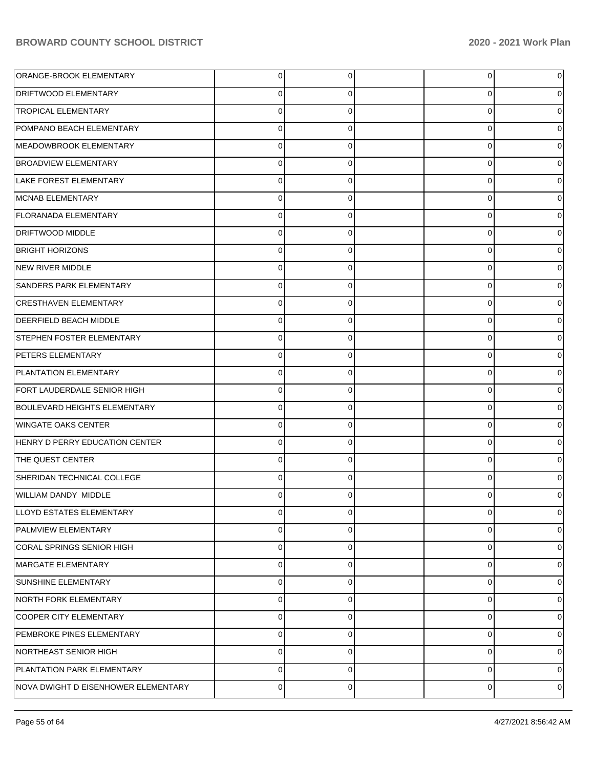| ORANGE-BROOK ELEMENTARY             | $\overline{0}$ | 0           | 0           | 0           |
|-------------------------------------|----------------|-------------|-------------|-------------|
| <b>DRIFTWOOD ELEMENTARY</b>         | $\mathbf 0$    | 0           | 0           | 0           |
| <b>TROPICAL ELEMENTARY</b>          | $\mathbf 0$    | 0           | $\mathbf 0$ | $\Omega$    |
| POMPANO BEACH ELEMENTARY            | $\mathbf 0$    | 0           | 0           | 0           |
| MEADOWBROOK ELEMENTARY              | $\mathbf 0$    | 0           | 0           | 0           |
| <b>BROADVIEW ELEMENTARY</b>         | $\pmb{0}$      | 0           | 0           | 0           |
| LAKE FOREST ELEMENTARY              | $\mathbf 0$    | 0           | 0           | 0           |
| MCNAB ELEMENTARY                    | $\mathbf 0$    | 0           | 0           | 0           |
| <b>FLORANADA ELEMENTARY</b>         | $\mathbf 0$    | 0           | 0           | 0           |
| <b>DRIFTWOOD MIDDLE</b>             | $\pmb{0}$      | 0           | 0           | 0           |
| <b>BRIGHT HORIZONS</b>              | $\mathbf 0$    | 0           | 0           | 0           |
| NEW RIVER MIDDLE                    | $\mathbf 0$    | 0           | 0           | 0           |
| <b>SANDERS PARK ELEMENTARY</b>      | $\mathbf 0$    | 0           | 0           | 0           |
| <b>CRESTHAVEN ELEMENTARY</b>        | $\pmb{0}$      | 0           | 0           | 0           |
| <b>DEERFIELD BEACH MIDDLE</b>       | $\mathbf 0$    | 0           | 0           | 0           |
| <b>STEPHEN FOSTER ELEMENTARY</b>    | $\mathbf 0$    | $\mathbf 0$ | 0           | 0           |
| <b>PETERS ELEMENTARY</b>            | $\mathbf 0$    | 0           | 0           | 0           |
| <b>PLANTATION ELEMENTARY</b>        | $\pmb{0}$      | $\mathbf 0$ | 0           | 0           |
| FORT LAUDERDALE SENIOR HIGH         | $\mathbf 0$    | 0           | 0           | 0           |
| <b>BOULEVARD HEIGHTS ELEMENTARY</b> | $\mathbf 0$    | $\mathbf 0$ | 0           | 0           |
| <b>WINGATE OAKS CENTER</b>          | $\mathbf 0$    | $\mathbf 0$ | 0           | $\Omega$    |
| HENRY D PERRY EDUCATION CENTER      | $\mathbf 0$    | $\mathbf 0$ | 0           | 0           |
| THE QUEST CENTER                    | $\mathbf 0$    | 0           | $\mathbf 0$ | 0           |
| SHERIDAN TECHNICAL COLLEGE          | $\mathbf 0$    | 0           | 0           | 0           |
| WILLIAM DANDY MIDDLE                | $\Omega$       | $\Omega$    | 0           |             |
| LLOYD ESTATES ELEMENTARY            | $\overline{0}$ | 0           | 0           | 0           |
| PALMVIEW ELEMENTARY                 | $\mathbf 0$    | 0           | $\mathbf 0$ | 0           |
| CORAL SPRINGS SENIOR HIGH           | $\mathbf 0$    | $\mathbf 0$ | $\mathbf 0$ | 0           |
| MARGATE ELEMENTARY                  | $\mathbf 0$    | $\mathbf 0$ | 0           | $\mathbf 0$ |
| <b>SUNSHINE ELEMENTARY</b>          | $\mathbf 0$    | $\mathbf 0$ | $\mathbf 0$ | 0           |
| NORTH FORK ELEMENTARY               | $\mathbf 0$    | 0           | $\mathbf 0$ | 0           |
| COOPER CITY ELEMENTARY              | $\mathbf 0$    | $\mathbf 0$ | $\mathbf 0$ | 0           |
| PEMBROKE PINES ELEMENTARY           | $\mathbf 0$    | 0           | 0           | 0           |
| NORTHEAST SENIOR HIGH               | $\mathbf 0$    | $\mathbf 0$ | $\mathbf 0$ | 0           |
| <b>PLANTATION PARK ELEMENTARY</b>   | $\mathbf 0$    | 0           | $\mathbf 0$ | 0           |
| NOVA DWIGHT D EISENHOWER ELEMENTARY | $\pmb{0}$      | 0           | $\mathbf 0$ | 0           |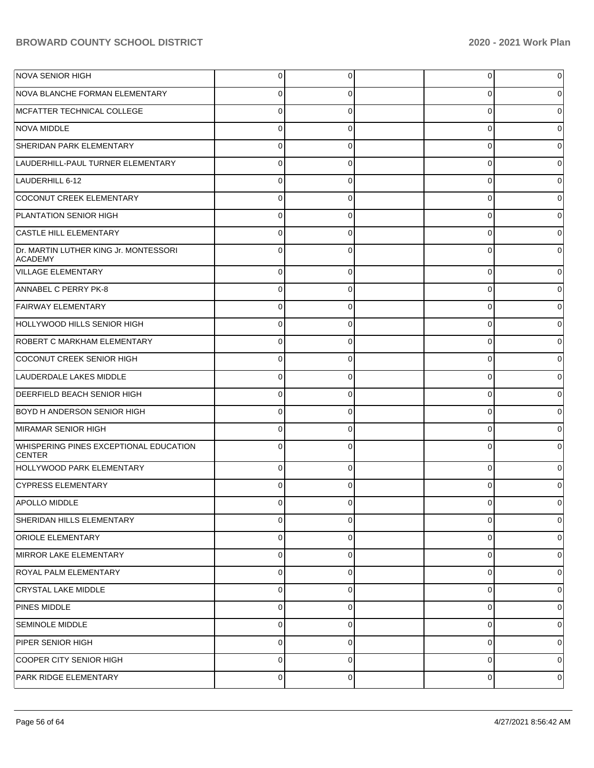| NOVA SENIOR HIGH                                        | $\overline{0}$ | 0            | $\overline{0}$ | 0        |
|---------------------------------------------------------|----------------|--------------|----------------|----------|
| NOVA BLANCHE FORMAN ELEMENTARY                          | 0              | 0            | 0              | 0        |
| MCFATTER TECHNICAL COLLEGE                              | $\mathbf 0$    | $\Omega$     | 0              | $\Omega$ |
| <b>NOVA MIDDLE</b>                                      | $\mathbf 0$    | 0            | 0              | 0        |
| SHERIDAN PARK ELEMENTARY                                | $\mathbf 0$    | $\Omega$     | 0              | 0        |
| LAUDERHILL-PAUL TURNER ELEMENTARY                       | $\mathbf 0$    | 0            | 0              | 0        |
| LAUDERHILL 6-12                                         | $\mathbf 0$    | $\Omega$     | 0              | 0        |
| COCONUT CREEK ELEMENTARY                                | $\mathbf 0$    | 0            | 0              | 0        |
| PLANTATION SENIOR HIGH                                  | $\mathbf 0$    | $\Omega$     | 0              | 0        |
| <b>CASTLE HILL ELEMENTARY</b>                           | $\mathbf 0$    | 0            | 0              | 0        |
| Dr. MARTIN LUTHER KING Jr. MONTESSORI<br>ACADEMY        | $\Omega$       | 0            | $\Omega$       |          |
| <b>VILLAGE ELEMENTARY</b>                               | $\mathbf 0$    | $\mathbf 0$  | 0              |          |
| ANNABEL C PERRY PK-8                                    | $\mathbf 0$    | 0            | 0              |          |
| <b>FAIRWAY ELEMENTARY</b>                               | $\mathbf 0$    | $\Omega$     | 0              |          |
| HOLLYWOOD HILLS SENIOR HIGH                             | $\mathbf 0$    | 0            | 0              |          |
| <b>ROBERT C MARKHAM ELEMENTARY</b>                      | $\mathbf 0$    | $\Omega$     | 0              |          |
| COCONUT CREEK SENIOR HIGH                               | $\mathbf 0$    | 0            | 0              |          |
| LAUDERDALE LAKES MIDDLE                                 | $\mathbf 0$    | $\Omega$     | 0              |          |
| <b>DEERFIELD BEACH SENIOR HIGH</b>                      | $\mathbf 0$    | 0            | 0              |          |
| <b>BOYD H ANDERSON SENIOR HIGH</b>                      | $\mathbf 0$    | $\Omega$     | $\Omega$       |          |
| MIRAMAR SENIOR HIGH                                     | $\mathbf 0$    | $\Omega$     | 0              |          |
| WHISPERING PINES EXCEPTIONAL EDUCATION<br><b>CENTER</b> | $\Omega$       | $\Omega$     | $\Omega$       |          |
| HOLLYWOOD PARK ELEMENTARY                               | $\mathbf 0$    | 0            | 0              | o        |
| CYPRESS ELEMENTARY                                      | $\Omega$       | ∩            | 0              |          |
| APOLLO MIDDLE                                           | 0              | <sup>0</sup> | ∩              |          |
| SHERIDAN HILLS ELEMENTARY                               | $\mathbf 0$    | 0            | 0              | 0        |
| <b>ORIOLE ELEMENTARY</b>                                | 0              | 0            | 0              | 0        |
| MIRROR LAKE ELEMENTARY                                  | $\pmb{0}$      | 0            | 0              | 0        |
| <b>ROYAL PALM ELEMENTARY</b>                            | $\pmb{0}$      | $\mathbf 0$  | 0              | 0        |
| <b>CRYSTAL LAKE MIDDLE</b>                              | $\pmb{0}$      | $\mathbf 0$  | 0              | 0        |
| PINES MIDDLE                                            | $\pmb{0}$      | 0            | 0              | 0        |
| <b>SEMINOLE MIDDLE</b>                                  | $\pmb{0}$      | 0            | 0              | 0        |
| PIPER SENIOR HIGH                                       | $\pmb{0}$      | 0            | 0              | 0        |
| COOPER CITY SENIOR HIGH                                 | $\pmb{0}$      | $\mathbf 0$  | 0              | 0        |
| PARK RIDGE ELEMENTARY                                   | $\pmb{0}$      | 0            | 0              | 0        |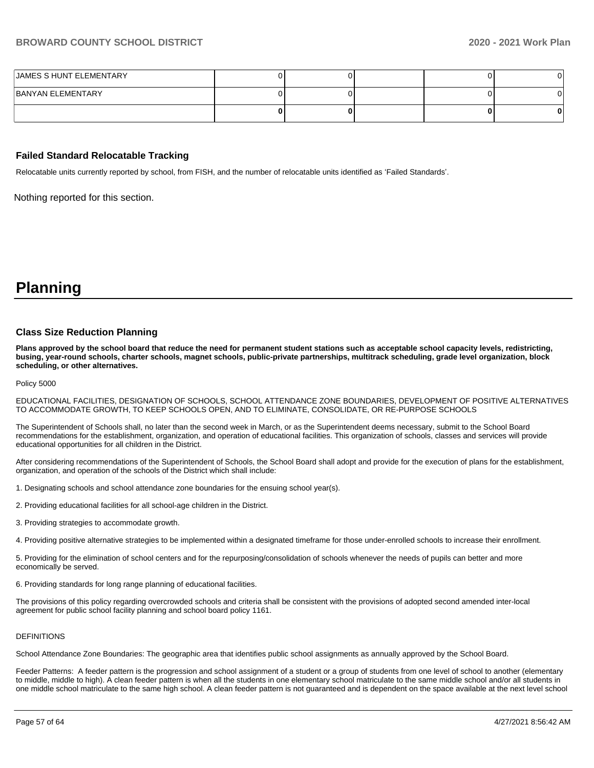| JAMES S HUNT ELEMENTARY |  |  |  |
|-------------------------|--|--|--|
| BANYAN ELEMENTARY       |  |  |  |
|                         |  |  |  |

#### **Failed Standard Relocatable Tracking**

Relocatable units currently reported by school, from FISH, and the number of relocatable units identified as 'Failed Standards'.

Nothing reported for this section.

**Planning**

#### **Class Size Reduction Planning**

**Plans approved by the school board that reduce the need for permanent student stations such as acceptable school capacity levels, redistricting, busing, year-round schools, charter schools, magnet schools, public-private partnerships, multitrack scheduling, grade level organization, block scheduling, or other alternatives.**

Policy 5000

EDUCATIONAL FACILITIES, DESIGNATION OF SCHOOLS, SCHOOL ATTENDANCE ZONE BOUNDARIES, DEVELOPMENT OF POSITIVE ALTERNATIVES TO ACCOMMODATE GROWTH, TO KEEP SCHOOLS OPEN, AND TO ELIMINATE, CONSOLIDATE, OR RE-PURPOSE SCHOOLS

The Superintendent of Schools shall, no later than the second week in March, or as the Superintendent deems necessary, submit to the School Board recommendations for the establishment, organization, and operation of educational facilities. This organization of schools, classes and services will provide educational opportunities for all children in the District.

After considering recommendations of the Superintendent of Schools, the School Board shall adopt and provide for the execution of plans for the establishment, organization, and operation of the schools of the District which shall include:

- 1. Designating schools and school attendance zone boundaries for the ensuing school year(s).
- 2. Providing educational facilities for all school-age children in the District.
- 3. Providing strategies to accommodate growth.
- 4. Providing positive alternative strategies to be implemented within a designated timeframe for those under-enrolled schools to increase their enrollment.

5. Providing for the elimination of school centers and for the repurposing/consolidation of schools whenever the needs of pupils can better and more economically be served.

6. Providing standards for long range planning of educational facilities.

The provisions of this policy regarding overcrowded schools and criteria shall be consistent with the provisions of adopted second amended inter-local agreement for public school facility planning and school board policy 1161.

#### DEFINITIONS

School Attendance Zone Boundaries: The geographic area that identifies public school assignments as annually approved by the School Board.

Feeder Patterns: A feeder pattern is the progression and school assignment of a student or a group of students from one level of school to another (elementary to middle, middle to high). A clean feeder pattern is when all the students in one elementary school matriculate to the same middle school and/or all students in one middle school matriculate to the same high school. A clean feeder pattern is not guaranteed and is dependent on the space available at the next level school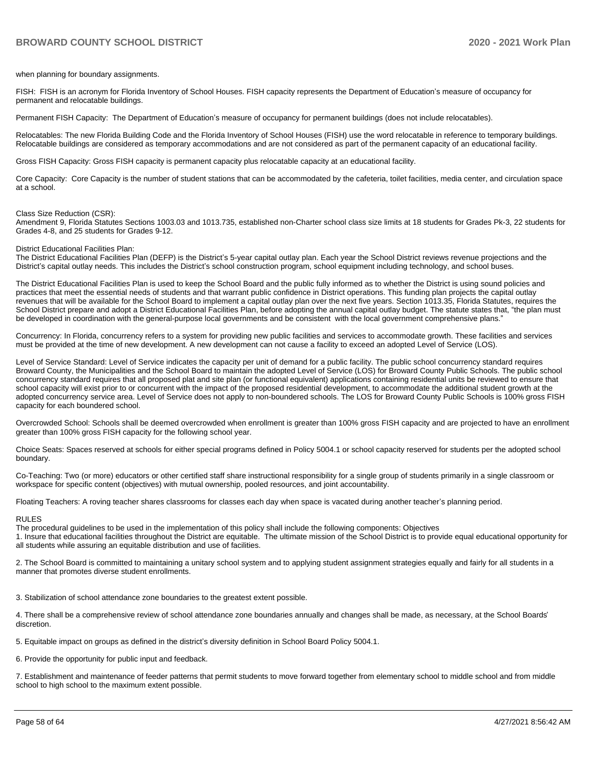when planning for boundary assignments.

FISH: FISH is an acronym for Florida Inventory of School Houses. FISH capacity represents the Department of Education's measure of occupancy for permanent and relocatable buildings.

Permanent FISH Capacity: The Department of Education's measure of occupancy for permanent buildings (does not include relocatables).

Relocatables: The new Florida Building Code and the Florida Inventory of School Houses (FISH) use the word relocatable in reference to temporary buildings. Relocatable buildings are considered as temporary accommodations and are not considered as part of the permanent capacity of an educational facility.

Gross FISH Capacity: Gross FISH capacity is permanent capacity plus relocatable capacity at an educational facility.

Core Capacity: Core Capacity is the number of student stations that can be accommodated by the cafeteria, toilet facilities, media center, and circulation space at a school.

#### Class Size Reduction (CSR):

Amendment 9, Florida Statutes Sections 1003.03 and 1013.735, established non-Charter school class size limits at 18 students for Grades Pk-3, 22 students for Grades 4-8, and 25 students for Grades 9-12.

#### District Educational Facilities Plan:

The District Educational Facilities Plan (DEFP) is the District's 5-year capital outlay plan. Each year the School District reviews revenue projections and the District's capital outlay needs. This includes the District's school construction program, school equipment including technology, and school buses.

The District Educational Facilities Plan is used to keep the School Board and the public fully informed as to whether the District is using sound policies and practices that meet the essential needs of students and that warrant public confidence in District operations. This funding plan projects the capital outlay revenues that will be available for the School Board to implement a capital outlay plan over the next five years. Section 1013.35, Florida Statutes, requires the School District prepare and adopt a District Educational Facilities Plan, before adopting the annual capital outlay budget. The statute states that, "the plan must be developed in coordination with the general-purpose local governments and be consistent with the local government comprehensive plans."

Concurrency: In Florida, concurrency refers to a system for providing new public facilities and services to accommodate growth. These facilities and services must be provided at the time of new development. A new development can not cause a facility to exceed an adopted Level of Service (LOS).

Level of Service Standard: Level of Service indicates the capacity per unit of demand for a public facility. The public school concurrency standard requires Broward County, the Municipalities and the School Board to maintain the adopted Level of Service (LOS) for Broward County Public Schools. The public school concurrency standard requires that all proposed plat and site plan (or functional equivalent) applications containing residential units be reviewed to ensure that school capacity will exist prior to or concurrent with the impact of the proposed residential development, to accommodate the additional student growth at the adopted concurrency service area. Level of Service does not apply to non-boundered schools. The LOS for Broward County Public Schools is 100% gross FISH capacity for each boundered school.

Overcrowded School: Schools shall be deemed overcrowded when enrollment is greater than 100% gross FISH capacity and are projected to have an enrollment greater than 100% gross FISH capacity for the following school year.

Choice Seats: Spaces reserved at schools for either special programs defined in Policy 5004.1 or school capacity reserved for students per the adopted school boundary.

Co-Teaching: Two (or more) educators or other certified staff share instructional responsibility for a single group of students primarily in a single classroom or workspace for specific content (objectives) with mutual ownership, pooled resources, and joint accountability.

Floating Teachers: A roving teacher shares classrooms for classes each day when space is vacated during another teacher's planning period.

#### RULES

The procedural guidelines to be used in the implementation of this policy shall include the following components: Objectives 1. Insure that educational facilities throughout the District are equitable. The ultimate mission of the School District is to provide equal educational opportunity for all students while assuring an equitable distribution and use of facilities.

2. The School Board is committed to maintaining a unitary school system and to applying student assignment strategies equally and fairly for all students in a manner that promotes diverse student enrollments.

3. Stabilization of school attendance zone boundaries to the greatest extent possible.

4. There shall be a comprehensive review of school attendance zone boundaries annually and changes shall be made, as necessary, at the School Boards' discretion.

5. Equitable impact on groups as defined in the district's diversity definition in School Board Policy 5004.1.

6. Provide the opportunity for public input and feedback.

7. Establishment and maintenance of feeder patterns that permit students to move forward together from elementary school to middle school and from middle school to high school to the maximum extent possible.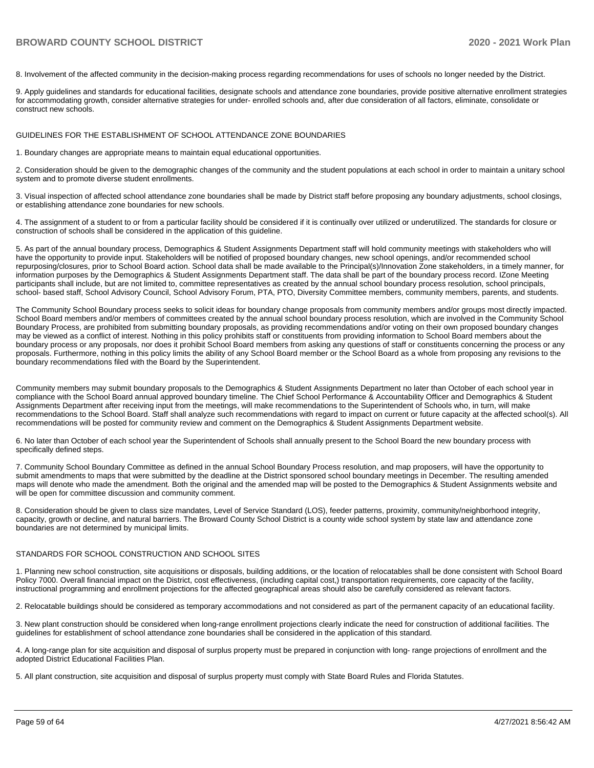8. Involvement of the affected community in the decision-making process regarding recommendations for uses of schools no longer needed by the District.

9. Apply guidelines and standards for educational facilities, designate schools and attendance zone boundaries, provide positive alternative enrollment strategies for accommodating growth, consider alternative strategies for under- enrolled schools and, after due consideration of all factors, eliminate, consolidate or construct new schools.

#### GUIDELINES FOR THE ESTABLISHMENT OF SCHOOL ATTENDANCE ZONE BOUNDARIES

1. Boundary changes are appropriate means to maintain equal educational opportunities.

2. Consideration should be given to the demographic changes of the community and the student populations at each school in order to maintain a unitary school system and to promote diverse student enrollments.

3. Visual inspection of affected school attendance zone boundaries shall be made by District staff before proposing any boundary adjustments, school closings, or establishing attendance zone boundaries for new schools.

4. The assignment of a student to or from a particular facility should be considered if it is continually over utilized or underutilized. The standards for closure or construction of schools shall be considered in the application of this guideline.

5. As part of the annual boundary process, Demographics & Student Assignments Department staff will hold community meetings with stakeholders who will have the opportunity to provide input. Stakeholders will be notified of proposed boundary changes, new school openings, and/or recommended school repurposing/closures, prior to School Board action. School data shall be made available to the Principal(s)/Innovation Zone stakeholders, in a timely manner, for information purposes by the Demographics & Student Assignments Department staff. The data shall be part of the boundary process record. IZone Meeting participants shall include, but are not limited to, committee representatives as created by the annual school boundary process resolution, school principals, school- based staff, School Advisory Council, School Advisory Forum, PTA, PTO, Diversity Committee members, community members, parents, and students.

The Community School Boundary process seeks to solicit ideas for boundary change proposals from community members and/or groups most directly impacted. School Board members and/or members of committees created by the annual school boundary process resolution, which are involved in the Community School Boundary Process, are prohibited from submitting boundary proposals, as providing recommendations and/or voting on their own proposed boundary changes may be viewed as a conflict of interest. Nothing in this policy prohibits staff or constituents from providing information to School Board members about the boundary process or any proposals, nor does it prohibit School Board members from asking any questions of staff or constituents concerning the process or any proposals. Furthermore, nothing in this policy limits the ability of any School Board member or the School Board as a whole from proposing any revisions to the boundary recommendations filed with the Board by the Superintendent.

Community members may submit boundary proposals to the Demographics & Student Assignments Department no later than October of each school year in compliance with the School Board annual approved boundary timeline. The Chief School Performance & Accountability Officer and Demographics & Student Assignments Department after receiving input from the meetings, will make recommendations to the Superintendent of Schools who, in turn, will make recommendations to the School Board. Staff shall analyze such recommendations with regard to impact on current or future capacity at the affected school(s). All recommendations will be posted for community review and comment on the Demographics & Student Assignments Department website.

6. No later than October of each school year the Superintendent of Schools shall annually present to the School Board the new boundary process with specifically defined steps.

7. Community School Boundary Committee as defined in the annual School Boundary Process resolution, and map proposers, will have the opportunity to submit amendments to maps that were submitted by the deadline at the District sponsored school boundary meetings in December. The resulting amended maps will denote who made the amendment. Both the original and the amended map will be posted to the Demographics & Student Assignments website and will be open for committee discussion and community comment.

8. Consideration should be given to class size mandates, Level of Service Standard (LOS), feeder patterns, proximity, community/neighborhood integrity, capacity, growth or decline, and natural barriers. The Broward County School District is a county wide school system by state law and attendance zone boundaries are not determined by municipal limits.

#### STANDARDS FOR SCHOOL CONSTRUCTION AND SCHOOL SITES

1. Planning new school construction, site acquisitions or disposals, building additions, or the location of relocatables shall be done consistent with School Board Policy 7000. Overall financial impact on the District, cost effectiveness, (including capital cost,) transportation requirements, core capacity of the facility, instructional programming and enrollment projections for the affected geographical areas should also be carefully considered as relevant factors.

2. Relocatable buildings should be considered as temporary accommodations and not considered as part of the permanent capacity of an educational facility.

3. New plant construction should be considered when long-range enrollment projections clearly indicate the need for construction of additional facilities. The guidelines for establishment of school attendance zone boundaries shall be considered in the application of this standard.

4. A long-range plan for site acquisition and disposal of surplus property must be prepared in conjunction with long- range projections of enrollment and the adopted District Educational Facilities Plan.

5. All plant construction, site acquisition and disposal of surplus property must comply with State Board Rules and Florida Statutes.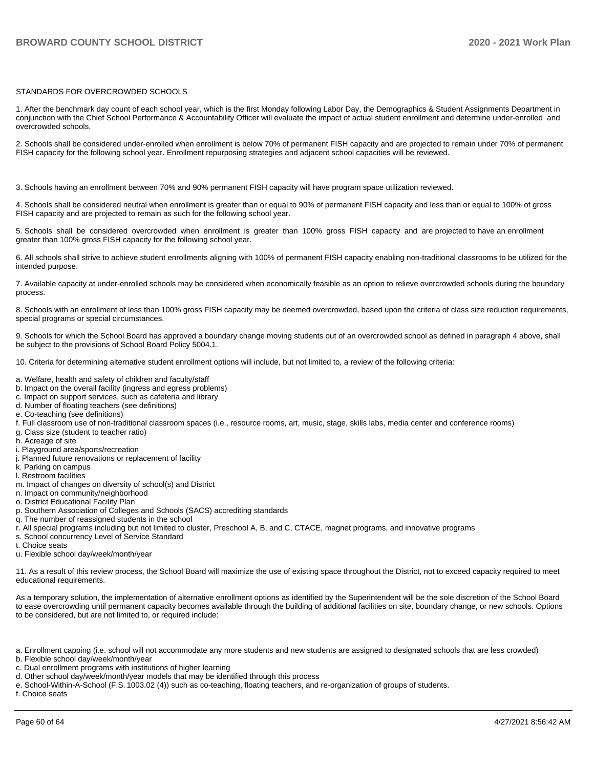#### STANDARDS FOR OVERCROWDED SCHOOLS

1. After the benchmark day count of each school year, which is the first Monday following Labor Day, the Demographics & Student Assignments Department in conjunction with the Chief School Performance & Accountability Officer will evaluate the impact of actual student enrollment and determine under-enrolled and overcrowded schools.

2. Schools shall be considered under-enrolled when enrollment is below 70% of permanent FISH capacity and are projected to remain under 70% of permanent FISH capacity for the following school year. Enrollment repurposing strategies and adjacent school capacities will be reviewed.

3. Schools having an enrollment between 70% and 90% permanent FISH capacity will have program space utilization reviewed.

4. Schools shall be considered neutral when enrollment is greater than or equal to 90% of permanent FISH capacity and less than or equal to 100% of gross FISH capacity and are projected to remain as such for the following school year.

5. Schools shall be considered overcrowded when enrollment is greater than 100% gross FISH capacity and are projected to have an enrollment greater than 100% gross FISH capacity for the following school year.

6. All schools shall strive to achieve student enrollments aligning with 100% of permanent FISH capacity enabling non-traditional classrooms to be utilized for the intended purpose.

7. Available capacity at under-enrolled schools may be considered when economically feasible as an option to relieve overcrowded schools during the boundary process.

8. Schools with an enrollment of less than 100% gross FISH capacity may be deemed overcrowded, based upon the criteria of class size reduction requirements, special programs or special circumstances.

9. Schools for which the School Board has approved a boundary change moving students out of an overcrowded school as defined in paragraph 4 above, shall be subject to the provisions of School Board Policy 5004.1.

10. Criteria for determining alternative student enrollment options will include, but not limited to, a review of the following criteria:

- a. Welfare, health and safety of children and faculty/staff
- b. Impact on the overall facility (ingress and egress problems)
- c. Impact on support services, such as cafeteria and library
- d. Number of floating teachers (see definitions)
- e. Co-teaching (see definitions)
- f. Full classroom use of non-traditional classroom spaces (i.e., resource rooms, art, music, stage, skills labs, media center and conference rooms)
- g. Class size (student to teacher ratio)
- h. Acreage of site
- i. Playground area/sports/recreation
- j. Planned future renovations or replacement of facility
- k. Parking on campus
- l. Restroom facilities
- m. Impact of changes on diversity of school(s) and District
- n. Impact on community/neighborhood
- o. District Educational Facility Plan
- p. Southern Association of Colleges and Schools (SACS) accrediting standards
- q. The number of reassigned students in the school
- r. All special programs including but not limited to cluster, Preschool A, B, and C, CTACE, magnet programs, and innovative programs
- s. School concurrency Level of Service Standard
- t. Choice seats
- u. Flexible school day/week/month/year

11. As a result of this review process, the School Board will maximize the use of existing space throughout the District, not to exceed capacity required to meet educational requirements.

As a temporary solution, the implementation of alternative enrollment options as identified by the Superintendent will be the sole discretion of the School Board to ease overcrowding until permanent capacity becomes available through the building of additional facilities on site, boundary change, or new schools. Options to be considered, but are not limited to, or required include:

a. Enrollment capping (i.e. school will not accommodate any more students and new students are assigned to designated schools that are less crowded)

b. Flexible school day/week/month/year

- c. Dual enrollment programs with institutions of higher learning
- d. Other school day/week/month/year models that may be identified through this process
- e. School-Within-A-School (F.S. 1003.02 (4)) such as co-teaching, floating teachers, and re-organization of groups of students.

f. Choice seats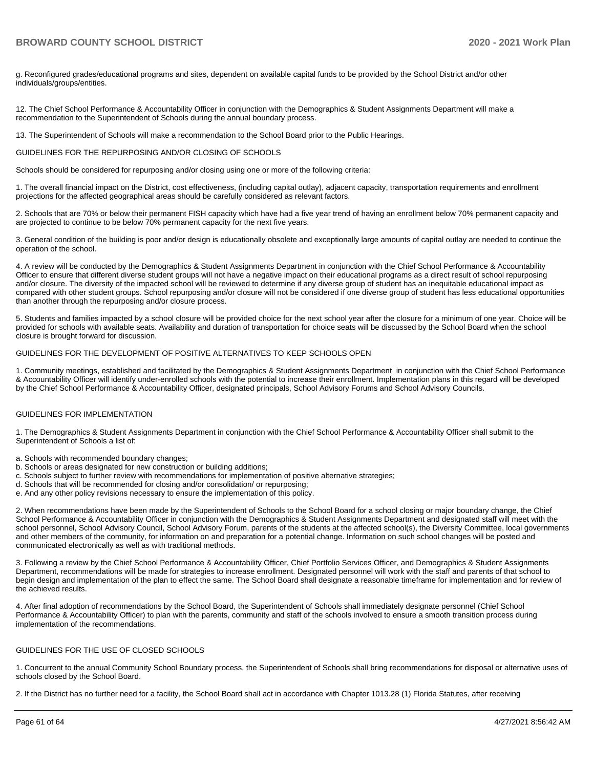g. Reconfigured grades/educational programs and sites, dependent on available capital funds to be provided by the School District and/or other individuals/groups/entities.

12. The Chief School Performance & Accountability Officer in conjunction with the Demographics & Student Assignments Department will make a recommendation to the Superintendent of Schools during the annual boundary process.

13. The Superintendent of Schools will make a recommendation to the School Board prior to the Public Hearings.

#### GUIDELINES FOR THE REPURPOSING AND/OR CLOSING OF SCHOOLS

Schools should be considered for repurposing and/or closing using one or more of the following criteria:

1. The overall financial impact on the District, cost effectiveness, (including capital outlay), adjacent capacity, transportation requirements and enrollment projections for the affected geographical areas should be carefully considered as relevant factors.

2. Schools that are 70% or below their permanent FISH capacity which have had a five year trend of having an enrollment below 70% permanent capacity and are projected to continue to be below 70% permanent capacity for the next five years.

3. General condition of the building is poor and/or design is educationally obsolete and exceptionally large amounts of capital outlay are needed to continue the operation of the school.

4. A review will be conducted by the Demographics & Student Assignments Department in conjunction with the Chief School Performance & Accountability Officer to ensure that different diverse student groups will not have a negative impact on their educational programs as a direct result of school repurposing and/or closure. The diversity of the impacted school will be reviewed to determine if any diverse group of student has an inequitable educational impact as compared with other student groups. School repurposing and/or closure will not be considered if one diverse group of student has less educational opportunities than another through the repurposing and/or closure process.

5. Students and families impacted by a school closure will be provided choice for the next school year after the closure for a minimum of one year. Choice will be provided for schools with available seats. Availability and duration of transportation for choice seats will be discussed by the School Board when the school closure is brought forward for discussion.

#### GUIDELINES FOR THE DEVELOPMENT OF POSITIVE ALTERNATIVES TO KEEP SCHOOLS OPEN

1. Community meetings, established and facilitated by the Demographics & Student Assignments Department in conjunction with the Chief School Performance & Accountability Officer will identify under-enrolled schools with the potential to increase their enrollment. Implementation plans in this regard will be developed by the Chief School Performance & Accountability Officer, designated principals, School Advisory Forums and School Advisory Councils.

#### GUIDELINES FOR IMPLEMENTATION

1. The Demographics & Student Assignments Department in conjunction with the Chief School Performance & Accountability Officer shall submit to the Superintendent of Schools a list of:

- a. Schools with recommended boundary changes;
- b. Schools or areas designated for new construction or building additions;
- c. Schools subject to further review with recommendations for implementation of positive alternative strategies;
- d. Schools that will be recommended for closing and/or consolidation/ or repurposing;
- e. And any other policy revisions necessary to ensure the implementation of this policy.

2. When recommendations have been made by the Superintendent of Schools to the School Board for a school closing or major boundary change, the Chief School Performance & Accountability Officer in conjunction with the Demographics & Student Assignments Department and designated staff will meet with the school personnel, School Advisory Council, School Advisory Forum, parents of the students at the affected school(s), the Diversity Committee, local governments and other members of the community, for information on and preparation for a potential change. Information on such school changes will be posted and communicated electronically as well as with traditional methods.

3. Following a review by the Chief School Performance & Accountability Officer, Chief Portfolio Services Officer, and Demographics & Student Assignments Department, recommendations will be made for strategies to increase enrollment. Designated personnel will work with the staff and parents of that school to begin design and implementation of the plan to effect the same. The School Board shall designate a reasonable timeframe for implementation and for review of the achieved results.

4. After final adoption of recommendations by the School Board, the Superintendent of Schools shall immediately designate personnel (Chief School Performance & Accountability Officer) to plan with the parents, community and staff of the schools involved to ensure a smooth transition process during implementation of the recommendations.

#### GUIDELINES FOR THE USE OF CLOSED SCHOOLS

1. Concurrent to the annual Community School Boundary process, the Superintendent of Schools shall bring recommendations for disposal or alternative uses of schools closed by the School Board.

2. If the District has no further need for a facility, the School Board shall act in accordance with Chapter 1013.28 (1) Florida Statutes, after receiving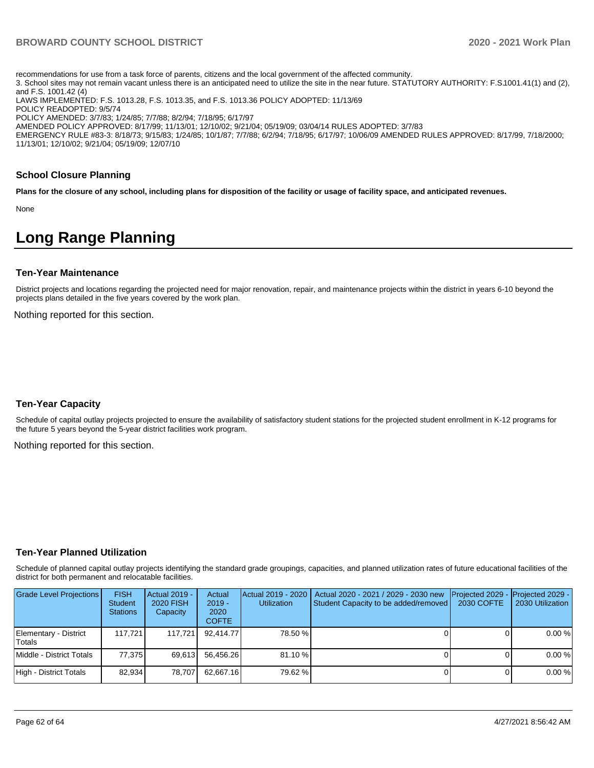recommendations for use from a task force of parents, citizens and the local government of the affected community. 3. School sites may not remain vacant unless there is an anticipated need to utilize the site in the near future. STATUTORY AUTHORITY: F.S. 1001.41(1) and (2), and F.S. 1001.42 (4) LAWS IMPLEMENTED: F.S. 1013.28, F.S. 1013.35, and F.S. 1013.36 POLICY ADOPTED: 11/13/69 POLICY READOPTED: 9/5/74 POLICY AMENDED: 3/7/83; 1/24/85; 7/7/88; 8/2/94; 7/18/95; 6/17/97 AMENDED POLICY APPROVED: 8/17/99; 11/13/01; 12/10/02; 9/21/04; 05/19/09; 03/04/14 RULES ADOPTED: 3/7/83 EMERGENCY RULE #83-3: 8/18/73; 9/15/83; 1/24/85; 10/1/87; 7/7/88; 6/2/94; 7/18/95; 6/17/97; 10/06/09 AMENDED RULES APPROVED: 8/17/99, 7/18/2000; 11/13/01; 12/10/02; 9/21/04; 05/19/09; 12/07/10

#### **School Closure Planning**

**Plans for the closure of any school, including plans for disposition of the facility or usage of facility space, and anticipated revenues.** 

None

# **Long Range Planning**

#### **Ten-Year Maintenance**

District projects and locations regarding the projected need for major renovation, repair, and maintenance projects within the district in years 6-10 beyond the projects plans detailed in the five years covered by the work plan.

Nothing reported for this section.

#### **Ten-Year Capacity**

Schedule of capital outlay projects projected to ensure the availability of satisfactory student stations for the projected student enrollment in K-12 programs for the future 5 years beyond the 5-year district facilities work program.

Nothing reported for this section.

#### **Ten-Year Planned Utilization**

Schedule of planned capital outlay projects identifying the standard grade groupings, capacities, and planned utilization rates of future educational facilities of the district for both permanent and relocatable facilities.

| <b>Grade Level Projections</b>  | <b>FISH</b><br><b>Student</b><br><b>Stations</b> | Actual 2019 -<br>2020 FISH<br>Capacity | Actual<br>$2019 -$<br>2020<br><b>COFTE</b> | <b>Utilization</b> | Actual 2019 - 2020   Actual 2020 - 2021 / 2029 - 2030 new<br>Student Capacity to be added/removed | Projected 2029 - Projected 2029 -<br>2030 COFTE | 2030 Utilization |
|---------------------------------|--------------------------------------------------|----------------------------------------|--------------------------------------------|--------------------|---------------------------------------------------------------------------------------------------|-------------------------------------------------|------------------|
| Elementary - District<br>Totals | 117.7211                                         | 117.721                                | 92.414.77                                  | 78.50 %            |                                                                                                   |                                                 | 0.00%            |
| Middle - District Totals        | 77.375                                           | 69.613                                 | 56.456.26                                  | 81.10 %            |                                                                                                   |                                                 | 0.00%            |
| High - District Totals          | 82.934                                           | 78.707                                 | 62.667.16                                  | 79.62 %            |                                                                                                   |                                                 | 0.00%            |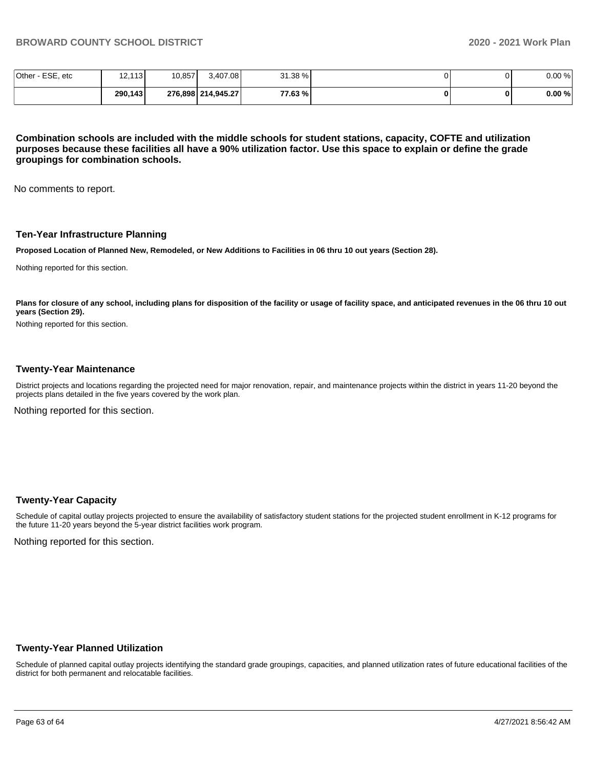| Other<br>- ESE, etc | .113 <b>I</b><br>$\sqrt{2}$<br>12. | 10,857 | 3,407.08           | 31.38 % |  | 0.00% |
|---------------------|------------------------------------|--------|--------------------|---------|--|-------|
|                     | 290,143                            |        | 276,898 214,945.27 | 77.63 % |  | 0.00% |

**Combination schools are included with the middle schools for student stations, capacity, COFTE and utilization purposes because these facilities all have a 90% utilization factor. Use this space to explain or define the grade groupings for combination schools.** 

No comments to report.

#### **Ten-Year Infrastructure Planning**

**Proposed Location of Planned New, Remodeled, or New Additions to Facilities in 06 thru 10 out years (Section 28).**

Nothing reported for this section.

Plans for closure of any school, including plans for disposition of the facility or usage of facility space, and anticipated revenues in the 06 thru 10 out **years (Section 29).**

Nothing reported for this section.

#### **Twenty-Year Maintenance**

District projects and locations regarding the projected need for major renovation, repair, and maintenance projects within the district in years 11-20 beyond the projects plans detailed in the five years covered by the work plan.

Nothing reported for this section.

#### **Twenty-Year Capacity**

Schedule of capital outlay projects projected to ensure the availability of satisfactory student stations for the projected student enrollment in K-12 programs for the future 11-20 years beyond the 5-year district facilities work program.

Nothing reported for this section.

## **Twenty-Year Planned Utilization**

Schedule of planned capital outlay projects identifying the standard grade groupings, capacities, and planned utilization rates of future educational facilities of the district for both permanent and relocatable facilities.